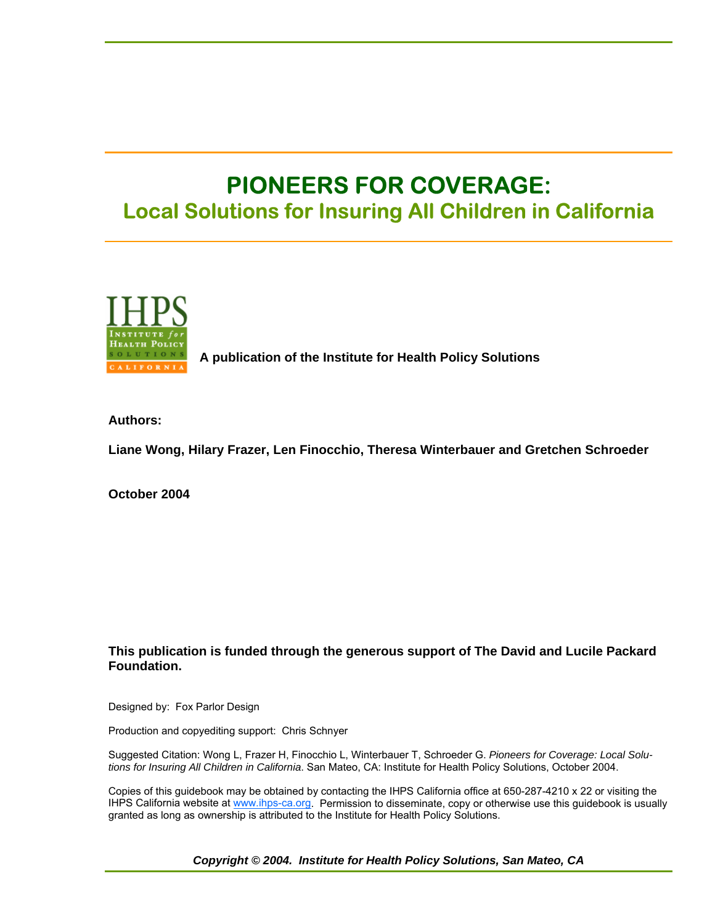# **PIONEERS FOR COVERAGE: Local Solutions for Insuring All Children in California**



 **A publication of the Institute for Health Policy Solutions**

**Authors:** 

**Liane Wong, Hilary Frazer, Len Finocchio, Theresa Winterbauer and Gretchen Schroeder** 

**October 2004** 

#### **This publication is funded through the generous support of The David and Lucile Packard Foundation.**

Designed by: Fox Parlor Design

Production and copyediting support: Chris Schnyer

Suggested Citation: Wong L, Frazer H, Finocchio L, Winterbauer T, Schroeder G. *Pioneers for Coverage: Local Solutions for Insuring All Children in California*. San Mateo, CA: Institute for Health Policy Solutions, October 2004.

Copies of this guidebook may be obtained by contacting the IHPS California office at 650-287-4210 x 22 or visiting the IHPS California website at www.ihps-ca.org. Permission to disseminate, copy or otherwise use this guidebook is usually granted as long as ownership is attributed to the Institute for Health Policy Solutions.

*Copyright © 2004. Institute for Health Policy Solutions, San Mateo, CA*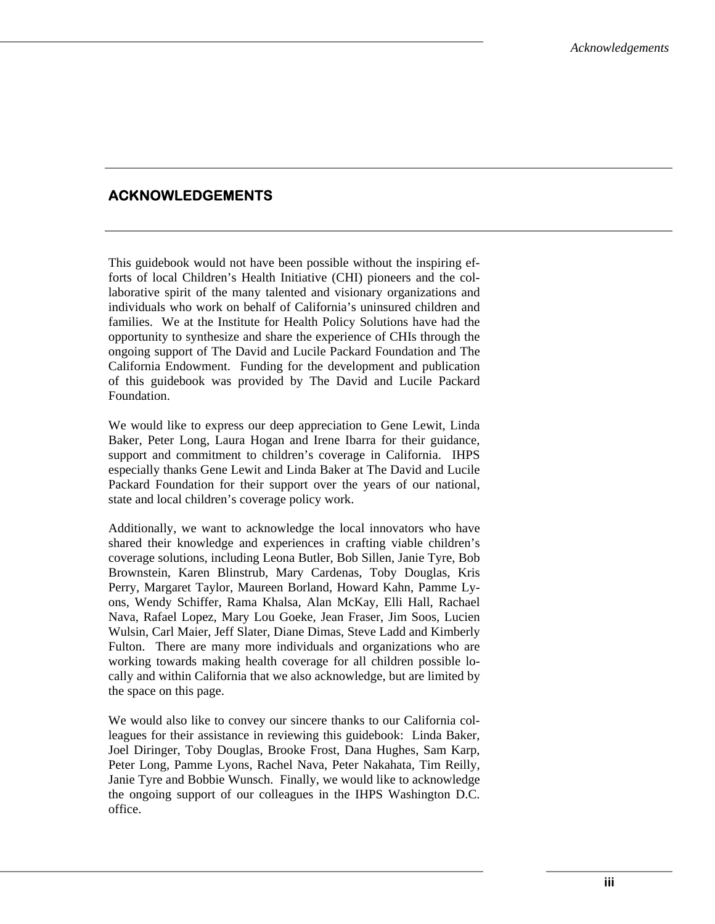# **ACKNOWLEDGEMENTS**

This guidebook would not have been possible without the inspiring efforts of local Children's Health Initiative (CHI) pioneers and the collaborative spirit of the many talented and visionary organizations and individuals who work on behalf of California's uninsured children and families. We at the Institute for Health Policy Solutions have had the opportunity to synthesize and share the experience of CHIs through the ongoing support of The David and Lucile Packard Foundation and The California Endowment. Funding for the development and publication of this guidebook was provided by The David and Lucile Packard Foundation.

We would like to express our deep appreciation to Gene Lewit, Linda Baker, Peter Long, Laura Hogan and Irene Ibarra for their guidance, support and commitment to children's coverage in California. IHPS especially thanks Gene Lewit and Linda Baker at The David and Lucile Packard Foundation for their support over the years of our national, state and local children's coverage policy work.

Additionally, we want to acknowledge the local innovators who have shared their knowledge and experiences in crafting viable children's coverage solutions, including Leona Butler, Bob Sillen, Janie Tyre, Bob Brownstein, Karen Blinstrub, Mary Cardenas, Toby Douglas, Kris Perry, Margaret Taylor, Maureen Borland, Howard Kahn, Pamme Lyons, Wendy Schiffer, Rama Khalsa, Alan McKay, Elli Hall, Rachael Nava, Rafael Lopez, Mary Lou Goeke, Jean Fraser, Jim Soos, Lucien Wulsin, Carl Maier, Jeff Slater, Diane Dimas, Steve Ladd and Kimberly Fulton. There are many more individuals and organizations who are working towards making health coverage for all children possible locally and within California that we also acknowledge, but are limited by the space on this page.

We would also like to convey our sincere thanks to our California colleagues for their assistance in reviewing this guidebook: Linda Baker, Joel Diringer, Toby Douglas, Brooke Frost, Dana Hughes, Sam Karp, Peter Long, Pamme Lyons, Rachel Nava, Peter Nakahata, Tim Reilly, Janie Tyre and Bobbie Wunsch. Finally, we would like to acknowledge the ongoing support of our colleagues in the IHPS Washington D.C. office.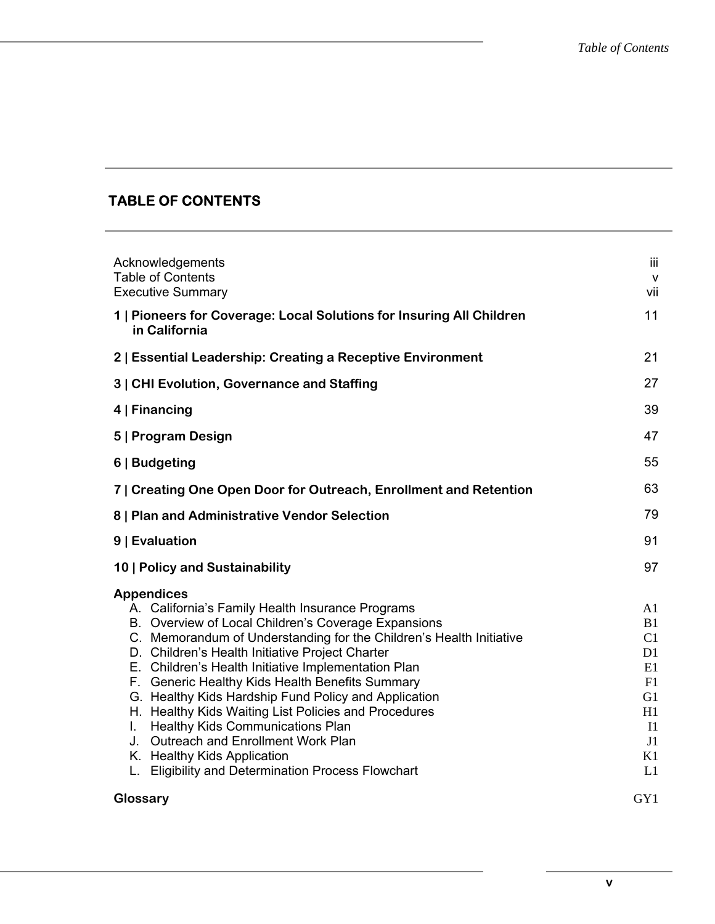# **TABLE OF CONTENTS**

| Acknowledgements<br><b>Table of Contents</b><br><b>Executive Summary</b>                                                                                                                                                                                                                                                                                                                                                                                                                                                                                                                                                                                       | iii<br>$\mathsf{v}$<br>vii                                                                                       |
|----------------------------------------------------------------------------------------------------------------------------------------------------------------------------------------------------------------------------------------------------------------------------------------------------------------------------------------------------------------------------------------------------------------------------------------------------------------------------------------------------------------------------------------------------------------------------------------------------------------------------------------------------------------|------------------------------------------------------------------------------------------------------------------|
| 1   Pioneers for Coverage: Local Solutions for Insuring All Children<br>in California                                                                                                                                                                                                                                                                                                                                                                                                                                                                                                                                                                          | 11                                                                                                               |
| 2   Essential Leadership: Creating a Receptive Environment                                                                                                                                                                                                                                                                                                                                                                                                                                                                                                                                                                                                     | 21                                                                                                               |
| 3   CHI Evolution, Governance and Staffing                                                                                                                                                                                                                                                                                                                                                                                                                                                                                                                                                                                                                     | 27                                                                                                               |
| 4   Financing                                                                                                                                                                                                                                                                                                                                                                                                                                                                                                                                                                                                                                                  | 39                                                                                                               |
| 5   Program Design                                                                                                                                                                                                                                                                                                                                                                                                                                                                                                                                                                                                                                             | 47                                                                                                               |
| 6   Budgeting                                                                                                                                                                                                                                                                                                                                                                                                                                                                                                                                                                                                                                                  | 55                                                                                                               |
| 7   Creating One Open Door for Outreach, Enrollment and Retention                                                                                                                                                                                                                                                                                                                                                                                                                                                                                                                                                                                              | 63                                                                                                               |
| 8   Plan and Administrative Vendor Selection                                                                                                                                                                                                                                                                                                                                                                                                                                                                                                                                                                                                                   | 79                                                                                                               |
| 9   Evaluation                                                                                                                                                                                                                                                                                                                                                                                                                                                                                                                                                                                                                                                 |                                                                                                                  |
| 10   Policy and Sustainability                                                                                                                                                                                                                                                                                                                                                                                                                                                                                                                                                                                                                                 | 97                                                                                                               |
| <b>Appendices</b><br>A. California's Family Health Insurance Programs<br>B. Overview of Local Children's Coverage Expansions<br>C. Memorandum of Understanding for the Children's Health Initiative<br>D. Children's Health Initiative Project Charter<br>E. Children's Health Initiative Implementation Plan<br>F. Generic Healthy Kids Health Benefits Summary<br>G. Healthy Kids Hardship Fund Policy and Application<br>H. Healthy Kids Waiting List Policies and Procedures<br><b>Healthy Kids Communications Plan</b><br>L.<br>J. Outreach and Enrollment Work Plan<br>K. Healthy Kids Application<br>L. Eligibility and Determination Process Flowchart | A1<br><b>B</b> 1<br>C1<br>D <sub>1</sub><br>E1<br>F1<br>G <sub>1</sub><br>H1<br>I <sub>1</sub><br>J1<br>K1<br>L1 |
| Glossary                                                                                                                                                                                                                                                                                                                                                                                                                                                                                                                                                                                                                                                       | GY1                                                                                                              |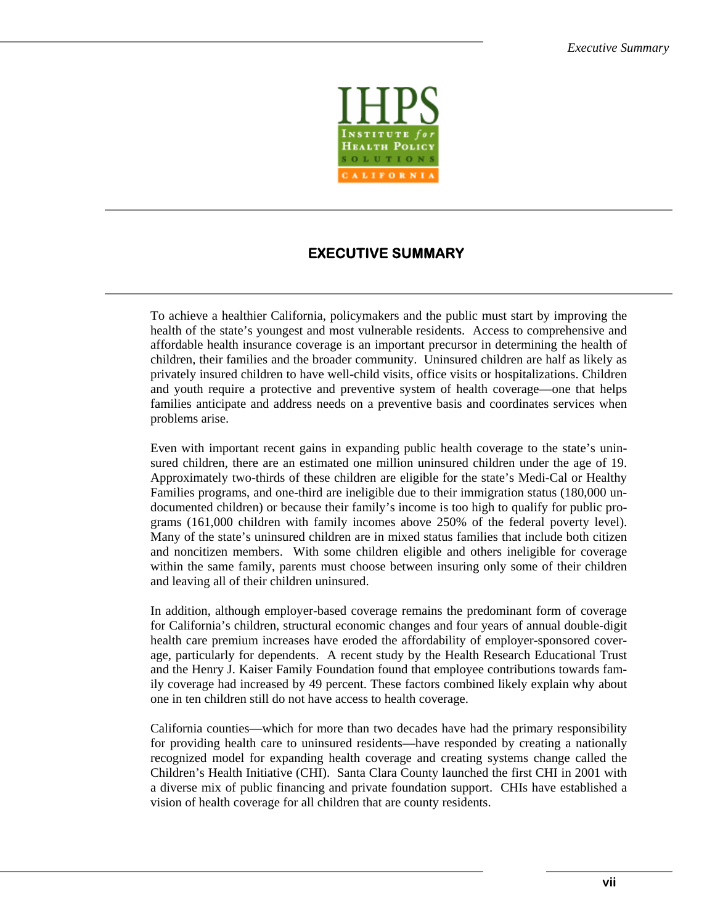

# **EXECUTIVE SUMMARY**

To achieve a healthier California, policymakers and the public must start by improving the health of the state's youngest and most vulnerable residents. Access to comprehensive and affordable health insurance coverage is an important precursor in determining the health of children, their families and the broader community. Uninsured children are half as likely as privately insured children to have well-child visits, office visits or hospitalizations. Children and youth require a protective and preventive system of health coverage—one that helps families anticipate and address needs on a preventive basis and coordinates services when problems arise.

Even with important recent gains in expanding public health coverage to the state's uninsured children, there are an estimated one million uninsured children under the age of 19. Approximately two-thirds of these children are eligible for the state's Medi-Cal or Healthy Families programs, and one-third are ineligible due to their immigration status (180,000 undocumented children) or because their family's income is too high to qualify for public programs (161,000 children with family incomes above 250% of the federal poverty level). Many of the state's uninsured children are in mixed status families that include both citizen and noncitizen members. With some children eligible and others ineligible for coverage within the same family, parents must choose between insuring only some of their children and leaving all of their children uninsured.

In addition, although employer-based coverage remains the predominant form of coverage for California's children, structural economic changes and four years of annual double-digit health care premium increases have eroded the affordability of employer-sponsored coverage, particularly for dependents. A recent study by the Health Research Educational Trust and the Henry J. Kaiser Family Foundation found that employee contributions towards family coverage had increased by 49 percent. These factors combined likely explain why about one in ten children still do not have access to health coverage.

California counties—which for more than two decades have had the primary responsibility for providing health care to uninsured residents—have responded by creating a nationally recognized model for expanding health coverage and creating systems change called the Children's Health Initiative (CHI). Santa Clara County launched the first CHI in 2001 with a diverse mix of public financing and private foundation support. CHIs have established a vision of health coverage for all children that are county residents.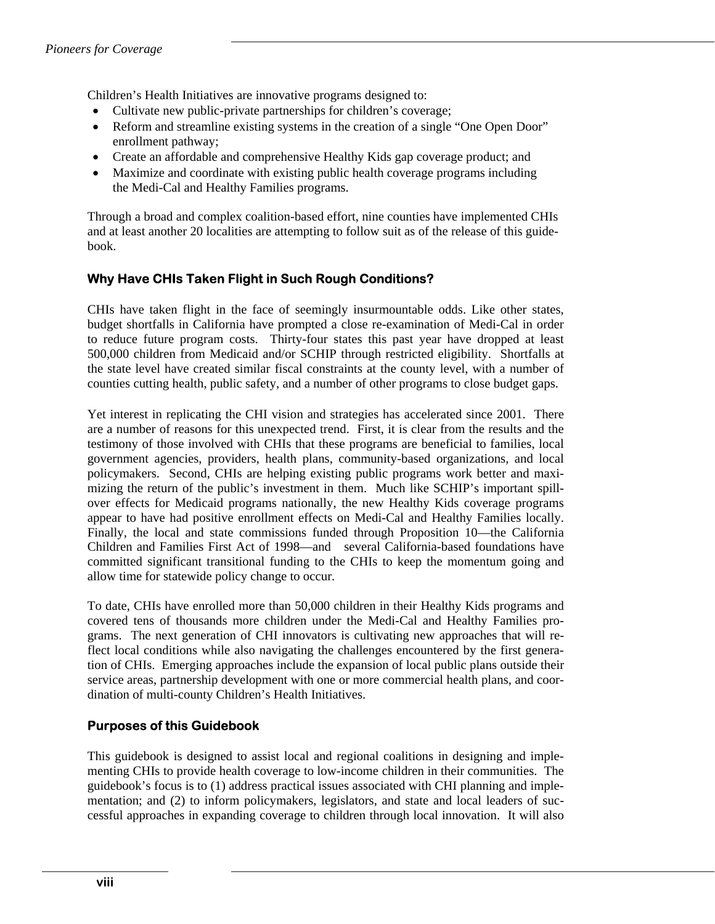Children's Health Initiatives are innovative programs designed to:

- Cultivate new public-private partnerships for children's coverage;
- Reform and streamline existing systems in the creation of a single "One Open Door" enrollment pathway;
- Create an affordable and comprehensive Healthy Kids gap coverage product; and
- Maximize and coordinate with existing public health coverage programs including the Medi-Cal and Healthy Families programs.

Through a broad and complex coalition-based effort, nine counties have implemented CHIs and at least another 20 localities are attempting to follow suit as of the release of this guidebook.

# **Why Have CHIs Taken Flight in Such Rough Conditions?**

CHIs have taken flight in the face of seemingly insurmountable odds. Like other states, budget shortfalls in California have prompted a close re-examination of Medi-Cal in order to reduce future program costs. Thirty-four states this past year have dropped at least 500,000 children from Medicaid and/or SCHIP through restricted eligibility. Shortfalls at the state level have created similar fiscal constraints at the county level, with a number of counties cutting health, public safety, and a number of other programs to close budget gaps.

Yet interest in replicating the CHI vision and strategies has accelerated since 2001. There are a number of reasons for this unexpected trend. First, it is clear from the results and the testimony of those involved with CHIs that these programs are beneficial to families, local government agencies, providers, health plans, community-based organizations, and local policymakers. Second, CHIs are helping existing public programs work better and maximizing the return of the public's investment in them. Much like SCHIP's important spillover effects for Medicaid programs nationally, the new Healthy Kids coverage programs appear to have had positive enrollment effects on Medi-Cal and Healthy Families locally. Finally, the local and state commissions funded through Proposition 10—the California Children and Families First Act of 1998—and several California-based foundations have committed significant transitional funding to the CHIs to keep the momentum going and allow time for statewide policy change to occur.

To date, CHIs have enrolled more than 50,000 children in their Healthy Kids programs and covered tens of thousands more children under the Medi-Cal and Healthy Families programs. The next generation of CHI innovators is cultivating new approaches that will reflect local conditions while also navigating the challenges encountered by the first generation of CHIs. Emerging approaches include the expansion of local public plans outside their service areas, partnership development with one or more commercial health plans, and coordination of multi-county Children's Health Initiatives.

# **Purposes of this Guidebook**

This guidebook is designed to assist local and regional coalitions in designing and implementing CHIs to provide health coverage to low-income children in their communities. The guidebook's focus is to (1) address practical issues associated with CHI planning and implementation; and (2) to inform policymakers, legislators, and state and local leaders of successful approaches in expanding coverage to children through local innovation. It will also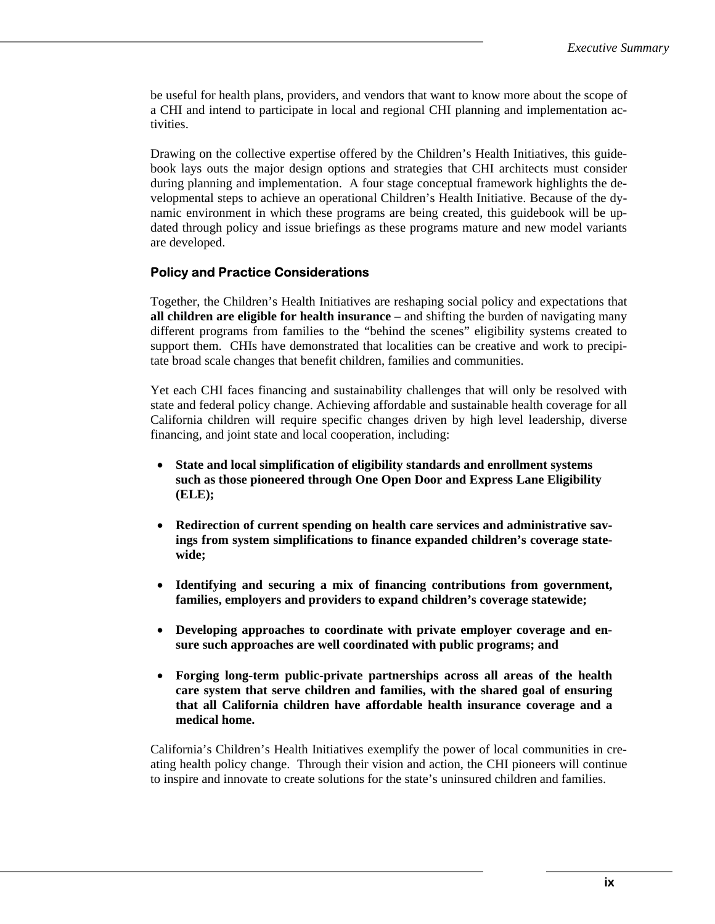be useful for health plans, providers, and vendors that want to know more about the scope of a CHI and intend to participate in local and regional CHI planning and implementation activities.

Drawing on the collective expertise offered by the Children's Health Initiatives, this guidebook lays outs the major design options and strategies that CHI architects must consider during planning and implementation. A four stage conceptual framework highlights the developmental steps to achieve an operational Children's Health Initiative. Because of the dynamic environment in which these programs are being created, this guidebook will be updated through policy and issue briefings as these programs mature and new model variants are developed.

#### **Policy and Practice Considerations**

Together, the Children's Health Initiatives are reshaping social policy and expectations that **all children are eligible for health insurance** – and shifting the burden of navigating many different programs from families to the "behind the scenes" eligibility systems created to support them. CHIs have demonstrated that localities can be creative and work to precipitate broad scale changes that benefit children, families and communities.

Yet each CHI faces financing and sustainability challenges that will only be resolved with state and federal policy change. Achieving affordable and sustainable health coverage for all California children will require specific changes driven by high level leadership, diverse financing, and joint state and local cooperation, including:

- **State and local simplification of eligibility standards and enrollment systems such as those pioneered through One Open Door and Express Lane Eligibility (ELE);**
- **Redirection of current spending on health care services and administrative savings from system simplifications to finance expanded children's coverage statewide;**
- **Identifying and securing a mix of financing contributions from government, families, employers and providers to expand children's coverage statewide;**
- **Developing approaches to coordinate with private employer coverage and ensure such approaches are well coordinated with public programs; and**
- **Forging long-term public-private partnerships across all areas of the health care system that serve children and families, with the shared goal of ensuring that all California children have affordable health insurance coverage and a medical home.**

California's Children's Health Initiatives exemplify the power of local communities in creating health policy change. Through their vision and action, the CHI pioneers will continue to inspire and innovate to create solutions for the state's uninsured children and families.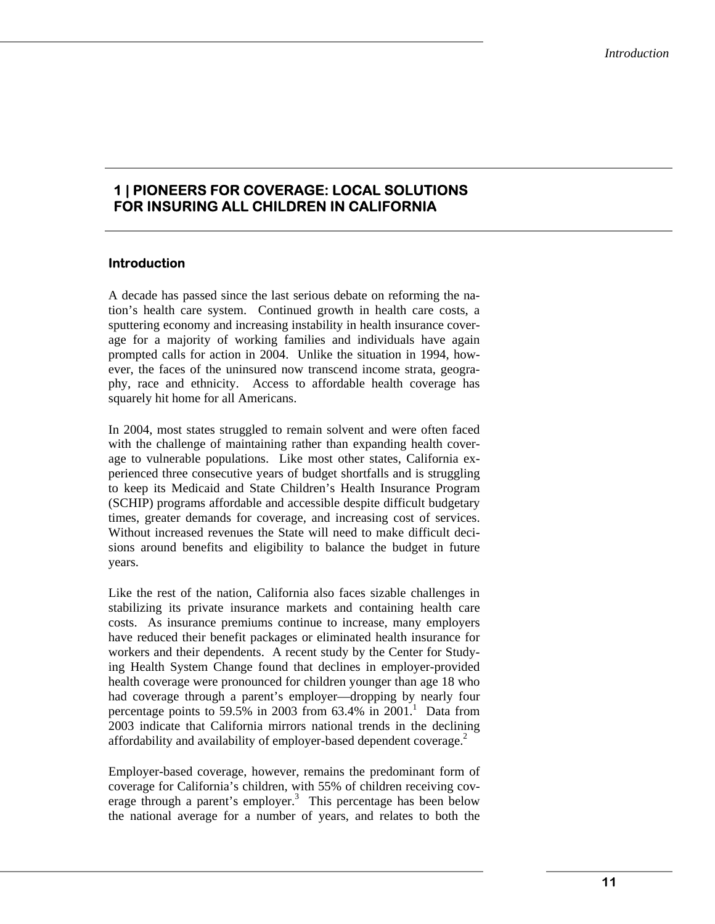# **1 | PIONEERS FOR COVERAGE: LOCAL SOLUTIONS FOR INSURING ALL CHILDREN IN CALIFORNIA**

## **Introduction**

A decade has passed since the last serious debate on reforming the nation's health care system. Continued growth in health care costs, a sputtering economy and increasing instability in health insurance coverage for a majority of working families and individuals have again prompted calls for action in 2004. Unlike the situation in 1994, however, the faces of the uninsured now transcend income strata, geography, race and ethnicity. Access to affordable health coverage has squarely hit home for all Americans.

In 2004, most states struggled to remain solvent and were often faced with the challenge of maintaining rather than expanding health coverage to vulnerable populations. Like most other states, California experienced three consecutive years of budget shortfalls and is struggling to keep its Medicaid and State Children's Health Insurance Program (SCHIP) programs affordable and accessible despite difficult budgetary times, greater demands for coverage, and increasing cost of services. Without increased revenues the State will need to make difficult decisions around benefits and eligibility to balance the budget in future years.

Like the rest of the nation, California also faces sizable challenges in stabilizing its private insurance markets and containing health care costs. As insurance premiums continue to increase, many employers have reduced their benefit packages or eliminated health insurance for workers and their dependents. A recent study by the Center for Studying Health System Change found that declines in employer-provided health coverage were pronounced for children younger than age 18 who had coverage through a parent's employer—dropping by nearly four percentage points to 59.5% in 2003 from  $63.4\%$  in  $2001$ .<sup>1</sup> Data from 2003 indicate that California mirrors national trends in the declining affordability and availability of employer-based dependent coverage.<sup>2</sup>

Employer-based coverage, however, remains the predominant form of coverage for California's children, with 55% of children receiving coverage through a parent's employer.<sup>3</sup> This percentage has been below the national average for a number of years, and relates to both the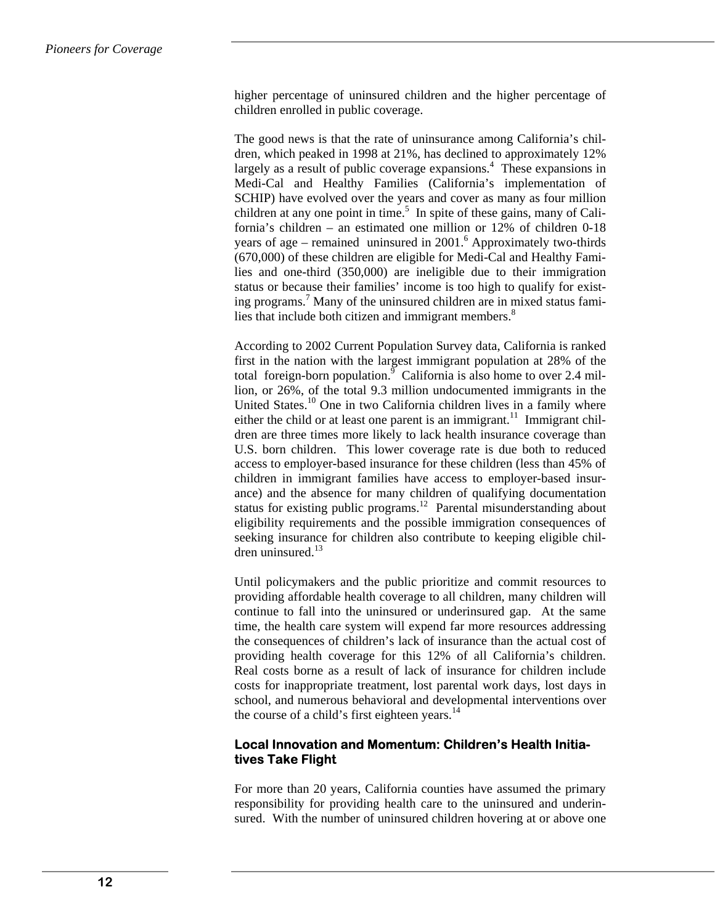higher percentage of uninsured children and the higher percentage of children enrolled in public coverage.

The good news is that the rate of uninsurance among California's children, which peaked in 1998 at 21%, has declined to approximately 12% largely as a result of public coverage expansions.<sup>4</sup> These expansions in Medi-Cal and Healthy Families (California's implementation of SCHIP) have evolved over the years and cover as many as four million children at any one point in time.<sup>5</sup> In spite of these gains, many of California's children – an estimated one million or 12% of children 0-18 years of age – remained uninsured in  $2001$ .<sup>6</sup> Approximately two-thirds (670,000) of these children are eligible for Medi-Cal and Healthy Families and one-third (350,000) are ineligible due to their immigration status or because their families' income is too high to qualify for existing programs.<sup>7</sup> Many of the uninsured children are in mixed status families that include both citizen and immigrant members.<sup>8</sup>

According to 2002 Current Population Survey data, California is ranked first in the nation with the largest immigrant population at 28% of the total foreign-born population.<sup>9</sup> California is also home to over 2.4 million, or 26%, of the total 9.3 million undocumented immigrants in the United States.<sup>10</sup> One in two California children lives in a family where either the child or at least one parent is an immigrant.<sup>11</sup> Immigrant children are three times more likely to lack health insurance coverage than U.S. born children. This lower coverage rate is due both to reduced access to employer-based insurance for these children (less than 45% of children in immigrant families have access to employer-based insurance) and the absence for many children of qualifying documentation status for existing public programs.<sup>12</sup> Parental misunderstanding about eligibility requirements and the possible immigration consequences of seeking insurance for children also contribute to keeping eligible children uninsured. $13$ 

Until policymakers and the public prioritize and commit resources to providing affordable health coverage to all children, many children will continue to fall into the uninsured or underinsured gap. At the same time, the health care system will expend far more resources addressing the consequences of children's lack of insurance than the actual cost of providing health coverage for this 12% of all California's children. Real costs borne as a result of lack of insurance for children include costs for inappropriate treatment, lost parental work days, lost days in school, and numerous behavioral and developmental interventions over the course of a child's first eighteen years. $14$ 

#### **Local Innovation and Momentum: Children's Health Initiatives Take Flight**

For more than 20 years, California counties have assumed the primary responsibility for providing health care to the uninsured and underinsured. With the number of uninsured children hovering at or above one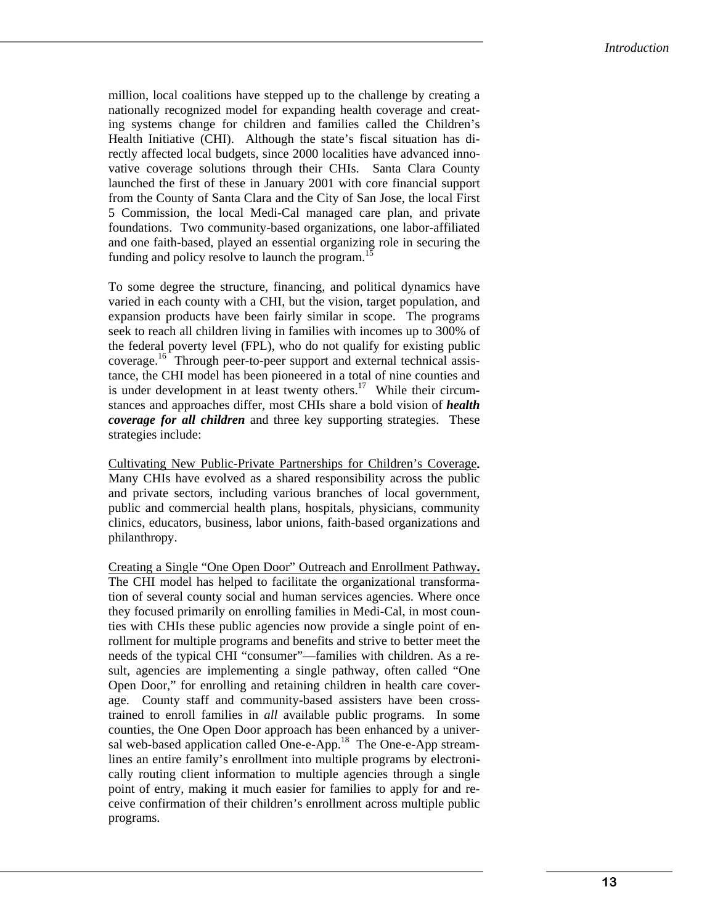million, local coalitions have stepped up to the challenge by creating a nationally recognized model for expanding health coverage and creating systems change for children and families called the Children's Health Initiative (CHI). Although the state's fiscal situation has directly affected local budgets, since 2000 localities have advanced innovative coverage solutions through their CHIs. Santa Clara County launched the first of these in January 2001 with core financial support from the County of Santa Clara and the City of San Jose, the local First 5 Commission, the local Medi-Cal managed care plan, and private foundations. Two community-based organizations, one labor-affiliated and one faith-based, played an essential organizing role in securing the funding and policy resolve to launch the program.<sup>15</sup>

To some degree the structure, financing, and political dynamics have varied in each county with a CHI, but the vision, target population, and expansion products have been fairly similar in scope. The programs seek to reach all children living in families with incomes up to 300% of the federal poverty level (FPL), who do not qualify for existing public coverage.<sup>16</sup> Through peer-to-peer support and external technical assistance, the CHI model has been pioneered in a total of nine counties and is under development in at least twenty others.<sup>17</sup> While their circumstances and approaches differ, most CHIs share a bold vision of *health coverage for all children* and three key supporting strategies. These strategies include:

Cultivating New Public-Private Partnerships for Children's Coverage**.**  Many CHIs have evolved as a shared responsibility across the public and private sectors, including various branches of local government, public and commercial health plans, hospitals, physicians, community clinics, educators, business, labor unions, faith-based organizations and philanthropy.

Creating a Single "One Open Door" Outreach and Enrollment Pathway**.**  The CHI model has helped to facilitate the organizational transformation of several county social and human services agencies. Where once they focused primarily on enrolling families in Medi-Cal, in most counties with CHIs these public agencies now provide a single point of enrollment for multiple programs and benefits and strive to better meet the needs of the typical CHI "consumer"—families with children. As a result, agencies are implementing a single pathway, often called "One Open Door," for enrolling and retaining children in health care coverage. County staff and community-based assisters have been crosstrained to enroll families in *all* available public programs. In some counties, the One Open Door approach has been enhanced by a universal web-based application called One-e-App.<sup>18</sup> The One-e-App streamlines an entire family's enrollment into multiple programs by electronically routing client information to multiple agencies through a single point of entry, making it much easier for families to apply for and receive confirmation of their children's enrollment across multiple public programs.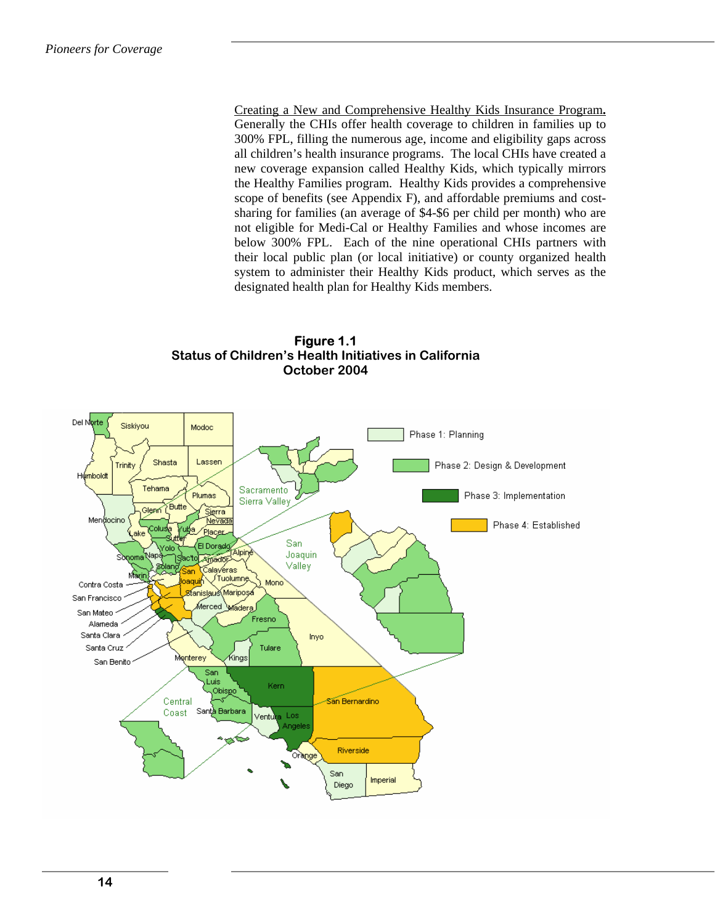Creating a New and Comprehensive Healthy Kids Insurance Program**.**  Generally the CHIs offer health coverage to children in families up to 300% FPL, filling the numerous age, income and eligibility gaps across all children's health insurance programs. The local CHIs have created a new coverage expansion called Healthy Kids, which typically mirrors the Healthy Families program. Healthy Kids provides a comprehensive scope of benefits (see Appendix F), and affordable premiums and costsharing for families (an average of \$4-\$6 per child per month) who are not eligible for Medi-Cal or Healthy Families and whose incomes are below 300% FPL. Each of the nine operational CHIs partners with their local public plan (or local initiative) or county organized health system to administer their Healthy Kids product, which serves as the designated health plan for Healthy Kids members.

**Figure 1.1 Status of Children's Health Initiatives in California October 2004** 

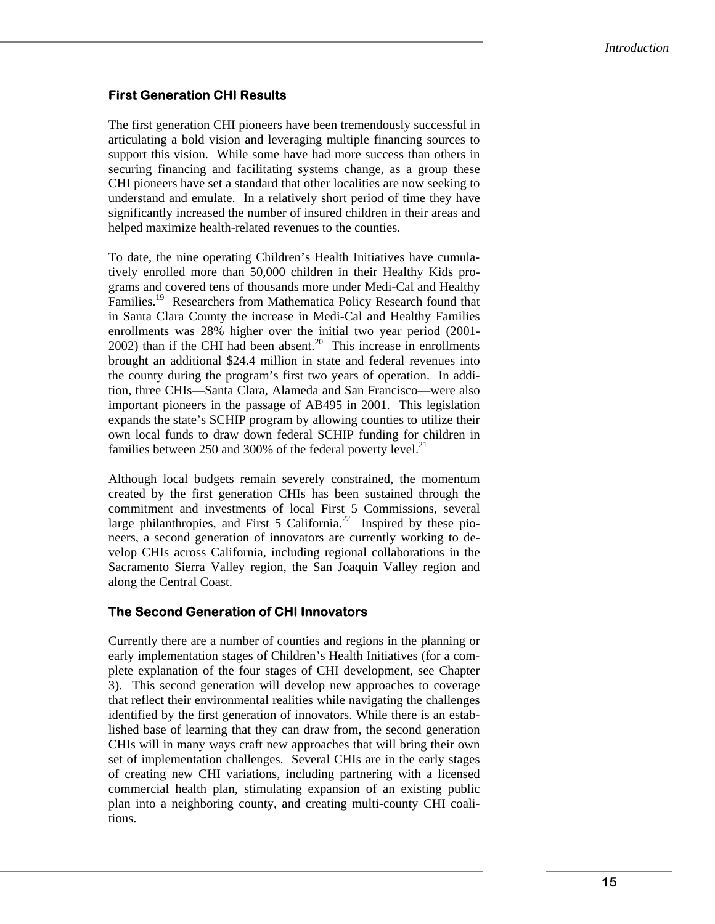# **First Generation CHI Results**

The first generation CHI pioneers have been tremendously successful in articulating a bold vision and leveraging multiple financing sources to support this vision. While some have had more success than others in securing financing and facilitating systems change, as a group these CHI pioneers have set a standard that other localities are now seeking to understand and emulate. In a relatively short period of time they have significantly increased the number of insured children in their areas and helped maximize health-related revenues to the counties.

To date, the nine operating Children's Health Initiatives have cumulatively enrolled more than 50,000 children in their Healthy Kids programs and covered tens of thousands more under Medi-Cal and Healthy Families.<sup>19</sup> Researchers from Mathematica Policy Research found that in Santa Clara County the increase in Medi-Cal and Healthy Families enrollments was 28% higher over the initial two year period (2001-  $2002$ ) than if the CHI had been absent.<sup>20</sup> This increase in enrollments brought an additional \$24.4 million in state and federal revenues into the county during the program's first two years of operation. In addition, three CHIs—Santa Clara, Alameda and San Francisco—were also important pioneers in the passage of AB495 in 2001. This legislation expands the state's SCHIP program by allowing counties to utilize their own local funds to draw down federal SCHIP funding for children in families between 250 and 300% of the federal poverty level. $^{21}$ 

Although local budgets remain severely constrained, the momentum created by the first generation CHIs has been sustained through the commitment and investments of local First 5 Commissions, several large philanthropies, and First 5 California.<sup>22</sup> Inspired by these pioneers, a second generation of innovators are currently working to develop CHIs across California, including regional collaborations in the Sacramento Sierra Valley region, the San Joaquin Valley region and along the Central Coast.

#### **The Second Generation of CHI Innovators**

Currently there are a number of counties and regions in the planning or early implementation stages of Children's Health Initiatives (for a complete explanation of the four stages of CHI development, see Chapter 3). This second generation will develop new approaches to coverage that reflect their environmental realities while navigating the challenges identified by the first generation of innovators. While there is an established base of learning that they can draw from, the second generation CHIs will in many ways craft new approaches that will bring their own set of implementation challenges. Several CHIs are in the early stages of creating new CHI variations, including partnering with a licensed commercial health plan, stimulating expansion of an existing public plan into a neighboring county, and creating multi-county CHI coalitions.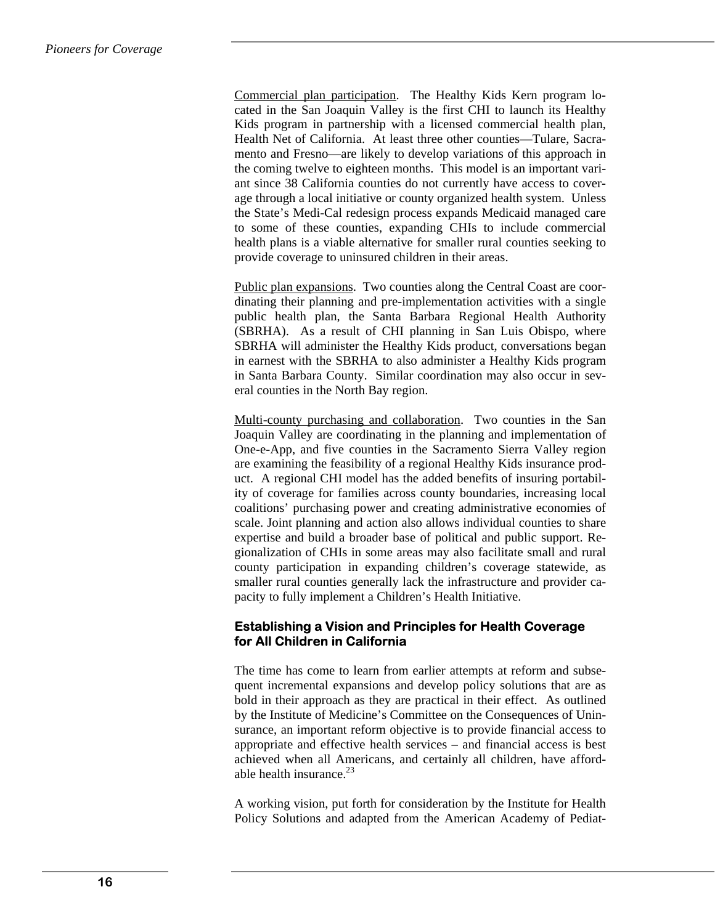Commercial plan participation. The Healthy Kids Kern program located in the San Joaquin Valley is the first CHI to launch its Healthy Kids program in partnership with a licensed commercial health plan, Health Net of California. At least three other counties—Tulare, Sacramento and Fresno—are likely to develop variations of this approach in the coming twelve to eighteen months. This model is an important variant since 38 California counties do not currently have access to coverage through a local initiative or county organized health system. Unless the State's Medi-Cal redesign process expands Medicaid managed care to some of these counties, expanding CHIs to include commercial health plans is a viable alternative for smaller rural counties seeking to provide coverage to uninsured children in their areas.

Public plan expansions. Two counties along the Central Coast are coordinating their planning and pre-implementation activities with a single public health plan, the Santa Barbara Regional Health Authority (SBRHA). As a result of CHI planning in San Luis Obispo, where SBRHA will administer the Healthy Kids product, conversations began in earnest with the SBRHA to also administer a Healthy Kids program in Santa Barbara County. Similar coordination may also occur in several counties in the North Bay region.

Multi-county purchasing and collaboration. Two counties in the San Joaquin Valley are coordinating in the planning and implementation of One-e-App, and five counties in the Sacramento Sierra Valley region are examining the feasibility of a regional Healthy Kids insurance product. A regional CHI model has the added benefits of insuring portability of coverage for families across county boundaries, increasing local coalitions' purchasing power and creating administrative economies of scale. Joint planning and action also allows individual counties to share expertise and build a broader base of political and public support. Regionalization of CHIs in some areas may also facilitate small and rural county participation in expanding children's coverage statewide, as smaller rural counties generally lack the infrastructure and provider capacity to fully implement a Children's Health Initiative.

# **Establishing a Vision and Principles for Health Coverage for All Children in California**

The time has come to learn from earlier attempts at reform and subsequent incremental expansions and develop policy solutions that are as bold in their approach as they are practical in their effect. As outlined by the Institute of Medicine's Committee on the Consequences of Uninsurance, an important reform objective is to provide financial access to appropriate and effective health services – and financial access is best achieved when all Americans, and certainly all children, have affordable health insurance. $^{23}$ 

A working vision, put forth for consideration by the Institute for Health Policy Solutions and adapted from the American Academy of Pediat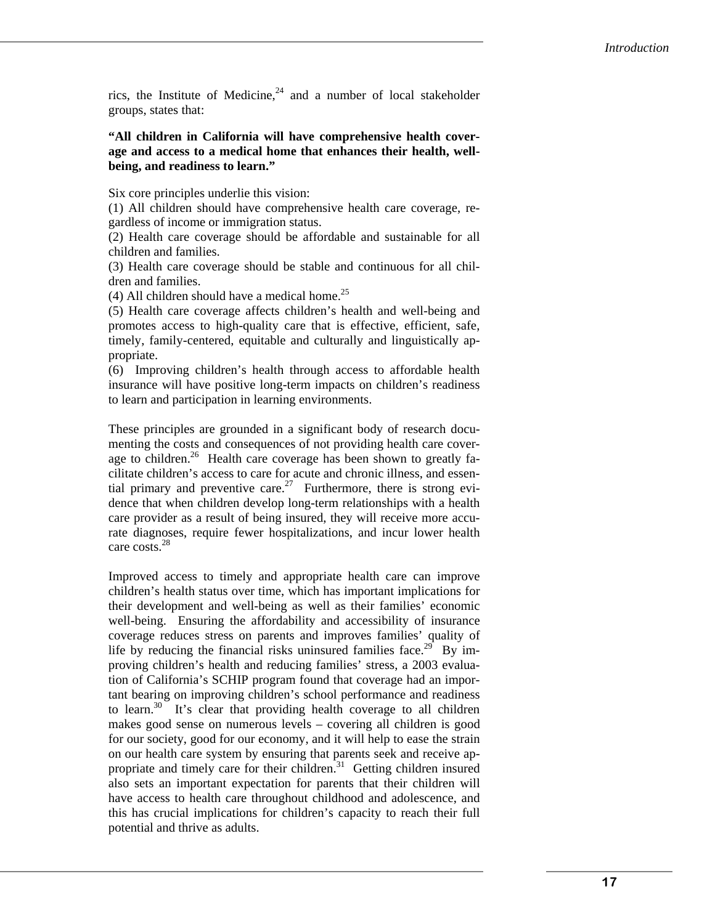rics, the Institute of Medicine,  $24$  and a number of local stakeholder groups, states that:

#### **"All children in California will have comprehensive health coverage and access to a medical home that enhances their health, wellbeing, and readiness to learn."**

Six core principles underlie this vision:

(1) All children should have comprehensive health care coverage, regardless of income or immigration status.

(2) Health care coverage should be affordable and sustainable for all children and families.

(3) Health care coverage should be stable and continuous for all children and families.

(4) All children should have a medical home.<sup>25</sup>

(5) Health care coverage affects children's health and well-being and promotes access to high-quality care that is effective, efficient, safe, timely, family-centered, equitable and culturally and linguistically appropriate.

(6) Improving children's health through access to affordable health insurance will have positive long-term impacts on children's readiness to learn and participation in learning environments.

These principles are grounded in a significant body of research documenting the costs and consequences of not providing health care coverage to children.<sup>26</sup> Health care coverage has been shown to greatly facilitate children's access to care for acute and chronic illness, and essential primary and preventive care.<sup>27</sup> Furthermore, there is strong evidence that when children develop long-term relationships with a health care provider as a result of being insured, they will receive more accurate diagnoses, require fewer hospitalizations, and incur lower health care costs.<sup>28</sup>

Improved access to timely and appropriate health care can improve children's health status over time, which has important implications for their development and well-being as well as their families' economic well-being. Ensuring the affordability and accessibility of insurance coverage reduces stress on parents and improves families' quality of life by reducing the financial risks uninsured families face.<sup>29</sup> By improving children's health and reducing families' stress, a 2003 evaluation of California's SCHIP program found that coverage had an important bearing on improving children's school performance and readiness to learn. $30$  It's clear that providing health coverage to all children makes good sense on numerous levels – covering all children is good for our society, good for our economy, and it will help to ease the strain on our health care system by ensuring that parents seek and receive appropriate and timely care for their children.<sup>31</sup> Getting children insured also sets an important expectation for parents that their children will have access to health care throughout childhood and adolescence, and this has crucial implications for children's capacity to reach their full potential and thrive as adults.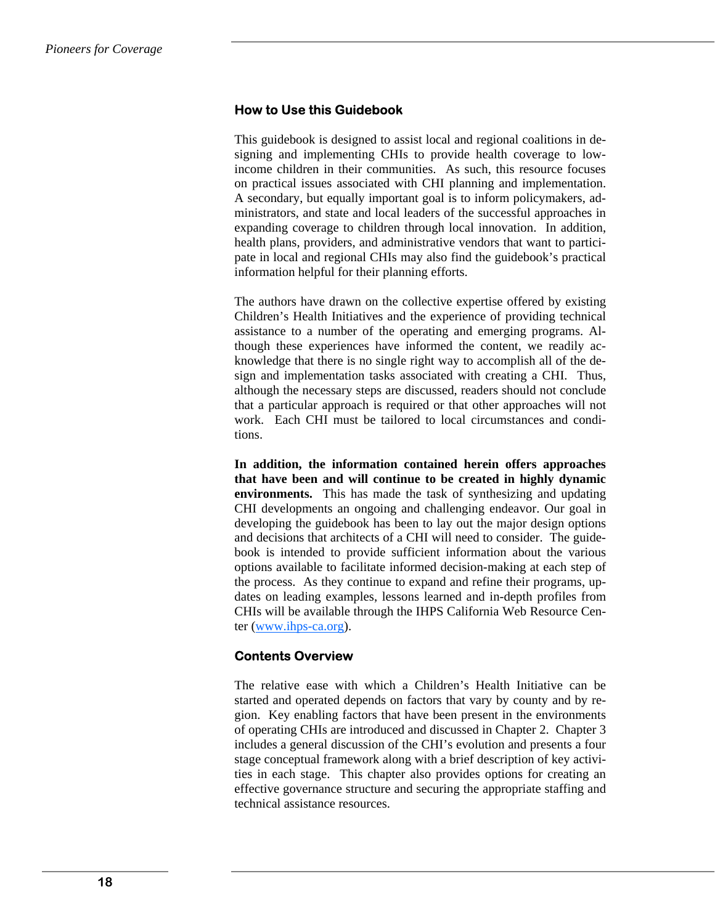## **How to Use this Guidebook**

This guidebook is designed to assist local and regional coalitions in designing and implementing CHIs to provide health coverage to lowincome children in their communities. As such, this resource focuses on practical issues associated with CHI planning and implementation. A secondary, but equally important goal is to inform policymakers, administrators, and state and local leaders of the successful approaches in expanding coverage to children through local innovation. In addition, health plans, providers, and administrative vendors that want to participate in local and regional CHIs may also find the guidebook's practical information helpful for their planning efforts.

The authors have drawn on the collective expertise offered by existing Children's Health Initiatives and the experience of providing technical assistance to a number of the operating and emerging programs. Although these experiences have informed the content, we readily acknowledge that there is no single right way to accomplish all of the design and implementation tasks associated with creating a CHI. Thus, although the necessary steps are discussed, readers should not conclude that a particular approach is required or that other approaches will not work. Each CHI must be tailored to local circumstances and conditions.

**In addition, the information contained herein offers approaches that have been and will continue to be created in highly dynamic environments.** This has made the task of synthesizing and updating CHI developments an ongoing and challenging endeavor. Our goal in developing the guidebook has been to lay out the major design options and decisions that architects of a CHI will need to consider. The guidebook is intended to provide sufficient information about the various options available to facilitate informed decision-making at each step of the process. As they continue to expand and refine their programs, updates on leading examples, lessons learned and in-depth profiles from CHIs will be available through the IHPS California Web Resource Center (www.ihps-ca.org).

#### **Contents Overview**

The relative ease with which a Children's Health Initiative can be started and operated depends on factors that vary by county and by region. Key enabling factors that have been present in the environments of operating CHIs are introduced and discussed in Chapter 2. Chapter 3 includes a general discussion of the CHI's evolution and presents a four stage conceptual framework along with a brief description of key activities in each stage. This chapter also provides options for creating an effective governance structure and securing the appropriate staffing and technical assistance resources.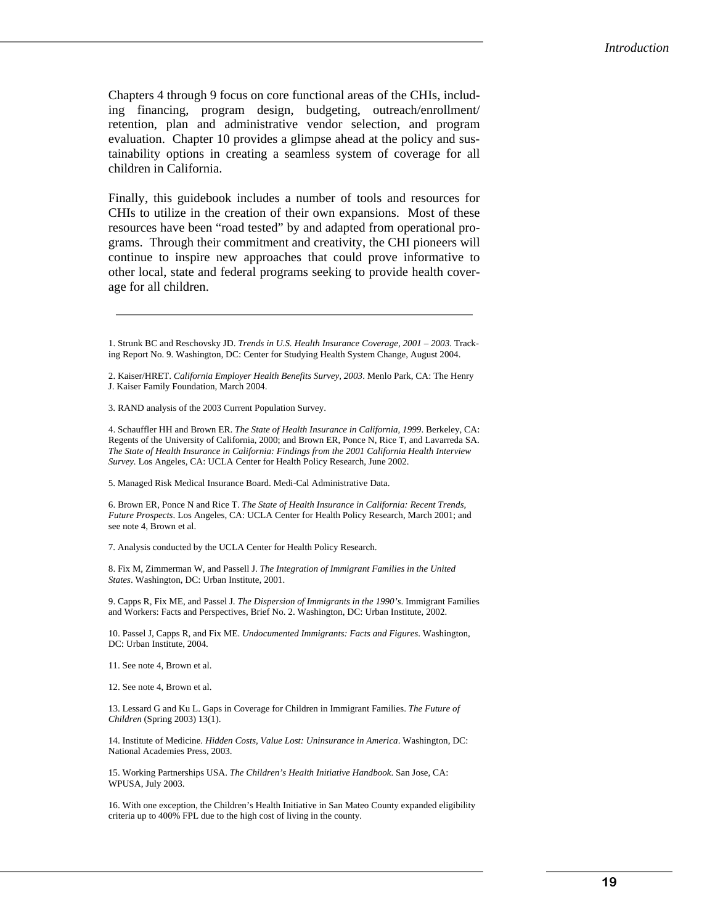Chapters 4 through 9 focus on core functional areas of the CHIs, including financing, program design, budgeting, outreach/enrollment/ retention, plan and administrative vendor selection, and program evaluation. Chapter 10 provides a glimpse ahead at the policy and sustainability options in creating a seamless system of coverage for all children in California.

Finally, this guidebook includes a number of tools and resources for CHIs to utilize in the creation of their own expansions. Most of these resources have been "road tested" by and adapted from operational programs. Through their commitment and creativity, the CHI pioneers will continue to inspire new approaches that could prove informative to other local, state and federal programs seeking to provide health coverage for all children.

2. Kaiser/HRET. *California Employer Health Benefits Survey, 2003*. Menlo Park, CA: The Henry J. Kaiser Family Foundation, March 2004.

3. RAND analysis of the 2003 Current Population Survey.

4. Schauffler HH and Brown ER. *The State of Health Insurance in California, 1999*. Berkeley, CA: Regents of the University of California, 2000; and Brown ER, Ponce N, Rice T, and Lavarreda SA. *The State of Health Insurance in California: Findings from the 2001 California Health Interview Survey.* Los Angeles, CA: UCLA Center for Health Policy Research, June 2002.

5. Managed Risk Medical Insurance Board. Medi-Cal Administrative Data.

6. Brown ER, Ponce N and Rice T. *The State of Health Insurance in California: Recent Trends, Future Prospects*. Los Angeles, CA: UCLA Center for Health Policy Research, March 2001; and see note 4, Brown et al.

7. Analysis conducted by the UCLA Center for Health Policy Research.

8. Fix M, Zimmerman W, and Passell J. *The Integration of Immigrant Families in the United States*. Washington, DC: Urban Institute, 2001.

9. Capps R, Fix ME, and Passel J. *The Dispersion of Immigrants in the 1990's*. Immigrant Families and Workers: Facts and Perspectives, Brief No. 2. Washington, DC: Urban Institute, 2002.

10. Passel J, Capps R, and Fix ME. *Undocumented Immigrants: Facts and Figures*. Washington, DC: Urban Institute, 2004.

11. See note 4, Brown et al.

12. See note 4, Brown et al.

13. Lessard G and Ku L. Gaps in Coverage for Children in Immigrant Families. *The Future of Children* (Spring 2003) 13(1).

14. Institute of Medicine. *Hidden Costs, Value Lost: Uninsurance in America*. Washington, DC: National Academies Press, 2003.

15. Working Partnerships USA. *The Children's Health Initiative Handbook*. San Jose, CA: WPUSA, July 2003.

16. With one exception, the Children's Health Initiative in San Mateo County expanded eligibility criteria up to 400% FPL due to the high cost of living in the county.

<sup>1.</sup> Strunk BC and Reschovsky JD. *Trends in U.S. Health Insurance Coverage, 2001 – 2003*. Tracking Report No. 9. Washington, DC: Center for Studying Health System Change, August 2004.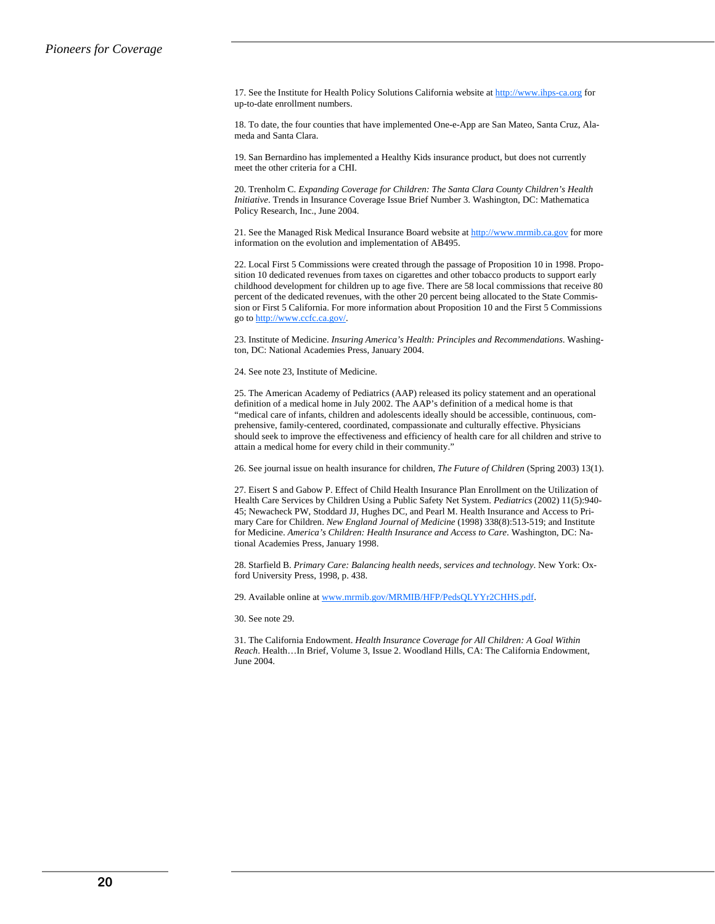17. See the Institute for Health Policy Solutions California website at http://www.ihps-ca.org for up-to-date enrollment numbers.

18. To date, the four counties that have implemented One-e-App are San Mateo, Santa Cruz, Alameda and Santa Clara.

19. San Bernardino has implemented a Healthy Kids insurance product, but does not currently meet the other criteria for a CHI.

20. Trenholm C. *Expanding Coverage for Children: The Santa Clara County Children's Health Initiative*. Trends in Insurance Coverage Issue Brief Number 3. Washington, DC: Mathematica Policy Research, Inc., June 2004.

21. See the Managed Risk Medical Insurance Board website at http://www.mrmib.ca.gov for more information on the evolution and implementation of AB495.

22. Local First 5 Commissions were created through the passage of Proposition 10 in 1998. Proposition 10 dedicated revenues from taxes on cigarettes and other tobacco products to support early childhood development for children up to age five. There are 58 local commissions that receive 80 percent of the dedicated revenues, with the other 20 percent being allocated to the State Commission or First 5 California. For more information about Proposition 10 and the First 5 Commissions go to http://www.ccfc.ca.gov/.

23. Institute of Medicine. *Insuring America's Health: Principles and Recommendations*. Washington, DC: National Academies Press, January 2004.

24. See note 23, Institute of Medicine.

25. The American Academy of Pediatrics (AAP) released its policy statement and an operational definition of a medical home in July 2002. The AAP's definition of a medical home is that "medical care of infants, children and adolescents ideally should be accessible, continuous, comprehensive, family-centered, coordinated, compassionate and culturally effective. Physicians should seek to improve the effectiveness and efficiency of health care for all children and strive to attain a medical home for every child in their community."

26. See journal issue on health insurance for children, *The Future of Children* (Spring 2003) 13(1).

27. Eisert S and Gabow P. Effect of Child Health Insurance Plan Enrollment on the Utilization of Health Care Services by Children Using a Public Safety Net System. *Pediatrics* (2002) 11(5):940- 45; Newacheck PW, Stoddard JJ, Hughes DC, and Pearl M. Health Insurance and Access to Primary Care for Children. *New England Journal of Medicine* (1998) 338(8):513-519; and Institute for Medicine. *America's Children: Health Insurance and Access to Care*. Washington, DC: National Academies Press, January 1998.

28. Starfield B. *Primary Care: Balancing health needs, services and technology*. New York: Oxford University Press, 1998, p. 438.

29. Available online at www.mrmib.gov/MRMIB/HFP/PedsQLYYr2CHHS.pdf.

30. See note 29.

31. The California Endowment. *Health Insurance Coverage for All Children: A Goal Within Reach*. Health…In Brief, Volume 3, Issue 2. Woodland Hills, CA: The California Endowment, June 2004.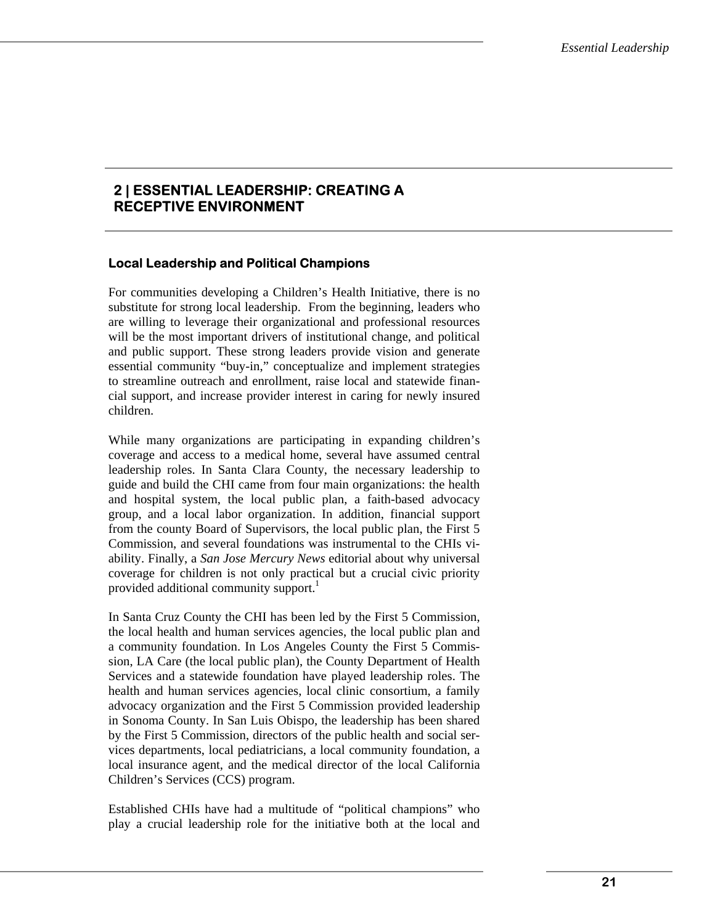# **2 | ESSENTIAL LEADERSHIP: CREATING A RECEPTIVE ENVIRONMENT**

#### **Local Leadership and Political Champions**

For communities developing a Children's Health Initiative, there is no substitute for strong local leadership. From the beginning, leaders who are willing to leverage their organizational and professional resources will be the most important drivers of institutional change, and political and public support. These strong leaders provide vision and generate essential community "buy-in," conceptualize and implement strategies to streamline outreach and enrollment, raise local and statewide financial support, and increase provider interest in caring for newly insured children.

While many organizations are participating in expanding children's coverage and access to a medical home, several have assumed central leadership roles. In Santa Clara County, the necessary leadership to guide and build the CHI came from four main organizations: the health and hospital system, the local public plan, a faith-based advocacy group, and a local labor organization. In addition, financial support from the county Board of Supervisors, the local public plan, the First 5 Commission, and several foundations was instrumental to the CHIs viability. Finally, a *San Jose Mercury News* editorial about why universal coverage for children is not only practical but a crucial civic priority provided additional community support.<sup>1</sup>

In Santa Cruz County the CHI has been led by the First 5 Commission, the local health and human services agencies, the local public plan and a community foundation. In Los Angeles County the First 5 Commission, LA Care (the local public plan), the County Department of Health Services and a statewide foundation have played leadership roles. The health and human services agencies, local clinic consortium, a family advocacy organization and the First 5 Commission provided leadership in Sonoma County. In San Luis Obispo, the leadership has been shared by the First 5 Commission, directors of the public health and social services departments, local pediatricians, a local community foundation, a local insurance agent, and the medical director of the local California Children's Services (CCS) program.

Established CHIs have had a multitude of "political champions" who play a crucial leadership role for the initiative both at the local and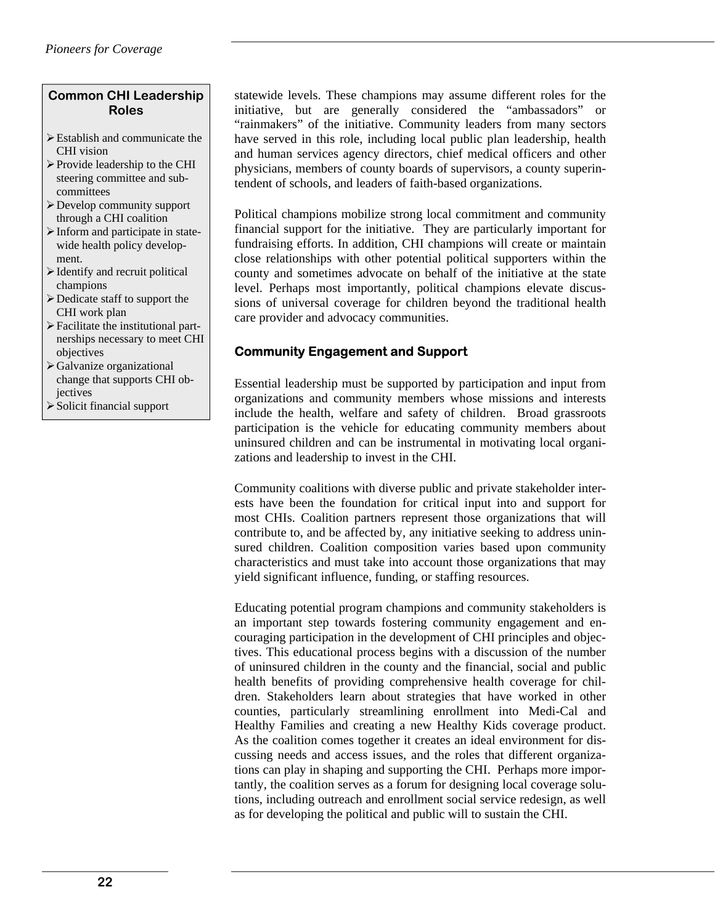# **Common CHI Leadership Roles**

- ¾ Establish and communicate the CHI vision
- $\triangleright$  Provide leadership to the CHI steering committee and subcommittees
- ¾ Develop community support through a CHI coalition
- ¾ Inform and participate in statewide health policy development.
- $\triangleright$  Identify and recruit political champions
- $\triangleright$  Dedicate staff to support the CHI work plan
- $\triangleright$  Facilitate the institutional partnerships necessary to meet CHI objectives
- ¾ Galvanize organizational change that supports CHI objectives
- ¾ Solicit financial support

statewide levels. These champions may assume different roles for the initiative, but are generally considered the "ambassadors" or "rainmakers" of the initiative. Community leaders from many sectors have served in this role, including local public plan leadership, health and human services agency directors, chief medical officers and other physicians, members of county boards of supervisors, a county superintendent of schools, and leaders of faith-based organizations.

Political champions mobilize strong local commitment and community financial support for the initiative. They are particularly important for fundraising efforts. In addition, CHI champions will create or maintain close relationships with other potential political supporters within the county and sometimes advocate on behalf of the initiative at the state level. Perhaps most importantly, political champions elevate discussions of universal coverage for children beyond the traditional health care provider and advocacy communities.

# **Community Engagement and Support**

Essential leadership must be supported by participation and input from organizations and community members whose missions and interests include the health, welfare and safety of children. Broad grassroots participation is the vehicle for educating community members about uninsured children and can be instrumental in motivating local organizations and leadership to invest in the CHI.

Community coalitions with diverse public and private stakeholder interests have been the foundation for critical input into and support for most CHIs. Coalition partners represent those organizations that will contribute to, and be affected by, any initiative seeking to address uninsured children. Coalition composition varies based upon community characteristics and must take into account those organizations that may yield significant influence, funding, or staffing resources.

Educating potential program champions and community stakeholders is an important step towards fostering community engagement and encouraging participation in the development of CHI principles and objectives. This educational process begins with a discussion of the number of uninsured children in the county and the financial, social and public health benefits of providing comprehensive health coverage for children. Stakeholders learn about strategies that have worked in other counties, particularly streamlining enrollment into Medi-Cal and Healthy Families and creating a new Healthy Kids coverage product. As the coalition comes together it creates an ideal environment for discussing needs and access issues, and the roles that different organizations can play in shaping and supporting the CHI. Perhaps more importantly, the coalition serves as a forum for designing local coverage solutions, including outreach and enrollment social service redesign, as well as for developing the political and public will to sustain the CHI.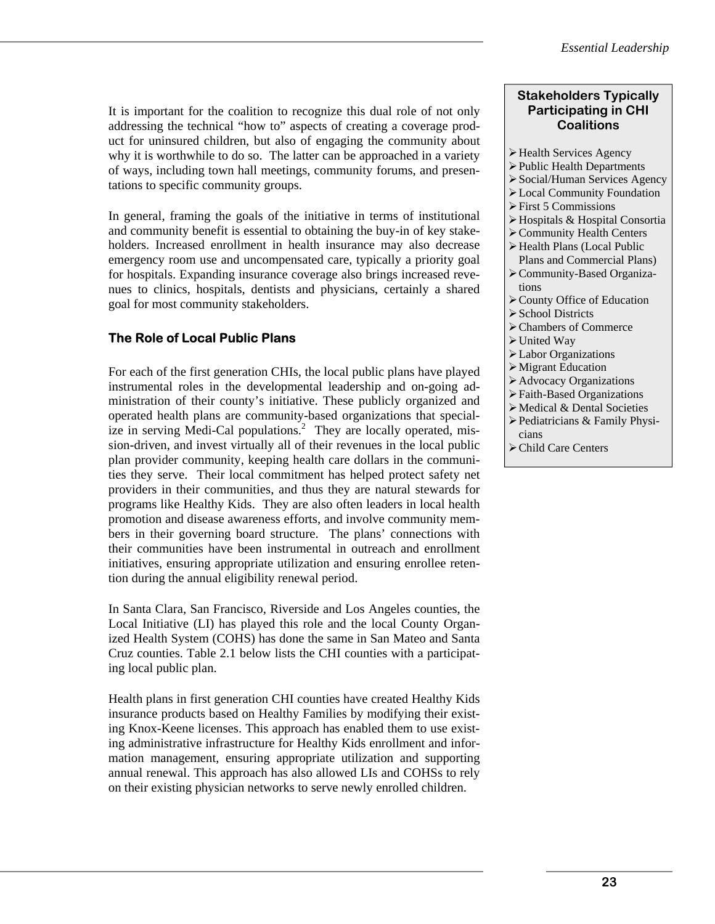It is important for the coalition to recognize this dual role of not only addressing the technical "how to" aspects of creating a coverage product for uninsured children, but also of engaging the community about why it is worthwhile to do so. The latter can be approached in a variety of ways, including town hall meetings, community forums, and presentations to specific community groups.

In general, framing the goals of the initiative in terms of institutional and community benefit is essential to obtaining the buy-in of key stakeholders. Increased enrollment in health insurance may also decrease emergency room use and uncompensated care, typically a priority goal for hospitals. Expanding insurance coverage also brings increased revenues to clinics, hospitals, dentists and physicians, certainly a shared goal for most community stakeholders.

# **The Role of Local Public Plans**

For each of the first generation CHIs, the local public plans have played instrumental roles in the developmental leadership and on-going administration of their county's initiative. These publicly organized and operated health plans are community-based organizations that specialize in serving Medi-Cal populations.<sup>2</sup> They are locally operated, mission-driven, and invest virtually all of their revenues in the local public plan provider community, keeping health care dollars in the communities they serve. Their local commitment has helped protect safety net providers in their communities, and thus they are natural stewards for programs like Healthy Kids. They are also often leaders in local health promotion and disease awareness efforts, and involve community members in their governing board structure. The plans' connections with their communities have been instrumental in outreach and enrollment initiatives, ensuring appropriate utilization and ensuring enrollee retention during the annual eligibility renewal period.

In Santa Clara, San Francisco, Riverside and Los Angeles counties, the Local Initiative (LI) has played this role and the local County Organized Health System (COHS) has done the same in San Mateo and Santa Cruz counties. Table 2.1 below lists the CHI counties with a participating local public plan.

Health plans in first generation CHI counties have created Healthy Kids insurance products based on Healthy Families by modifying their existing Knox-Keene licenses. This approach has enabled them to use existing administrative infrastructure for Healthy Kids enrollment and information management, ensuring appropriate utilization and supporting annual renewal. This approach has also allowed LIs and COHSs to rely on their existing physician networks to serve newly enrolled children.

#### **Stakeholders Typically Participating in CHI Coalitions**

- ¾ Health Services Agency
- ¾ Public Health Departments
- ¾ Social/Human Services Agency
- ¾ Local Community Foundation
- $\triangleright$  First 5 Commissions
- ¾ Hospitals & Hospital Consortia
- ¾ Community Health Centers
- ¾ Health Plans (Local Public
- Plans and Commercial Plans) ¾ Community-Based Organiza-
- tions
- ¾ County Office of Education
- $\triangleright$  School Districts
- ¾ Chambers of Commerce
- $\triangleright$  United Way
- ¾ Labor Organizations
- $\triangleright$  Migrant Education
- ¾ Advocacy Organizations
- ¾ Faith-Based Organizations
- ¾ Medical & Dental Societies
- $\triangleright$  Pediatricians & Family Physicians
- ¾ Child Care Centers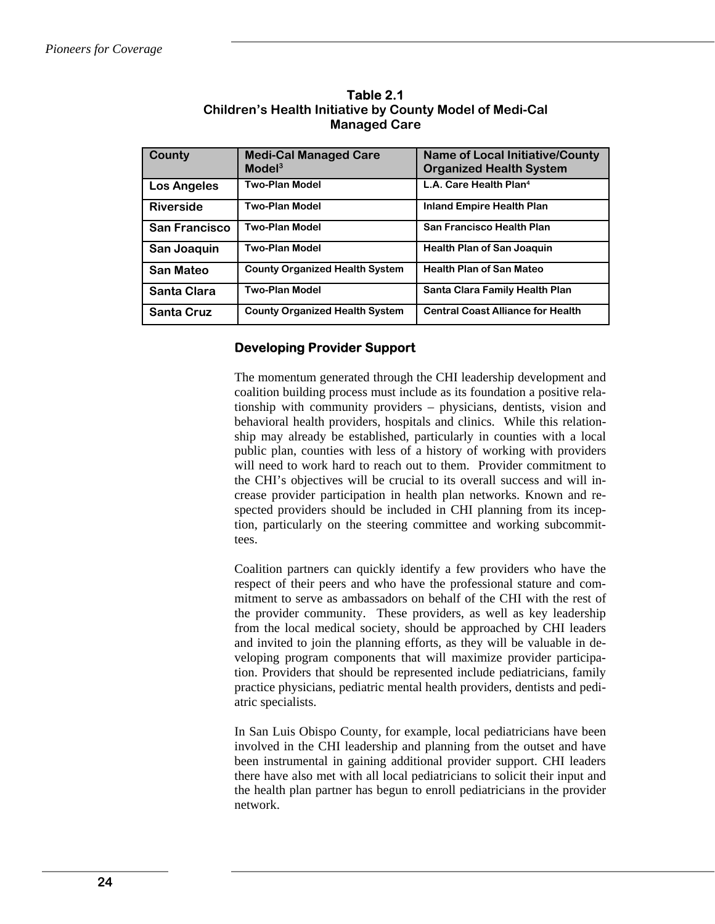| County               | <b>Medi-Cal Managed Care</b><br>Model <sup>3</sup> | <b>Name of Local Initiative/County</b><br><b>Organized Health System</b> |
|----------------------|----------------------------------------------------|--------------------------------------------------------------------------|
| <b>Los Angeles</b>   | <b>Two-Plan Model</b>                              | L.A. Care Health Plan <sup>4</sup>                                       |
| <b>Riverside</b>     | <b>Two-Plan Model</b>                              | <b>Inland Empire Health Plan</b>                                         |
| <b>San Francisco</b> | <b>Two-Plan Model</b>                              | San Francisco Health Plan                                                |
| San Joaquin          | <b>Two-Plan Model</b>                              | <b>Health Plan of San Joaquin</b>                                        |
| <b>San Mateo</b>     | <b>County Organized Health System</b>              | <b>Health Plan of San Mateo</b>                                          |
| Santa Clara          | <b>Two-Plan Model</b>                              | Santa Clara Family Health Plan                                           |
| <b>Santa Cruz</b>    | <b>County Organized Health System</b>              | <b>Central Coast Alliance for Health</b>                                 |

**Table 2.1 Children's Health Initiative by County Model of Medi-Cal Managed Care** 

#### **Developing Provider Support**

The momentum generated through the CHI leadership development and coalition building process must include as its foundation a positive relationship with community providers – physicians, dentists, vision and behavioral health providers, hospitals and clinics. While this relationship may already be established, particularly in counties with a local public plan, counties with less of a history of working with providers will need to work hard to reach out to them. Provider commitment to the CHI's objectives will be crucial to its overall success and will increase provider participation in health plan networks. Known and respected providers should be included in CHI planning from its inception, particularly on the steering committee and working subcommittees.

Coalition partners can quickly identify a few providers who have the respect of their peers and who have the professional stature and commitment to serve as ambassadors on behalf of the CHI with the rest of the provider community. These providers, as well as key leadership from the local medical society, should be approached by CHI leaders and invited to join the planning efforts, as they will be valuable in developing program components that will maximize provider participation. Providers that should be represented include pediatricians, family practice physicians, pediatric mental health providers, dentists and pediatric specialists.

In San Luis Obispo County, for example, local pediatricians have been involved in the CHI leadership and planning from the outset and have been instrumental in gaining additional provider support. CHI leaders there have also met with all local pediatricians to solicit their input and the health plan partner has begun to enroll pediatricians in the provider network.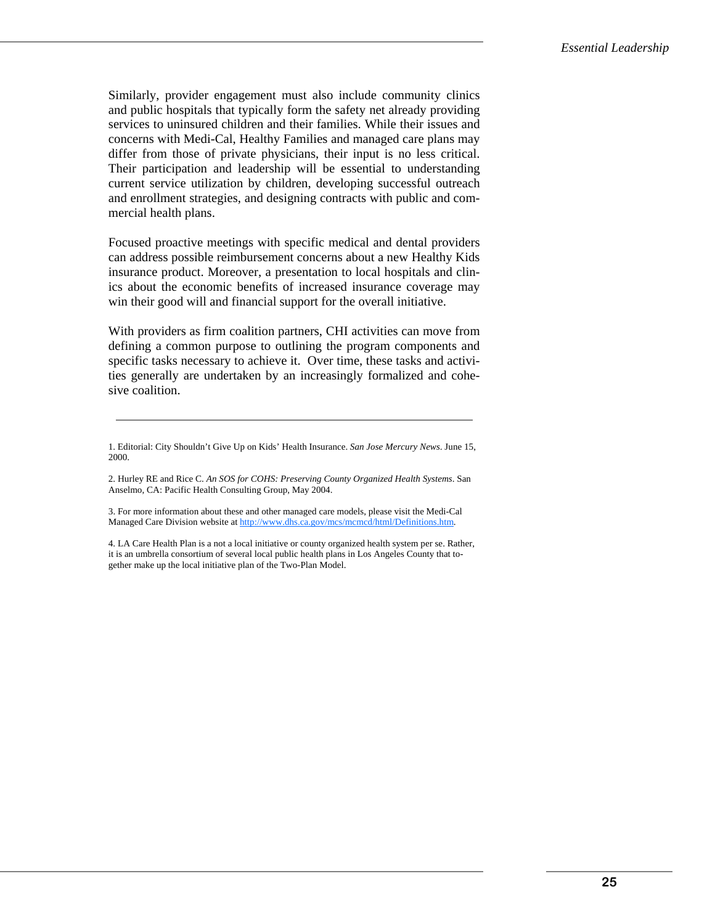Similarly, provider engagement must also include community clinics and public hospitals that typically form the safety net already providing services to uninsured children and their families. While their issues and concerns with Medi-Cal, Healthy Families and managed care plans may differ from those of private physicians, their input is no less critical. Their participation and leadership will be essential to understanding current service utilization by children, developing successful outreach and enrollment strategies, and designing contracts with public and commercial health plans.

Focused proactive meetings with specific medical and dental providers can address possible reimbursement concerns about a new Healthy Kids insurance product. Moreover, a presentation to local hospitals and clinics about the economic benefits of increased insurance coverage may win their good will and financial support for the overall initiative.

With providers as firm coalition partners, CHI activities can move from defining a common purpose to outlining the program components and specific tasks necessary to achieve it. Over time, these tasks and activities generally are undertaken by an increasingly formalized and cohesive coalition.

3. For more information about these and other managed care models, please visit the Medi-Cal Managed Care Division website at http://www.dhs.ca.gov/mcs/mcmcd/html/Definitions.htm.

4. LA Care Health Plan is a not a local initiative or county organized health system per se. Rather, it is an umbrella consortium of several local public health plans in Los Angeles County that together make up the local initiative plan of the Two-Plan Model.

<sup>1.</sup> Editorial: City Shouldn't Give Up on Kids' Health Insurance. *San Jose Mercury News*. June 15, 2000.

<sup>2.</sup> Hurley RE and Rice C. *An SOS for COHS: Preserving County Organized Health Systems*. San Anselmo, CA: Pacific Health Consulting Group, May 2004.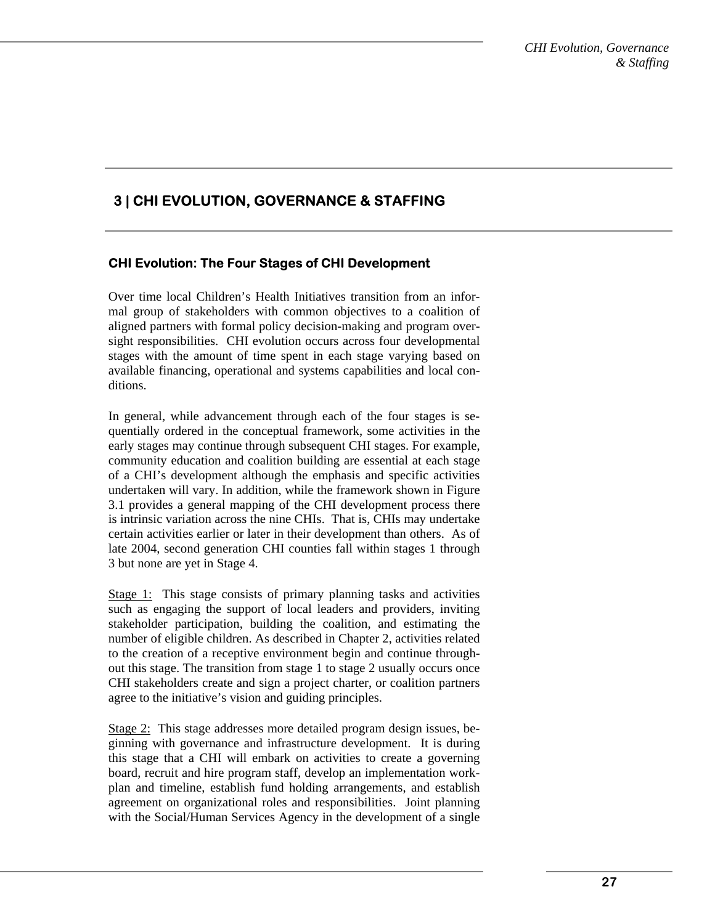# **3 | CHI EVOLUTION, GOVERNANCE & STAFFING**

# **CHI Evolution: The Four Stages of CHI Development**

Over time local Children's Health Initiatives transition from an informal group of stakeholders with common objectives to a coalition of aligned partners with formal policy decision-making and program oversight responsibilities. CHI evolution occurs across four developmental stages with the amount of time spent in each stage varying based on available financing, operational and systems capabilities and local conditions.

In general, while advancement through each of the four stages is sequentially ordered in the conceptual framework, some activities in the early stages may continue through subsequent CHI stages. For example, community education and coalition building are essential at each stage of a CHI's development although the emphasis and specific activities undertaken will vary. In addition, while the framework shown in Figure 3.1 provides a general mapping of the CHI development process there is intrinsic variation across the nine CHIs. That is, CHIs may undertake certain activities earlier or later in their development than others. As of late 2004, second generation CHI counties fall within stages 1 through 3 but none are yet in Stage 4.

Stage 1: This stage consists of primary planning tasks and activities such as engaging the support of local leaders and providers, inviting stakeholder participation, building the coalition, and estimating the number of eligible children. As described in Chapter 2, activities related to the creation of a receptive environment begin and continue throughout this stage. The transition from stage 1 to stage 2 usually occurs once CHI stakeholders create and sign a project charter, or coalition partners agree to the initiative's vision and guiding principles.

Stage 2: This stage addresses more detailed program design issues, beginning with governance and infrastructure development. It is during this stage that a CHI will embark on activities to create a governing board, recruit and hire program staff, develop an implementation workplan and timeline, establish fund holding arrangements, and establish agreement on organizational roles and responsibilities. Joint planning with the Social/Human Services Agency in the development of a single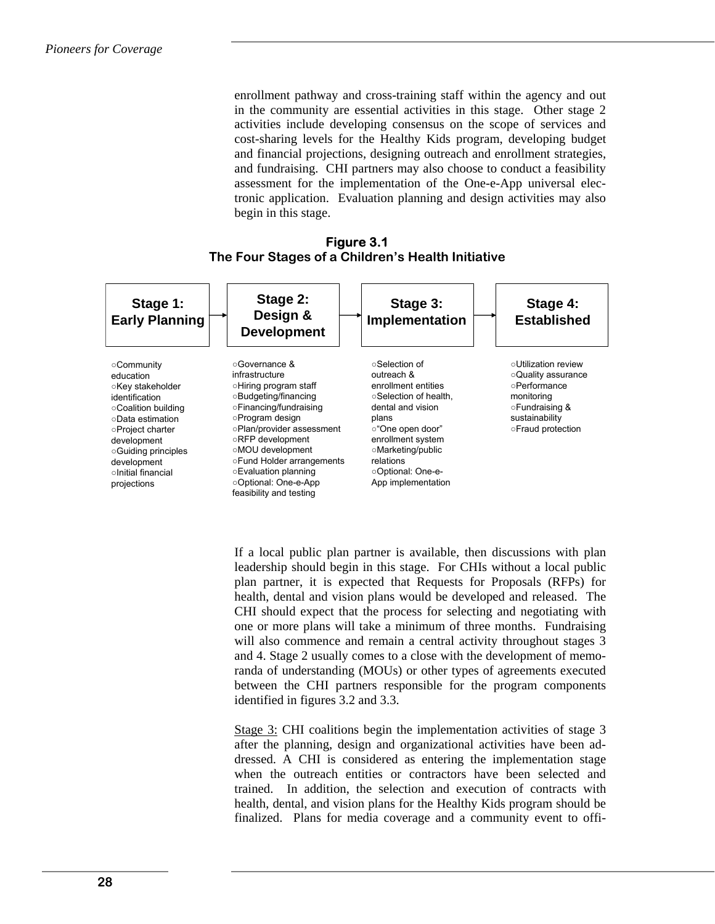enrollment pathway and cross-training staff within the agency and out in the community are essential activities in this stage. Other stage 2 activities include developing consensus on the scope of services and cost-sharing levels for the Healthy Kids program, developing budget and financial projections, designing outreach and enrollment strategies, and fundraising. CHI partners may also choose to conduct a feasibility assessment for the implementation of the One-e-App universal electronic application. Evaluation planning and design activities may also begin in this stage.

#### **Figure 3.1 The Four Stages of a Children's Health Initiative**



If a local public plan partner is available, then discussions with plan leadership should begin in this stage. For CHIs without a local public plan partner, it is expected that Requests for Proposals (RFPs) for health, dental and vision plans would be developed and released. The CHI should expect that the process for selecting and negotiating with one or more plans will take a minimum of three months. Fundraising will also commence and remain a central activity throughout stages 3 and 4. Stage 2 usually comes to a close with the development of memoranda of understanding (MOUs) or other types of agreements executed between the CHI partners responsible for the program components identified in figures 3.2 and 3.3.

Stage 3: CHI coalitions begin the implementation activities of stage 3 after the planning, design and organizational activities have been addressed. A CHI is considered as entering the implementation stage when the outreach entities or contractors have been selected and trained. In addition, the selection and execution of contracts with health, dental, and vision plans for the Healthy Kids program should be finalized. Plans for media coverage and a community event to offi-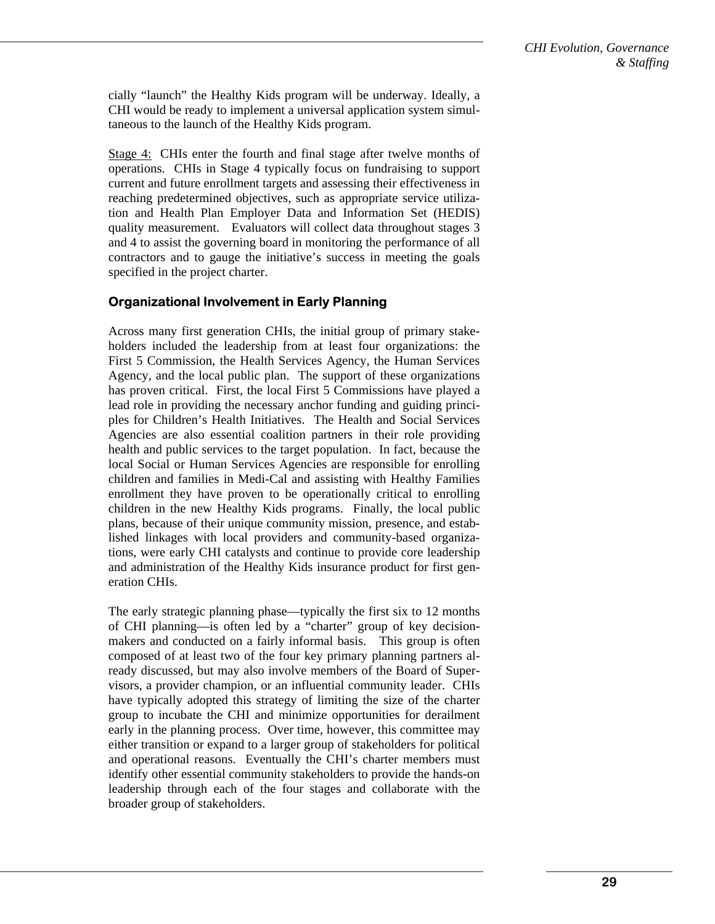cially "launch" the Healthy Kids program will be underway. Ideally, a CHI would be ready to implement a universal application system simultaneous to the launch of the Healthy Kids program.

Stage 4: CHIs enter the fourth and final stage after twelve months of operations. CHIs in Stage 4 typically focus on fundraising to support current and future enrollment targets and assessing their effectiveness in reaching predetermined objectives, such as appropriate service utilization and Health Plan Employer Data and Information Set (HEDIS) quality measurement. Evaluators will collect data throughout stages 3 and 4 to assist the governing board in monitoring the performance of all contractors and to gauge the initiative's success in meeting the goals specified in the project charter.

#### **Organizational Involvement in Early Planning**

Across many first generation CHIs, the initial group of primary stakeholders included the leadership from at least four organizations: the First 5 Commission, the Health Services Agency, the Human Services Agency, and the local public plan. The support of these organizations has proven critical. First, the local First 5 Commissions have played a lead role in providing the necessary anchor funding and guiding principles for Children's Health Initiatives. The Health and Social Services Agencies are also essential coalition partners in their role providing health and public services to the target population. In fact, because the local Social or Human Services Agencies are responsible for enrolling children and families in Medi-Cal and assisting with Healthy Families enrollment they have proven to be operationally critical to enrolling children in the new Healthy Kids programs. Finally, the local public plans, because of their unique community mission, presence, and established linkages with local providers and community-based organizations, were early CHI catalysts and continue to provide core leadership and administration of the Healthy Kids insurance product for first generation CHIs.

The early strategic planning phase—typically the first six to 12 months of CHI planning—is often led by a "charter" group of key decisionmakers and conducted on a fairly informal basis. This group is often composed of at least two of the four key primary planning partners already discussed, but may also involve members of the Board of Supervisors, a provider champion, or an influential community leader. CHIs have typically adopted this strategy of limiting the size of the charter group to incubate the CHI and minimize opportunities for derailment early in the planning process. Over time, however, this committee may either transition or expand to a larger group of stakeholders for political and operational reasons. Eventually the CHI's charter members must identify other essential community stakeholders to provide the hands-on leadership through each of the four stages and collaborate with the broader group of stakeholders.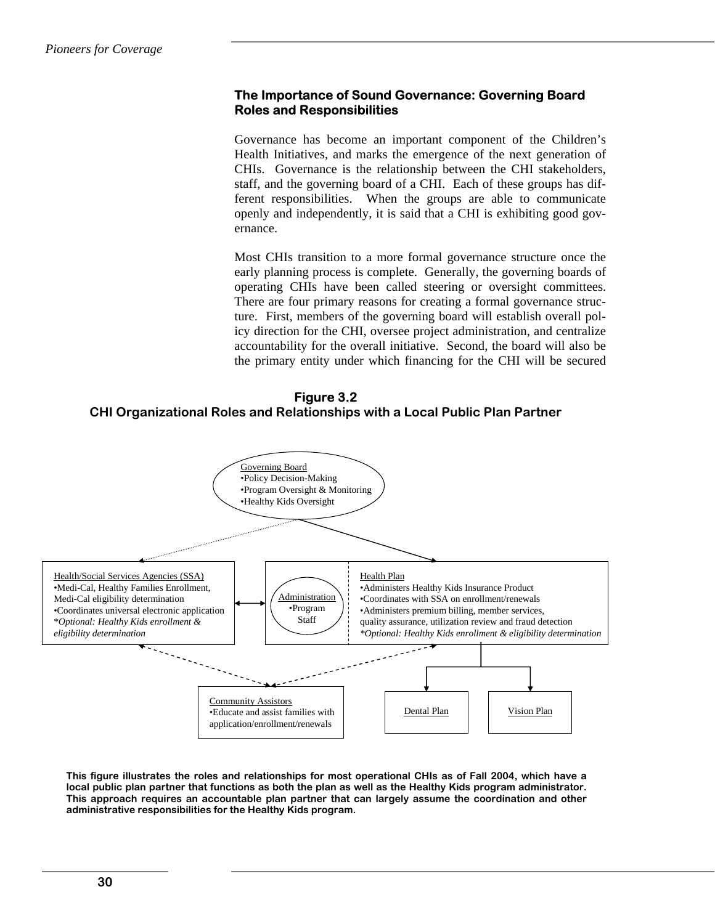### **The Importance of Sound Governance: Governing Board Roles and Responsibilities**

Governance has become an important component of the Children's Health Initiatives, and marks the emergence of the next generation of CHIs. Governance is the relationship between the CHI stakeholders, staff, and the governing board of a CHI. Each of these groups has different responsibilities. When the groups are able to communicate openly and independently, it is said that a CHI is exhibiting good governance.

Most CHIs transition to a more formal governance structure once the early planning process is complete. Generally, the governing boards of operating CHIs have been called steering or oversight committees. There are four primary reasons for creating a formal governance structure. First, members of the governing board will establish overall policy direction for the CHI, oversee project administration, and centralize accountability for the overall initiative. Second, the board will also be the primary entity under which financing for the CHI will be secured

# **Figure 3.2 CHI Organizational Roles and Relationships with a Local Public Plan Partner**



**This figure illustrates the roles and relationships for most operational CHIs as of Fall 2004, which have a local public plan partner that functions as both the plan as well as the Healthy Kids program administrator. This approach requires an accountable plan partner that can largely assume the coordination and other administrative responsibilities for the Healthy Kids program.**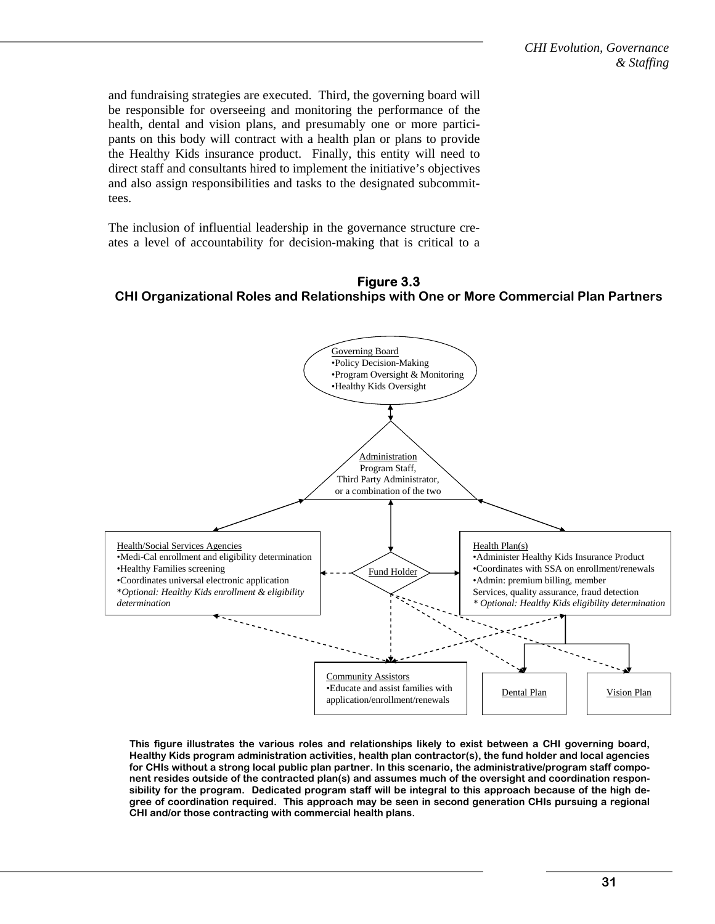and fundraising strategies are executed. Third, the governing board will be responsible for overseeing and monitoring the performance of the health, dental and vision plans, and presumably one or more participants on this body will contract with a health plan or plans to provide the Healthy Kids insurance product. Finally, this entity will need to direct staff and consultants hired to implement the initiative's objectives and also assign responsibilities and tasks to the designated subcommittees.

The inclusion of influential leadership in the governance structure creates a level of accountability for decision-making that is critical to a





**This figure illustrates the various roles and relationships likely to exist between a CHI governing board, Healthy Kids program administration activities, health plan contractor(s), the fund holder and local agencies for CHIs without a strong local public plan partner. In this scenario, the administrative/program staff component resides outside of the contracted plan(s) and assumes much of the oversight and coordination responsibility for the program. Dedicated program staff will be integral to this approach because of the high degree of coordination required. This approach may be seen in second generation CHIs pursuing a regional CHI and/or those contracting with commercial health plans.**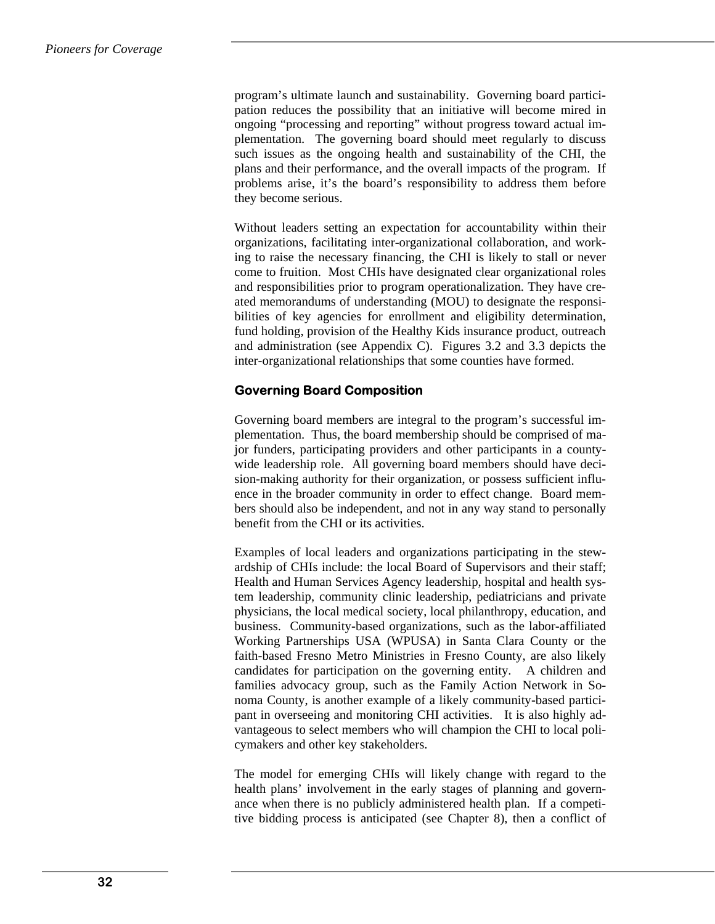program's ultimate launch and sustainability. Governing board participation reduces the possibility that an initiative will become mired in ongoing "processing and reporting" without progress toward actual implementation. The governing board should meet regularly to discuss such issues as the ongoing health and sustainability of the CHI, the plans and their performance, and the overall impacts of the program. If problems arise, it's the board's responsibility to address them before they become serious.

Without leaders setting an expectation for accountability within their organizations, facilitating inter-organizational collaboration, and working to raise the necessary financing, the CHI is likely to stall or never come to fruition. Most CHIs have designated clear organizational roles and responsibilities prior to program operationalization. They have created memorandums of understanding (MOU) to designate the responsibilities of key agencies for enrollment and eligibility determination, fund holding, provision of the Healthy Kids insurance product, outreach and administration (see Appendix C). Figures 3.2 and 3.3 depicts the inter-organizational relationships that some counties have formed.

# **Governing Board Composition**

Governing board members are integral to the program's successful implementation. Thus, the board membership should be comprised of major funders, participating providers and other participants in a countywide leadership role. All governing board members should have decision-making authority for their organization, or possess sufficient influence in the broader community in order to effect change. Board members should also be independent, and not in any way stand to personally benefit from the CHI or its activities.

Examples of local leaders and organizations participating in the stewardship of CHIs include: the local Board of Supervisors and their staff; Health and Human Services Agency leadership, hospital and health system leadership, community clinic leadership, pediatricians and private physicians, the local medical society, local philanthropy, education, and business. Community-based organizations, such as the labor-affiliated Working Partnerships USA (WPUSA) in Santa Clara County or the faith-based Fresno Metro Ministries in Fresno County, are also likely candidates for participation on the governing entity. A children and families advocacy group, such as the Family Action Network in Sonoma County, is another example of a likely community-based participant in overseeing and monitoring CHI activities. It is also highly advantageous to select members who will champion the CHI to local policymakers and other key stakeholders.

The model for emerging CHIs will likely change with regard to the health plans' involvement in the early stages of planning and governance when there is no publicly administered health plan. If a competitive bidding process is anticipated (see Chapter 8), then a conflict of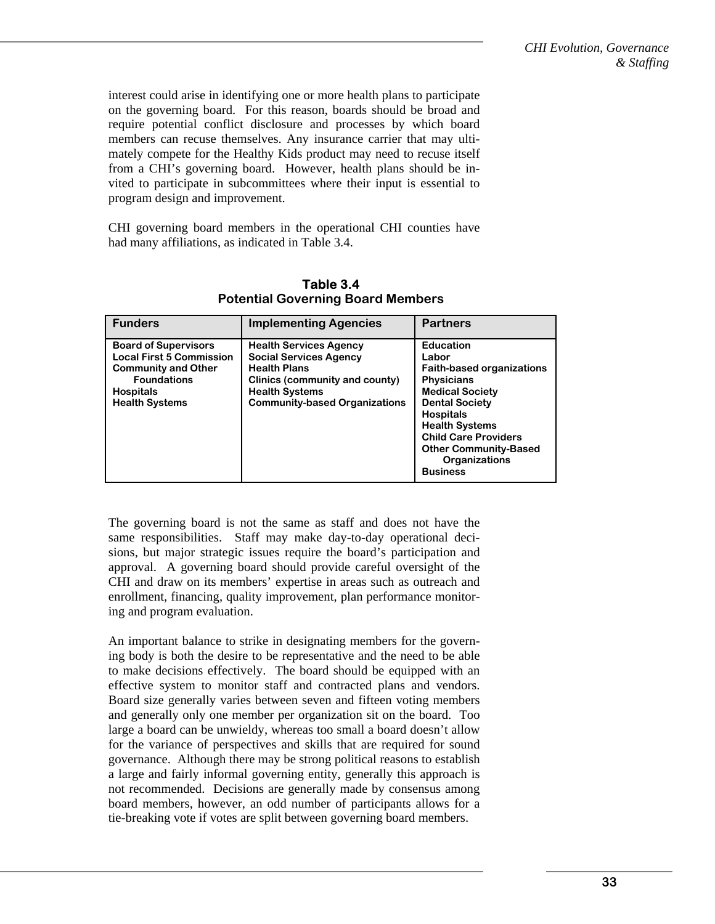interest could arise in identifying one or more health plans to participate on the governing board. For this reason, boards should be broad and require potential conflict disclosure and processes by which board members can recuse themselves. Any insurance carrier that may ultimately compete for the Healthy Kids product may need to recuse itself from a CHI's governing board. However, health plans should be invited to participate in subcommittees where their input is essential to program design and improvement.

CHI governing board members in the operational CHI counties have had many affiliations, as indicated in Table 3.4.

| <b>Funders</b>                                                                                                                                                  | <b>Implementing Agencies</b>                                                                                                                                                             | <b>Partners</b>                                                                                                                                                                                                                                                                              |
|-----------------------------------------------------------------------------------------------------------------------------------------------------------------|------------------------------------------------------------------------------------------------------------------------------------------------------------------------------------------|----------------------------------------------------------------------------------------------------------------------------------------------------------------------------------------------------------------------------------------------------------------------------------------------|
| <b>Board of Supervisors</b><br><b>Local First 5 Commission</b><br><b>Community and Other</b><br><b>Foundations</b><br><b>Hospitals</b><br><b>Health Systems</b> | <b>Health Services Agency</b><br><b>Social Services Agency</b><br><b>Health Plans</b><br>Clinics (community and county)<br><b>Health Systems</b><br><b>Community-based Organizations</b> | <b>Education</b><br>Labor<br><b>Faith-based organizations</b><br><b>Physicians</b><br><b>Medical Society</b><br><b>Dental Society</b><br><b>Hospitals</b><br><b>Health Systems</b><br><b>Child Care Providers</b><br><b>Other Community-Based</b><br><b>Organizations</b><br><b>Business</b> |

**Table 3.4 Potential Governing Board Members** 

The governing board is not the same as staff and does not have the same responsibilities. Staff may make day-to-day operational decisions, but major strategic issues require the board's participation and approval. A governing board should provide careful oversight of the CHI and draw on its members' expertise in areas such as outreach and enrollment, financing, quality improvement, plan performance monitoring and program evaluation.

An important balance to strike in designating members for the governing body is both the desire to be representative and the need to be able to make decisions effectively. The board should be equipped with an effective system to monitor staff and contracted plans and vendors. Board size generally varies between seven and fifteen voting members and generally only one member per organization sit on the board. Too large a board can be unwieldy, whereas too small a board doesn't allow for the variance of perspectives and skills that are required for sound governance. Although there may be strong political reasons to establish a large and fairly informal governing entity, generally this approach is not recommended. Decisions are generally made by consensus among board members, however, an odd number of participants allows for a tie-breaking vote if votes are split between governing board members.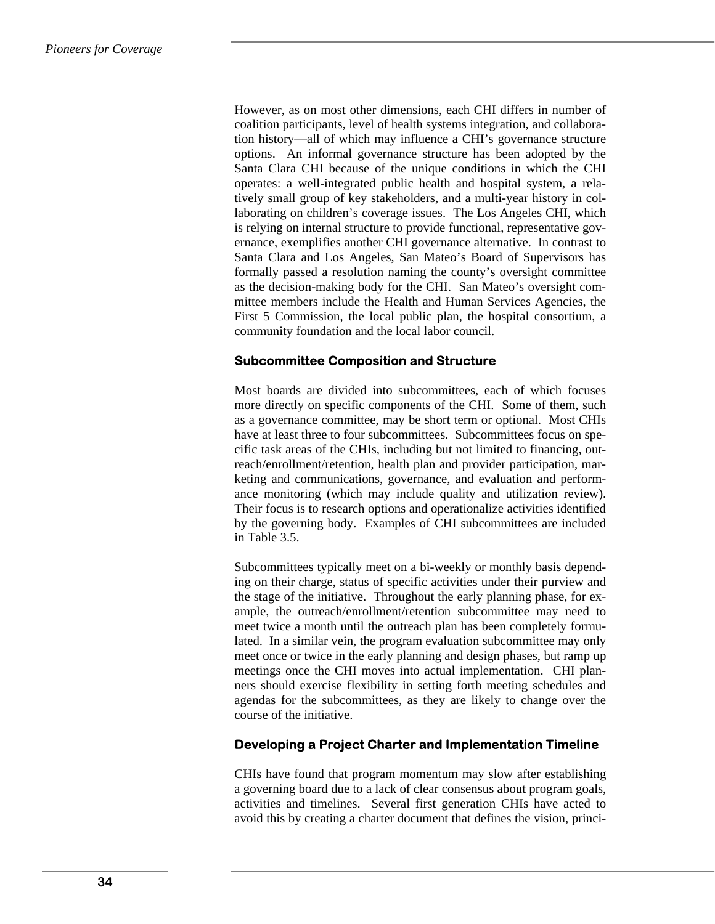However, as on most other dimensions, each CHI differs in number of coalition participants, level of health systems integration, and collaboration history—all of which may influence a CHI's governance structure options. An informal governance structure has been adopted by the Santa Clara CHI because of the unique conditions in which the CHI operates: a well-integrated public health and hospital system, a relatively small group of key stakeholders, and a multi-year history in collaborating on children's coverage issues. The Los Angeles CHI, which is relying on internal structure to provide functional, representative governance, exemplifies another CHI governance alternative. In contrast to Santa Clara and Los Angeles, San Mateo's Board of Supervisors has formally passed a resolution naming the county's oversight committee as the decision-making body for the CHI. San Mateo's oversight committee members include the Health and Human Services Agencies, the First 5 Commission, the local public plan, the hospital consortium, a community foundation and the local labor council.

# **Subcommittee Composition and Structure**

Most boards are divided into subcommittees, each of which focuses more directly on specific components of the CHI. Some of them, such as a governance committee, may be short term or optional. Most CHIs have at least three to four subcommittees. Subcommittees focus on specific task areas of the CHIs, including but not limited to financing, outreach/enrollment/retention, health plan and provider participation, marketing and communications, governance, and evaluation and performance monitoring (which may include quality and utilization review). Their focus is to research options and operationalize activities identified by the governing body. Examples of CHI subcommittees are included in Table 3.5.

Subcommittees typically meet on a bi-weekly or monthly basis depending on their charge, status of specific activities under their purview and the stage of the initiative. Throughout the early planning phase, for example, the outreach/enrollment/retention subcommittee may need to meet twice a month until the outreach plan has been completely formulated. In a similar vein, the program evaluation subcommittee may only meet once or twice in the early planning and design phases, but ramp up meetings once the CHI moves into actual implementation. CHI planners should exercise flexibility in setting forth meeting schedules and agendas for the subcommittees, as they are likely to change over the course of the initiative.

# **Developing a Project Charter and Implementation Timeline**

CHIs have found that program momentum may slow after establishing a governing board due to a lack of clear consensus about program goals, activities and timelines. Several first generation CHIs have acted to avoid this by creating a charter document that defines the vision, princi-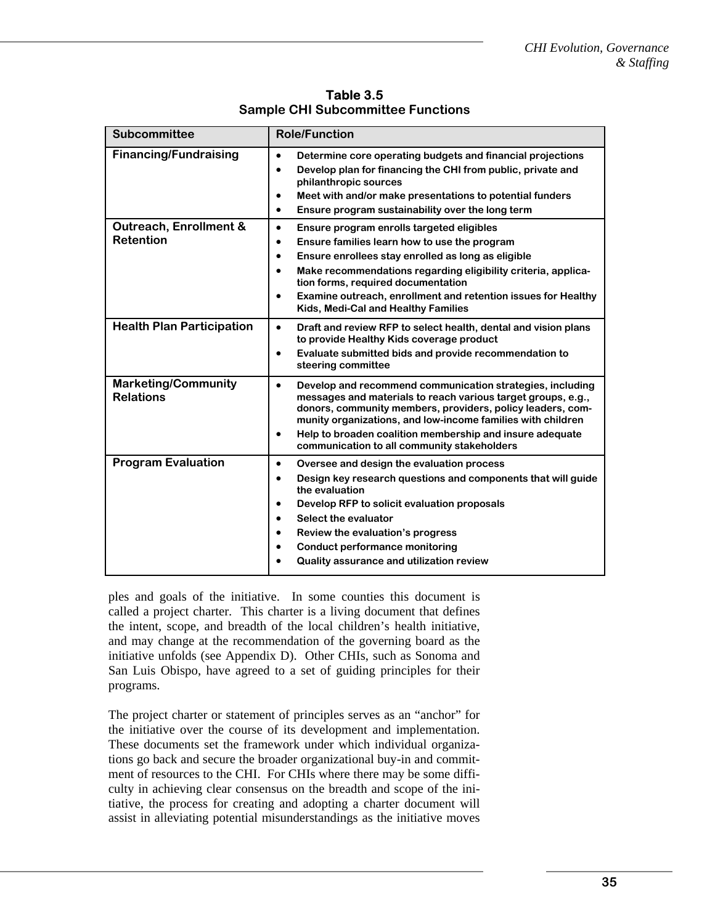| <b>Subcommittee</b>                                   | <b>Role/Function</b>                                                                                                                                                                                                                                                                                                                                                                                                            |  |
|-------------------------------------------------------|---------------------------------------------------------------------------------------------------------------------------------------------------------------------------------------------------------------------------------------------------------------------------------------------------------------------------------------------------------------------------------------------------------------------------------|--|
| <b>Financing/Fundraising</b>                          | Determine core operating budgets and financial projections<br>$\bullet$<br>Develop plan for financing the CHI from public, private and<br>$\bullet$<br>philanthropic sources<br>Meet with and/or make presentations to potential funders<br>$\bullet$<br>Ensure program sustainability over the long term<br>$\bullet$                                                                                                          |  |
| <b>Outreach, Enrollment &amp;</b><br><b>Retention</b> | $\bullet$<br>Ensure program enrolls targeted eligibles<br>Ensure families learn how to use the program<br>$\bullet$<br>Ensure enrollees stay enrolled as long as eligible<br>$\bullet$<br>Make recommendations regarding eligibility criteria, applica-<br>$\bullet$<br>tion forms, required documentation<br>Examine outreach, enrollment and retention issues for Healthy<br>$\bullet$<br>Kids, Medi-Cal and Healthy Families |  |
| <b>Health Plan Participation</b>                      | $\bullet$<br>Draft and review RFP to select health, dental and vision plans<br>to provide Healthy Kids coverage product<br>Evaluate submitted bids and provide recommendation to<br>$\bullet$<br>steering committee                                                                                                                                                                                                             |  |
| <b>Marketing/Community</b><br><b>Relations</b>        | $\bullet$<br>Develop and recommend communication strategies, including<br>messages and materials to reach various target groups, e.g.,<br>donors, community members, providers, policy leaders, com-<br>munity organizations, and low-income families with children<br>Help to broaden coalition membership and insure adequate<br>$\bullet$<br>communication to all community stakeholders                                     |  |
| <b>Program Evaluation</b>                             | $\bullet$<br>Oversee and design the evaluation process<br>Design key research questions and components that will guide<br>$\bullet$<br>the evaluation<br>Develop RFP to solicit evaluation proposals<br>$\bullet$<br>Select the evaluator<br>$\bullet$<br>Review the evaluation's progress<br>$\bullet$<br><b>Conduct performance monitoring</b><br>$\bullet$<br>Quality assurance and utilization review                       |  |

**Table 3.5 Sample CHI Subcommittee Functions** 

ples and goals of the initiative. In some counties this document is called a project charter. This charter is a living document that defines the intent, scope, and breadth of the local children's health initiative, and may change at the recommendation of the governing board as the initiative unfolds (see Appendix D). Other CHIs, such as Sonoma and San Luis Obispo, have agreed to a set of guiding principles for their programs.

The project charter or statement of principles serves as an "anchor" for the initiative over the course of its development and implementation. These documents set the framework under which individual organizations go back and secure the broader organizational buy-in and commitment of resources to the CHI. For CHIs where there may be some difficulty in achieving clear consensus on the breadth and scope of the initiative, the process for creating and adopting a charter document will assist in alleviating potential misunderstandings as the initiative moves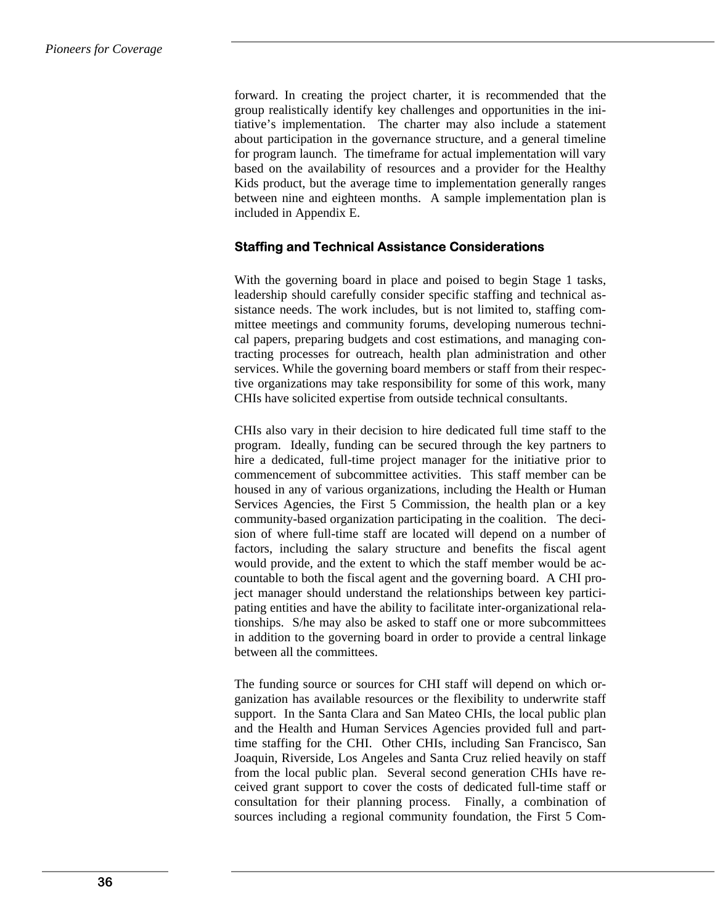forward. In creating the project charter, it is recommended that the group realistically identify key challenges and opportunities in the initiative's implementation. The charter may also include a statement about participation in the governance structure, and a general timeline for program launch. The timeframe for actual implementation will vary based on the availability of resources and a provider for the Healthy Kids product, but the average time to implementation generally ranges between nine and eighteen months. A sample implementation plan is included in Appendix E.

#### **Staffing and Technical Assistance Considerations**

With the governing board in place and poised to begin Stage 1 tasks, leadership should carefully consider specific staffing and technical assistance needs. The work includes, but is not limited to, staffing committee meetings and community forums, developing numerous technical papers, preparing budgets and cost estimations, and managing contracting processes for outreach, health plan administration and other services. While the governing board members or staff from their respective organizations may take responsibility for some of this work, many CHIs have solicited expertise from outside technical consultants.

CHIs also vary in their decision to hire dedicated full time staff to the program. Ideally, funding can be secured through the key partners to hire a dedicated, full-time project manager for the initiative prior to commencement of subcommittee activities. This staff member can be housed in any of various organizations, including the Health or Human Services Agencies, the First 5 Commission, the health plan or a key community-based organization participating in the coalition. The decision of where full-time staff are located will depend on a number of factors, including the salary structure and benefits the fiscal agent would provide, and the extent to which the staff member would be accountable to both the fiscal agent and the governing board. A CHI project manager should understand the relationships between key participating entities and have the ability to facilitate inter-organizational relationships. S/he may also be asked to staff one or more subcommittees in addition to the governing board in order to provide a central linkage between all the committees.

The funding source or sources for CHI staff will depend on which organization has available resources or the flexibility to underwrite staff support. In the Santa Clara and San Mateo CHIs, the local public plan and the Health and Human Services Agencies provided full and parttime staffing for the CHI. Other CHIs, including San Francisco, San Joaquin, Riverside, Los Angeles and Santa Cruz relied heavily on staff from the local public plan. Several second generation CHIs have received grant support to cover the costs of dedicated full-time staff or consultation for their planning process. Finally, a combination of sources including a regional community foundation, the First 5 Com-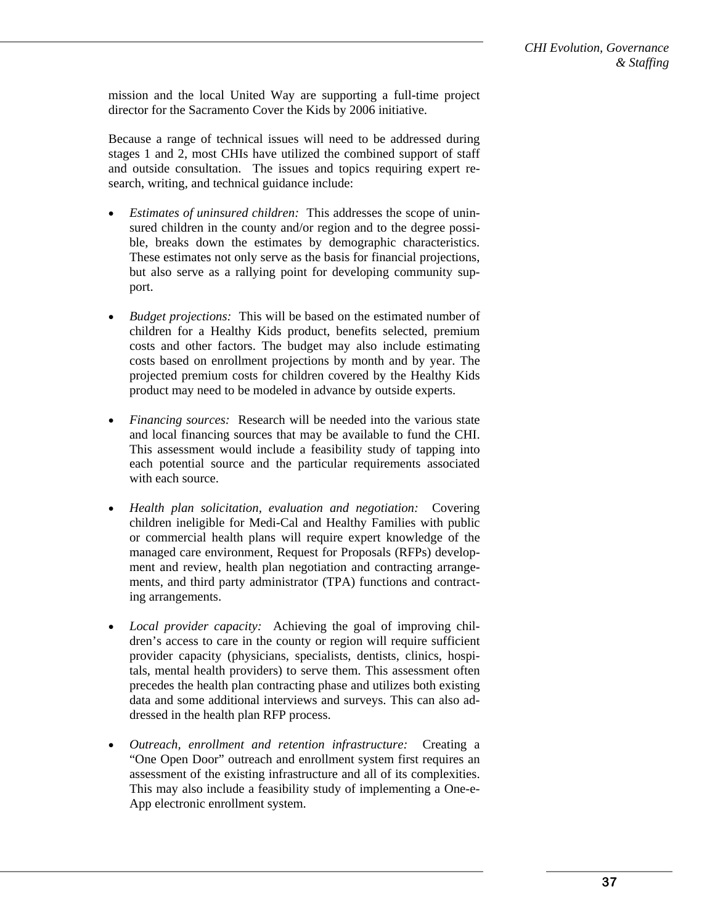mission and the local United Way are supporting a full-time project director for the Sacramento Cover the Kids by 2006 initiative.

Because a range of technical issues will need to be addressed during stages 1 and 2, most CHIs have utilized the combined support of staff and outside consultation. The issues and topics requiring expert research, writing, and technical guidance include:

- *Estimates of uninsured children:* This addresses the scope of uninsured children in the county and/or region and to the degree possible, breaks down the estimates by demographic characteristics. These estimates not only serve as the basis for financial projections, but also serve as a rallying point for developing community support.
- *Budget projections:* This will be based on the estimated number of children for a Healthy Kids product, benefits selected, premium costs and other factors. The budget may also include estimating costs based on enrollment projections by month and by year. The projected premium costs for children covered by the Healthy Kids product may need to be modeled in advance by outside experts.
- *Financing sources:* Research will be needed into the various state and local financing sources that may be available to fund the CHI. This assessment would include a feasibility study of tapping into each potential source and the particular requirements associated with each source.
- *Health plan solicitation, evaluation and negotiation:* Covering children ineligible for Medi-Cal and Healthy Families with public or commercial health plans will require expert knowledge of the managed care environment, Request for Proposals (RFPs) development and review, health plan negotiation and contracting arrangements, and third party administrator (TPA) functions and contracting arrangements.
- *Local provider capacity:* Achieving the goal of improving children's access to care in the county or region will require sufficient provider capacity (physicians, specialists, dentists, clinics, hospitals, mental health providers) to serve them. This assessment often precedes the health plan contracting phase and utilizes both existing data and some additional interviews and surveys. This can also addressed in the health plan RFP process.
- *Outreach, enrollment and retention infrastructure:* Creating a "One Open Door" outreach and enrollment system first requires an assessment of the existing infrastructure and all of its complexities. This may also include a feasibility study of implementing a One-e-App electronic enrollment system.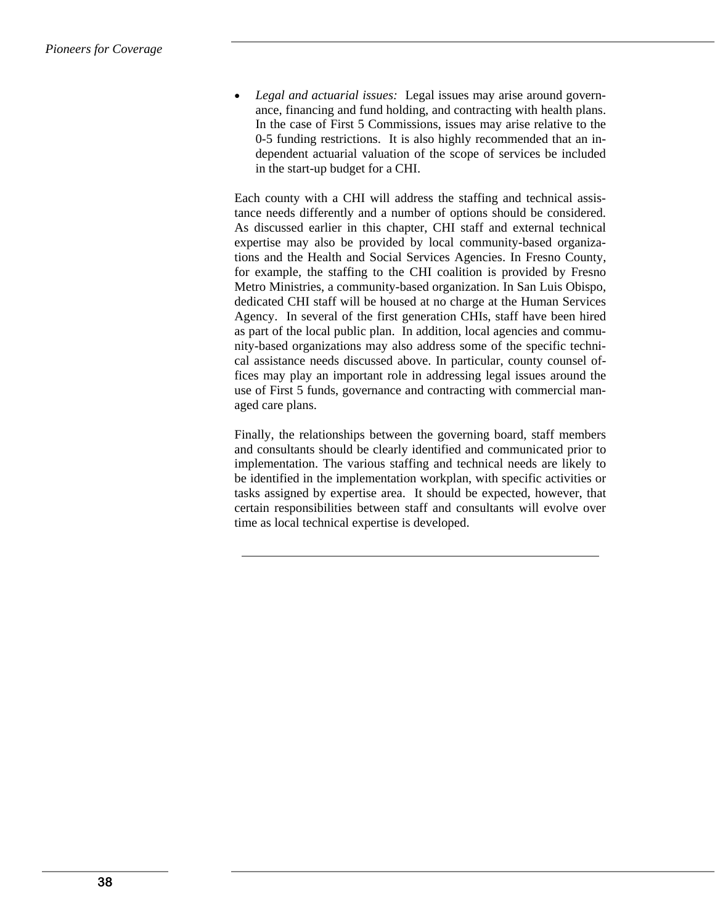• *Legal and actuarial issues:* Legal issues may arise around governance, financing and fund holding, and contracting with health plans. In the case of First 5 Commissions, issues may arise relative to the 0-5 funding restrictions. It is also highly recommended that an independent actuarial valuation of the scope of services be included in the start-up budget for a CHI.

Each county with a CHI will address the staffing and technical assistance needs differently and a number of options should be considered. As discussed earlier in this chapter, CHI staff and external technical expertise may also be provided by local community-based organizations and the Health and Social Services Agencies. In Fresno County, for example, the staffing to the CHI coalition is provided by Fresno Metro Ministries, a community-based organization. In San Luis Obispo, dedicated CHI staff will be housed at no charge at the Human Services Agency. In several of the first generation CHIs, staff have been hired as part of the local public plan. In addition, local agencies and community-based organizations may also address some of the specific technical assistance needs discussed above. In particular, county counsel offices may play an important role in addressing legal issues around the use of First 5 funds, governance and contracting with commercial managed care plans.

Finally, the relationships between the governing board, staff members and consultants should be clearly identified and communicated prior to implementation. The various staffing and technical needs are likely to be identified in the implementation workplan, with specific activities or tasks assigned by expertise area. It should be expected, however, that certain responsibilities between staff and consultants will evolve over time as local technical expertise is developed.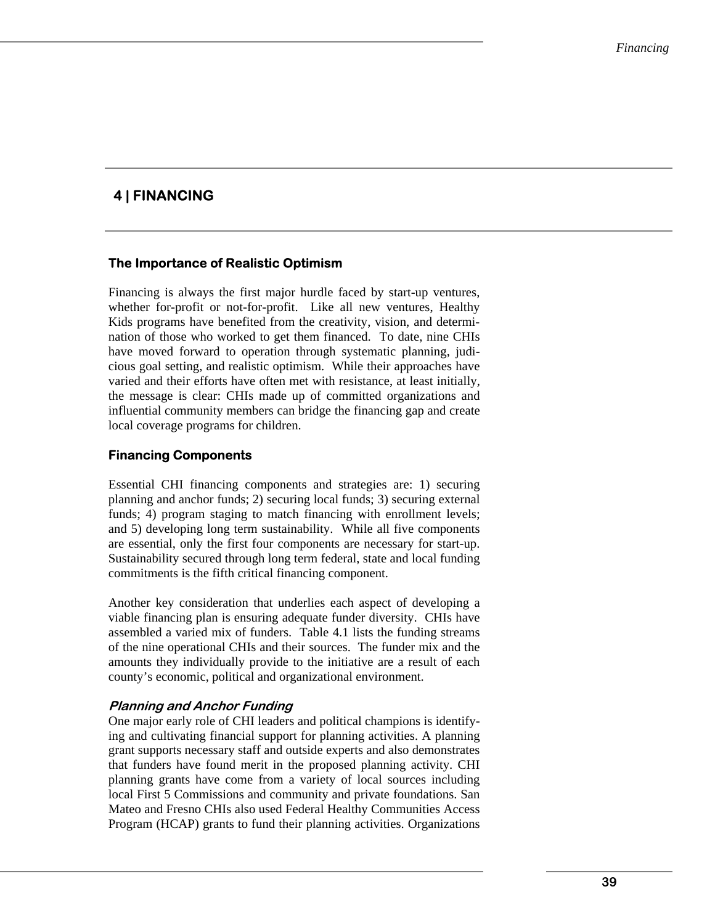# **4 | FINANCING**

### **The Importance of Realistic Optimism**

Financing is always the first major hurdle faced by start-up ventures, whether for-profit or not-for-profit. Like all new ventures, Healthy Kids programs have benefited from the creativity, vision, and determination of those who worked to get them financed. To date, nine CHIs have moved forward to operation through systematic planning, judicious goal setting, and realistic optimism. While their approaches have varied and their efforts have often met with resistance, at least initially, the message is clear: CHIs made up of committed organizations and influential community members can bridge the financing gap and create local coverage programs for children.

### **Financing Components**

Essential CHI financing components and strategies are: 1) securing planning and anchor funds; 2) securing local funds; 3) securing external funds; 4) program staging to match financing with enrollment levels; and 5) developing long term sustainability. While all five components are essential, only the first four components are necessary for start-up. Sustainability secured through long term federal, state and local funding commitments is the fifth critical financing component.

Another key consideration that underlies each aspect of developing a viable financing plan is ensuring adequate funder diversity. CHIs have assembled a varied mix of funders. Table 4.1 lists the funding streams of the nine operational CHIs and their sources. The funder mix and the amounts they individually provide to the initiative are a result of each county's economic, political and organizational environment.

### **Planning and Anchor Funding**

One major early role of CHI leaders and political champions is identifying and cultivating financial support for planning activities. A planning grant supports necessary staff and outside experts and also demonstrates that funders have found merit in the proposed planning activity. CHI planning grants have come from a variety of local sources including local First 5 Commissions and community and private foundations. San Mateo and Fresno CHIs also used Federal Healthy Communities Access Program (HCAP) grants to fund their planning activities. Organizations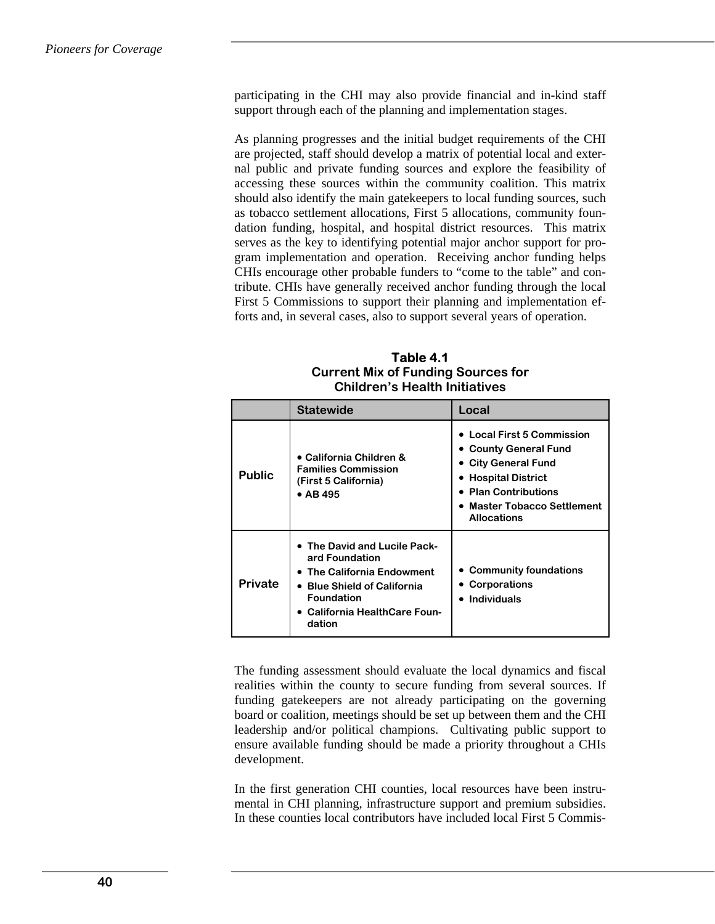participating in the CHI may also provide financial and in-kind staff support through each of the planning and implementation stages.

As planning progresses and the initial budget requirements of the CHI are projected, staff should develop a matrix of potential local and external public and private funding sources and explore the feasibility of accessing these sources within the community coalition. This matrix should also identify the main gatekeepers to local funding sources, such as tobacco settlement allocations, First 5 allocations, community foundation funding, hospital, and hospital district resources. This matrix serves as the key to identifying potential major anchor support for program implementation and operation. Receiving anchor funding helps CHIs encourage other probable funders to "come to the table" and contribute. CHIs have generally received anchor funding through the local First 5 Commissions to support their planning and implementation efforts and, in several cases, also to support several years of operation.

**Table 4.1 Current Mix of Funding Sources for Children's Health Initiatives** 

|                | <b>Statewide</b>                                                                                                                                                               | Local                                                                                                                                                                          |
|----------------|--------------------------------------------------------------------------------------------------------------------------------------------------------------------------------|--------------------------------------------------------------------------------------------------------------------------------------------------------------------------------|
| <b>Public</b>  | • California Children &<br><b>Families Commission</b><br>(First 5 California)<br>$\bullet$ AB 495                                                                              | • Local First 5 Commission<br>• County General Fund<br>• City General Fund<br>• Hospital District<br>• Plan Contributions<br>• Master Tobacco Settlement<br><b>Allocations</b> |
| <b>Private</b> | • The David and Lucile Pack-<br>ard Foundation<br>• The California Endowment<br><b>Blue Shield of California</b><br><b>Foundation</b><br>California HealthCare Foun-<br>dation | <b>Community foundations</b><br>• Corporations<br>• Individuals                                                                                                                |

The funding assessment should evaluate the local dynamics and fiscal realities within the county to secure funding from several sources. If funding gatekeepers are not already participating on the governing board or coalition, meetings should be set up between them and the CHI leadership and/or political champions. Cultivating public support to ensure available funding should be made a priority throughout a CHIs development.

In the first generation CHI counties, local resources have been instrumental in CHI planning, infrastructure support and premium subsidies. In these counties local contributors have included local First 5 Commis-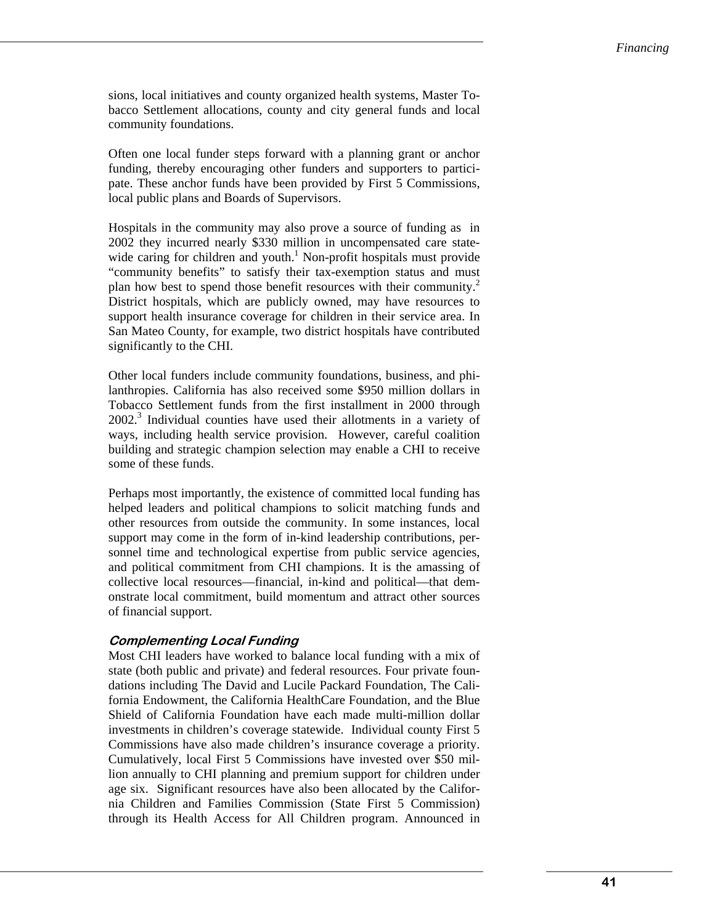sions, local initiatives and county organized health systems, Master Tobacco Settlement allocations, county and city general funds and local community foundations.

Often one local funder steps forward with a planning grant or anchor funding, thereby encouraging other funders and supporters to participate. These anchor funds have been provided by First 5 Commissions, local public plans and Boards of Supervisors.

Hospitals in the community may also prove a source of funding as in 2002 they incurred nearly \$330 million in uncompensated care statewide caring for children and youth.<sup>1</sup> Non-profit hospitals must provide "community benefits" to satisfy their tax-exemption status and must plan how best to spend those benefit resources with their community.<sup>2</sup> District hospitals, which are publicly owned, may have resources to support health insurance coverage for children in their service area. In San Mateo County, for example, two district hospitals have contributed significantly to the CHI.

Other local funders include community foundations, business, and philanthropies. California has also received some \$950 million dollars in Tobacco Settlement funds from the first installment in 2000 through 2002.<sup>3</sup> Individual counties have used their allotments in a variety of ways, including health service provision. However, careful coalition building and strategic champion selection may enable a CHI to receive some of these funds.

Perhaps most importantly, the existence of committed local funding has helped leaders and political champions to solicit matching funds and other resources from outside the community. In some instances, local support may come in the form of in-kind leadership contributions, personnel time and technological expertise from public service agencies, and political commitment from CHI champions. It is the amassing of collective local resources—financial, in-kind and political—that demonstrate local commitment, build momentum and attract other sources of financial support.

#### **Complementing Local Funding**

Most CHI leaders have worked to balance local funding with a mix of state (both public and private) and federal resources. Four private foundations including The David and Lucile Packard Foundation, The California Endowment, the California HealthCare Foundation, and the Blue Shield of California Foundation have each made multi-million dollar investments in children's coverage statewide. Individual county First 5 Commissions have also made children's insurance coverage a priority. Cumulatively, local First 5 Commissions have invested over \$50 million annually to CHI planning and premium support for children under age six. Significant resources have also been allocated by the California Children and Families Commission (State First 5 Commission) through its Health Access for All Children program. Announced in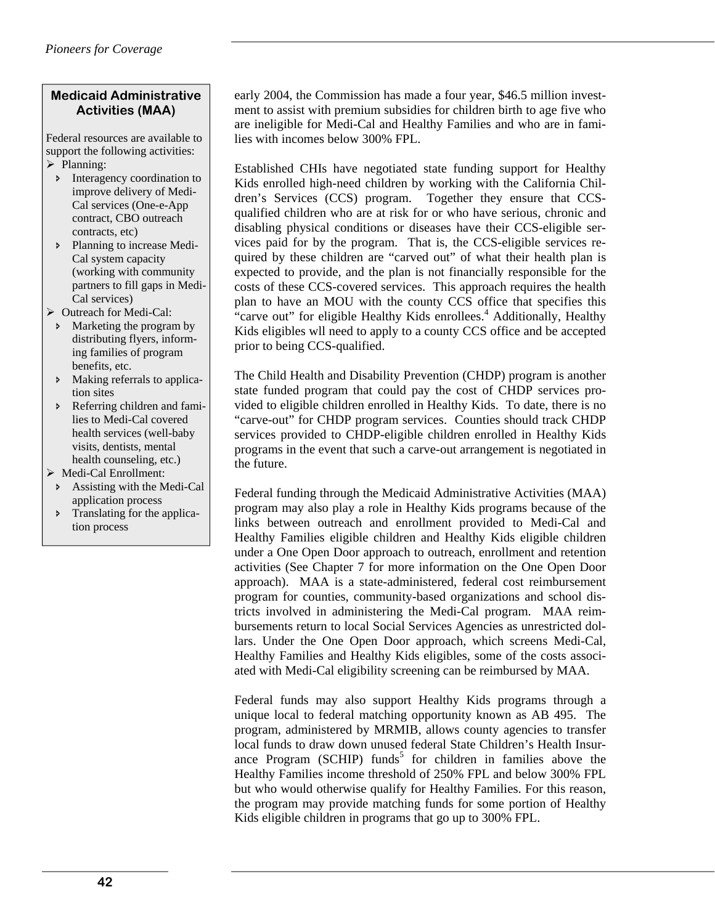# **Medicaid Administrative Activities (MAA)**

Federal resources are available to support the following activities:  $\triangleright$  Planning:

- Ð Interagency coordination to improve delivery of Medi-Cal services (One-e-App contract, CBO outreach contracts, etc)
- Ð Planning to increase Medi-Cal system capacity (working with community partners to fill gaps in Medi-Cal services)
- $\triangleright$  Outreach for Medi-Cal:
- Ð Marketing the program by distributing flyers, informing families of program benefits, etc.
- Ð Making referrals to application sites
- Referring children and families to Medi-Cal covered health services (well-baby visits, dentists, mental health counseling, etc.)
- ¾ Medi-Cal Enrollment:
- Ð Assisting with the Medi-Cal application process
- $\triangleright$  Translating for the application process

early 2004, the Commission has made a four year, \$46.5 million investment to assist with premium subsidies for children birth to age five who are ineligible for Medi-Cal and Healthy Families and who are in families with incomes below 300% FPL.

Established CHIs have negotiated state funding support for Healthy Kids enrolled high-need children by working with the California Children's Services (CCS) program. Together they ensure that CCSqualified children who are at risk for or who have serious, chronic and disabling physical conditions or diseases have their CCS-eligible services paid for by the program. That is, the CCS-eligible services required by these children are "carved out" of what their health plan is expected to provide, and the plan is not financially responsible for the costs of these CCS-covered services. This approach requires the health plan to have an MOU with the county CCS office that specifies this "carve out" for eligible Healthy Kids enrollees.<sup>4</sup> Additionally, Healthy Kids eligibles wll need to apply to a county CCS office and be accepted prior to being CCS-qualified.

The Child Health and Disability Prevention (CHDP) program is another state funded program that could pay the cost of CHDP services provided to eligible children enrolled in Healthy Kids. To date, there is no "carve-out" for CHDP program services. Counties should track CHDP services provided to CHDP-eligible children enrolled in Healthy Kids programs in the event that such a carve-out arrangement is negotiated in the future.

Federal funding through the Medicaid Administrative Activities (MAA) program may also play a role in Healthy Kids programs because of the links between outreach and enrollment provided to Medi-Cal and Healthy Families eligible children and Healthy Kids eligible children under a One Open Door approach to outreach, enrollment and retention activities (See Chapter 7 for more information on the One Open Door approach). MAA is a state-administered, federal cost reimbursement program for counties, community-based organizations and school districts involved in administering the Medi-Cal program. MAA reimbursements return to local Social Services Agencies as unrestricted dollars. Under the One Open Door approach, which screens Medi-Cal, Healthy Families and Healthy Kids eligibles, some of the costs associated with Medi-Cal eligibility screening can be reimbursed by MAA.

Federal funds may also support Healthy Kids programs through a unique local to federal matching opportunity known as AB 495. The program, administered by MRMIB, allows county agencies to transfer local funds to draw down unused federal State Children's Health Insurance Program (SCHIP) funds<sup>5</sup> for children in families above the Healthy Families income threshold of 250% FPL and below 300% FPL but who would otherwise qualify for Healthy Families. For this reason, the program may provide matching funds for some portion of Healthy Kids eligible children in programs that go up to 300% FPL.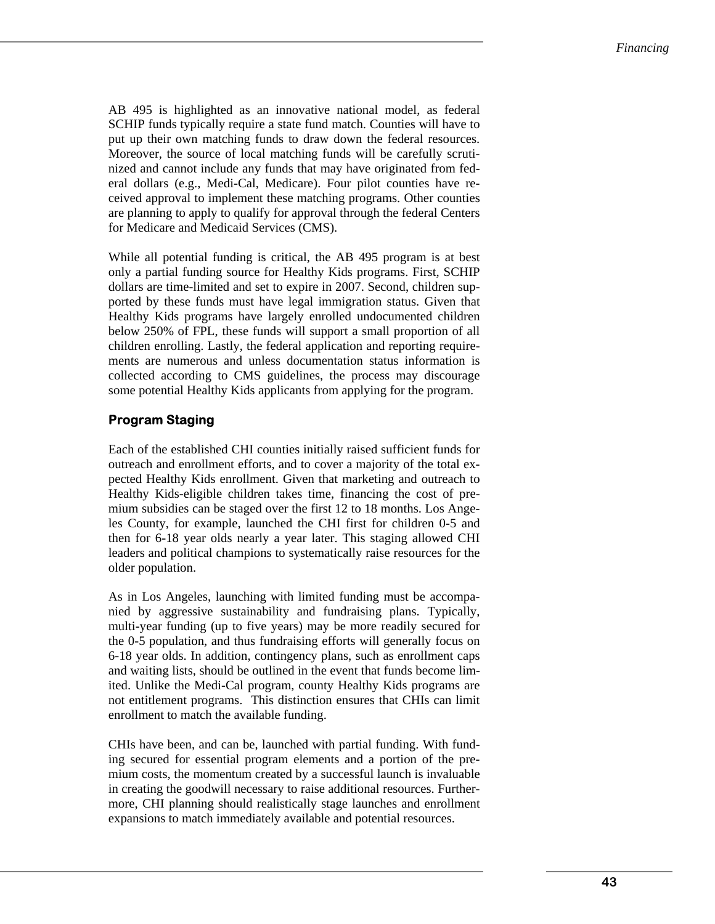AB 495 is highlighted as an innovative national model, as federal SCHIP funds typically require a state fund match. Counties will have to put up their own matching funds to draw down the federal resources. Moreover, the source of local matching funds will be carefully scrutinized and cannot include any funds that may have originated from federal dollars (e.g., Medi-Cal, Medicare). Four pilot counties have received approval to implement these matching programs. Other counties are planning to apply to qualify for approval through the federal Centers for Medicare and Medicaid Services (CMS).

While all potential funding is critical, the AB 495 program is at best only a partial funding source for Healthy Kids programs. First, SCHIP dollars are time-limited and set to expire in 2007. Second, children supported by these funds must have legal immigration status. Given that Healthy Kids programs have largely enrolled undocumented children below 250% of FPL, these funds will support a small proportion of all children enrolling. Lastly, the federal application and reporting requirements are numerous and unless documentation status information is collected according to CMS guidelines, the process may discourage some potential Healthy Kids applicants from applying for the program.

# **Program Staging**

Each of the established CHI counties initially raised sufficient funds for outreach and enrollment efforts, and to cover a majority of the total expected Healthy Kids enrollment. Given that marketing and outreach to Healthy Kids-eligible children takes time, financing the cost of premium subsidies can be staged over the first 12 to 18 months. Los Angeles County, for example, launched the CHI first for children 0-5 and then for 6-18 year olds nearly a year later. This staging allowed CHI leaders and political champions to systematically raise resources for the older population.

As in Los Angeles, launching with limited funding must be accompanied by aggressive sustainability and fundraising plans. Typically, multi-year funding (up to five years) may be more readily secured for the 0-5 population, and thus fundraising efforts will generally focus on 6-18 year olds. In addition, contingency plans, such as enrollment caps and waiting lists, should be outlined in the event that funds become limited. Unlike the Medi-Cal program, county Healthy Kids programs are not entitlement programs. This distinction ensures that CHIs can limit enrollment to match the available funding.

CHIs have been, and can be, launched with partial funding. With funding secured for essential program elements and a portion of the premium costs, the momentum created by a successful launch is invaluable in creating the goodwill necessary to raise additional resources. Furthermore, CHI planning should realistically stage launches and enrollment expansions to match immediately available and potential resources.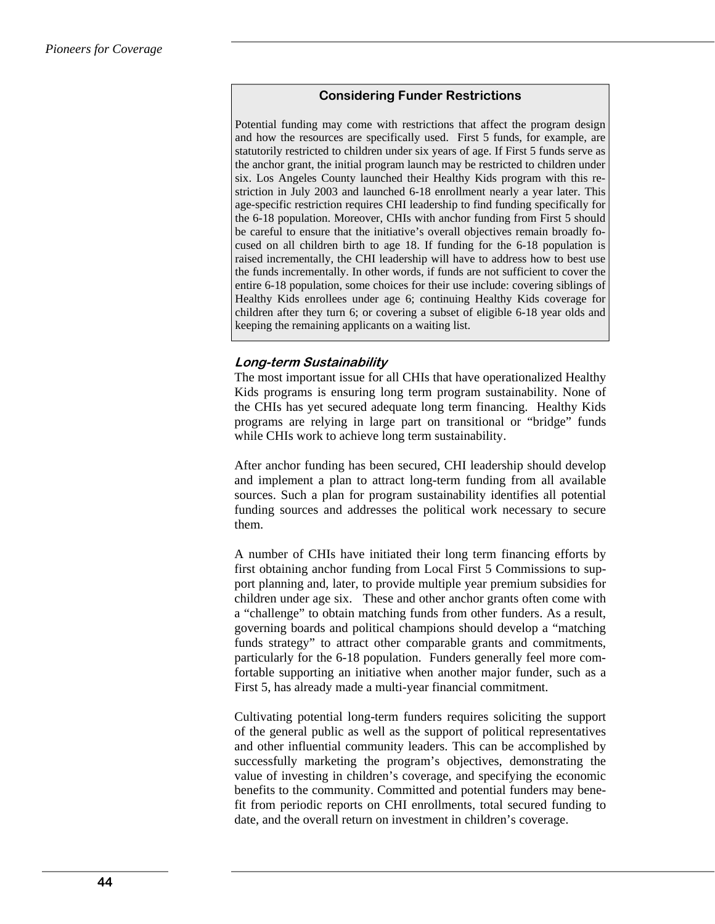### **Considering Funder Restrictions**

Potential funding may come with restrictions that affect the program design and how the resources are specifically used. First 5 funds, for example, are statutorily restricted to children under six years of age. If First 5 funds serve as the anchor grant, the initial program launch may be restricted to children under six. Los Angeles County launched their Healthy Kids program with this restriction in July 2003 and launched 6-18 enrollment nearly a year later. This age-specific restriction requires CHI leadership to find funding specifically for the 6-18 population. Moreover, CHIs with anchor funding from First 5 should be careful to ensure that the initiative's overall objectives remain broadly focused on all children birth to age 18. If funding for the 6-18 population is raised incrementally, the CHI leadership will have to address how to best use the funds incrementally. In other words, if funds are not sufficient to cover the entire 6-18 population, some choices for their use include: covering siblings of Healthy Kids enrollees under age 6; continuing Healthy Kids coverage for children after they turn 6; or covering a subset of eligible 6-18 year olds and keeping the remaining applicants on a waiting list.

### **Long-term Sustainability**

The most important issue for all CHIs that have operationalized Healthy Kids programs is ensuring long term program sustainability. None of the CHIs has yet secured adequate long term financing. Healthy Kids programs are relying in large part on transitional or "bridge" funds while CHIs work to achieve long term sustainability.

After anchor funding has been secured, CHI leadership should develop and implement a plan to attract long-term funding from all available sources. Such a plan for program sustainability identifies all potential funding sources and addresses the political work necessary to secure them.

A number of CHIs have initiated their long term financing efforts by first obtaining anchor funding from Local First 5 Commissions to support planning and, later, to provide multiple year premium subsidies for children under age six. These and other anchor grants often come with a "challenge" to obtain matching funds from other funders. As a result, governing boards and political champions should develop a "matching funds strategy" to attract other comparable grants and commitments, particularly for the 6-18 population. Funders generally feel more comfortable supporting an initiative when another major funder, such as a First 5, has already made a multi-year financial commitment.

Cultivating potential long-term funders requires soliciting the support of the general public as well as the support of political representatives and other influential community leaders. This can be accomplished by successfully marketing the program's objectives, demonstrating the value of investing in children's coverage, and specifying the economic benefits to the community. Committed and potential funders may benefit from periodic reports on CHI enrollments, total secured funding to date, and the overall return on investment in children's coverage.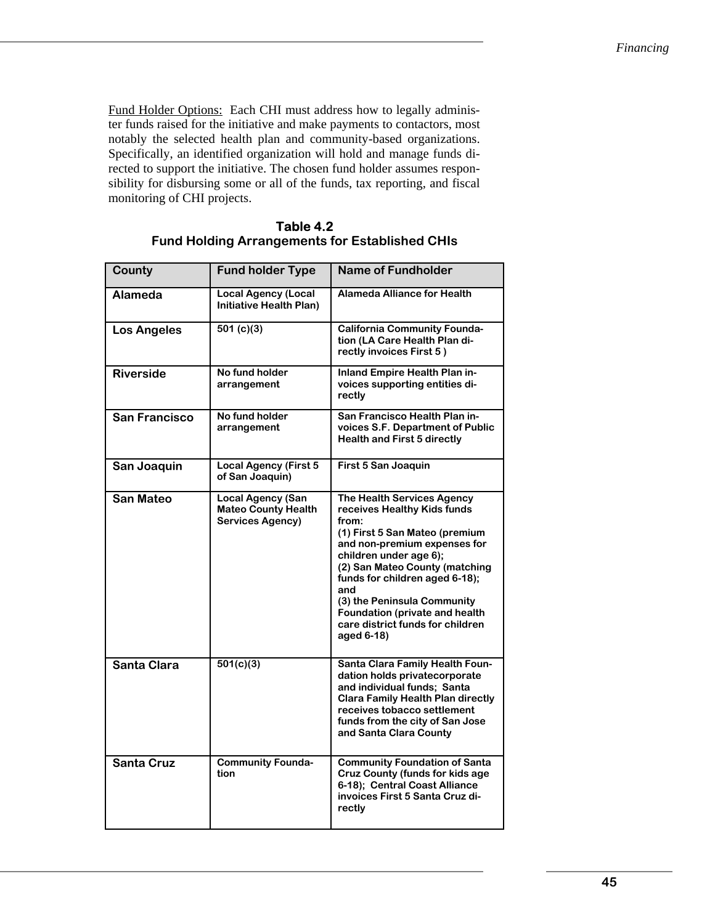Fund Holder Options: Each CHI must address how to legally administer funds raised for the initiative and make payments to contactors, most notably the selected health plan and community-based organizations. Specifically, an identified organization will hold and manage funds directed to support the initiative. The chosen fund holder assumes responsibility for disbursing some or all of the funds, tax reporting, and fiscal monitoring of CHI projects.

| County               | <b>Fund holder Type</b>                                                           | <b>Name of Fundholder</b>                                                                                                                                                                                                                                                                                                                                    |
|----------------------|-----------------------------------------------------------------------------------|--------------------------------------------------------------------------------------------------------------------------------------------------------------------------------------------------------------------------------------------------------------------------------------------------------------------------------------------------------------|
| <b>Alameda</b>       | <b>Local Agency (Local</b><br>Initiative Health Plan)                             | <b>Alameda Alliance for Health</b>                                                                                                                                                                                                                                                                                                                           |
| <b>Los Angeles</b>   | 501 $(c)(3)$                                                                      | <b>California Community Founda-</b><br>tion (LA Care Health Plan di-<br>rectly invoices First 5)                                                                                                                                                                                                                                                             |
| <b>Riverside</b>     | No fund holder<br>arrangement                                                     | <b>Inland Empire Health Plan in-</b><br>voices supporting entities di-<br>rectly                                                                                                                                                                                                                                                                             |
| <b>San Francisco</b> | No fund holder<br>arrangement                                                     | San Francisco Health Plan in-<br>voices S.F. Department of Public<br><b>Health and First 5 directly</b>                                                                                                                                                                                                                                                      |
| San Joaquin          | <b>Local Agency (First 5</b><br>of San Joaquin)                                   | First 5 San Joaquin                                                                                                                                                                                                                                                                                                                                          |
| <b>San Mateo</b>     | <b>Local Agency (San</b><br><b>Mateo County Health</b><br><b>Services Agency)</b> | The Health Services Agency<br>receives Healthy Kids funds<br>from:<br>(1) First 5 San Mateo (premium<br>and non-premium expenses for<br>children under age 6);<br>(2) San Mateo County (matching<br>funds for children aged 6-18);<br>and<br>(3) the Peninsula Community<br>Foundation (private and health<br>care district funds for children<br>aged 6-18) |
| <b>Santa Clara</b>   | 501(c)(3)                                                                         | Santa Clara Family Health Foun-<br>dation holds privatecorporate<br>and individual funds; Santa<br><b>Clara Family Health Plan directly</b><br>receives tobacco settlement<br>funds from the city of San Jose<br>and Santa Clara County                                                                                                                      |
| <b>Santa Cruz</b>    | <b>Community Founda-</b><br>tion                                                  | <b>Community Foundation of Santa</b><br><b>Cruz County (funds for kids age</b><br>6-18); Central Coast Alliance<br>invoices First 5 Santa Cruz di-<br>rectly                                                                                                                                                                                                 |

| Table 4.2                                             |
|-------------------------------------------------------|
| <b>Fund Holding Arrangements for Established CHIs</b> |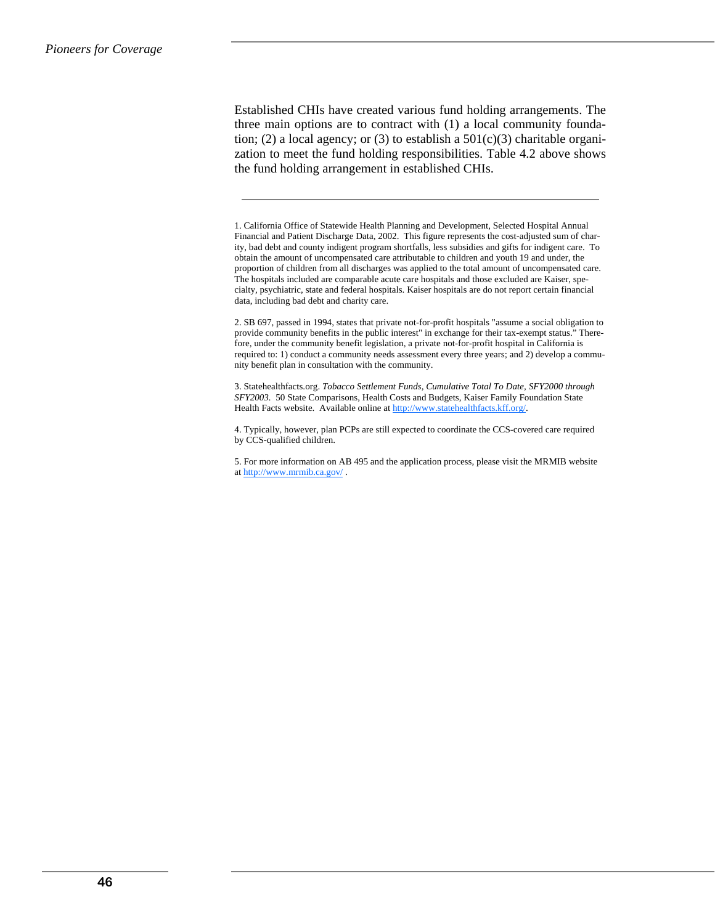Established CHIs have created various fund holding arrangements. The three main options are to contract with (1) a local community foundation; (2) a local agency; or (3) to establish a  $501(c)(3)$  charitable organization to meet the fund holding responsibilities. Table 4.2 above shows the fund holding arrangement in established CHIs.

1. California Office of Statewide Health Planning and Development, Selected Hospital Annual Financial and Patient Discharge Data, 2002. This figure represents the cost-adjusted sum of charity, bad debt and county indigent program shortfalls, less subsidies and gifts for indigent care. To obtain the amount of uncompensated care attributable to children and youth 19 and under, the proportion of children from all discharges was applied to the total amount of uncompensated care. The hospitals included are comparable acute care hospitals and those excluded are Kaiser, specialty, psychiatric, state and federal hospitals. Kaiser hospitals are do not report certain financial data, including bad debt and charity care.

2. SB 697, passed in 1994, states that private not-for-profit hospitals "assume a social obligation to provide community benefits in the public interest" in exchange for their tax-exempt status." Therefore, under the community benefit legislation, a private not-for-profit hospital in California is required to: 1) conduct a community needs assessment every three years; and 2) develop a community benefit plan in consultation with the community.

3. Statehealthfacts.org. *Tobacco Settlement Funds, Cumulative Total To Date, SFY2000 through SFY2003.* 50 State Comparisons, Health Costs and Budgets, Kaiser Family Foundation State Health Facts website. Available online at http://www.statehealthfacts.kff.org/.

4. Typically, however, plan PCPs are still expected to coordinate the CCS-covered care required by CCS-qualified children.

5. For more information on AB 495 and the application process, please visit the MRMIB website at http://www.mrmib.ca.gov/ .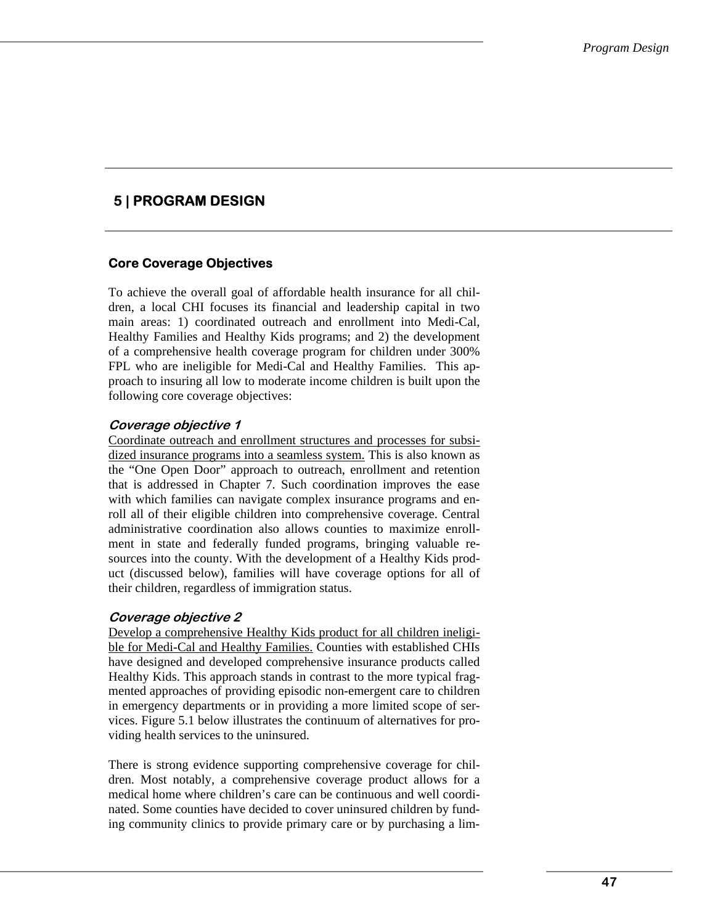# **5 | PROGRAM DESIGN**

# **Core Coverage Objectives**

To achieve the overall goal of affordable health insurance for all children, a local CHI focuses its financial and leadership capital in two main areas: 1) coordinated outreach and enrollment into Medi-Cal, Healthy Families and Healthy Kids programs; and 2) the development of a comprehensive health coverage program for children under 300% FPL who are ineligible for Medi-Cal and Healthy Families. This approach to insuring all low to moderate income children is built upon the following core coverage objectives:

### **Coverage objective 1**

Coordinate outreach and enrollment structures and processes for subsidized insurance programs into a seamless system. This is also known as the "One Open Door" approach to outreach, enrollment and retention that is addressed in Chapter 7. Such coordination improves the ease with which families can navigate complex insurance programs and enroll all of their eligible children into comprehensive coverage. Central administrative coordination also allows counties to maximize enrollment in state and federally funded programs, bringing valuable resources into the county. With the development of a Healthy Kids product (discussed below), families will have coverage options for all of their children, regardless of immigration status.

### **Coverage objective 2**

Develop a comprehensive Healthy Kids product for all children ineligible for Medi-Cal and Healthy Families. Counties with established CHIs have designed and developed comprehensive insurance products called Healthy Kids. This approach stands in contrast to the more typical fragmented approaches of providing episodic non-emergent care to children in emergency departments or in providing a more limited scope of services. Figure 5.1 below illustrates the continuum of alternatives for providing health services to the uninsured.

There is strong evidence supporting comprehensive coverage for children. Most notably, a comprehensive coverage product allows for a medical home where children's care can be continuous and well coordinated. Some counties have decided to cover uninsured children by funding community clinics to provide primary care or by purchasing a lim-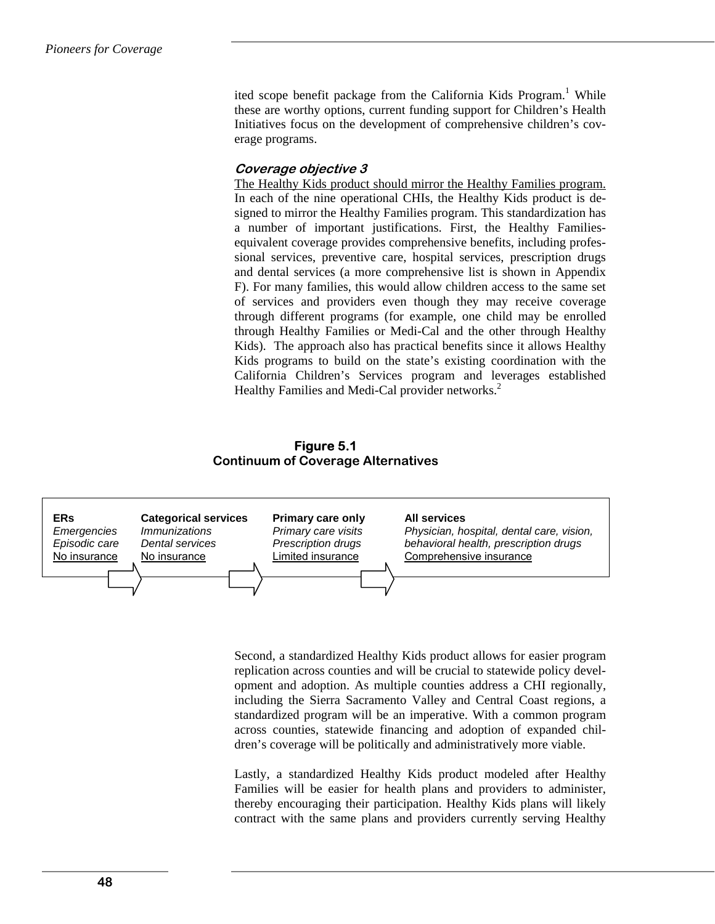ited scope benefit package from the California Kids Program.<sup>1</sup> While these are worthy options, current funding support for Children's Health Initiatives focus on the development of comprehensive children's coverage programs.

#### **Coverage objective 3**

The Healthy Kids product should mirror the Healthy Families program. In each of the nine operational CHIs, the Healthy Kids product is designed to mirror the Healthy Families program. This standardization has a number of important justifications. First, the Healthy Familiesequivalent coverage provides comprehensive benefits, including professional services, preventive care, hospital services, prescription drugs and dental services (a more comprehensive list is shown in Appendix F). For many families, this would allow children access to the same set of services and providers even though they may receive coverage through different programs (for example, one child may be enrolled through Healthy Families or Medi-Cal and the other through Healthy Kids). The approach also has practical benefits since it allows Healthy Kids programs to build on the state's existing coordination with the California Children's Services program and leverages established Healthy Families and Medi-Cal provider networks.<sup>2</sup>

#### **Figure 5.1 Continuum of Coverage Alternatives**



Second, a standardized Healthy Kids product allows for easier program replication across counties and will be crucial to statewide policy development and adoption. As multiple counties address a CHI regionally, including the Sierra Sacramento Valley and Central Coast regions, a standardized program will be an imperative. With a common program across counties, statewide financing and adoption of expanded children's coverage will be politically and administratively more viable.

Lastly, a standardized Healthy Kids product modeled after Healthy Families will be easier for health plans and providers to administer, thereby encouraging their participation. Healthy Kids plans will likely contract with the same plans and providers currently serving Healthy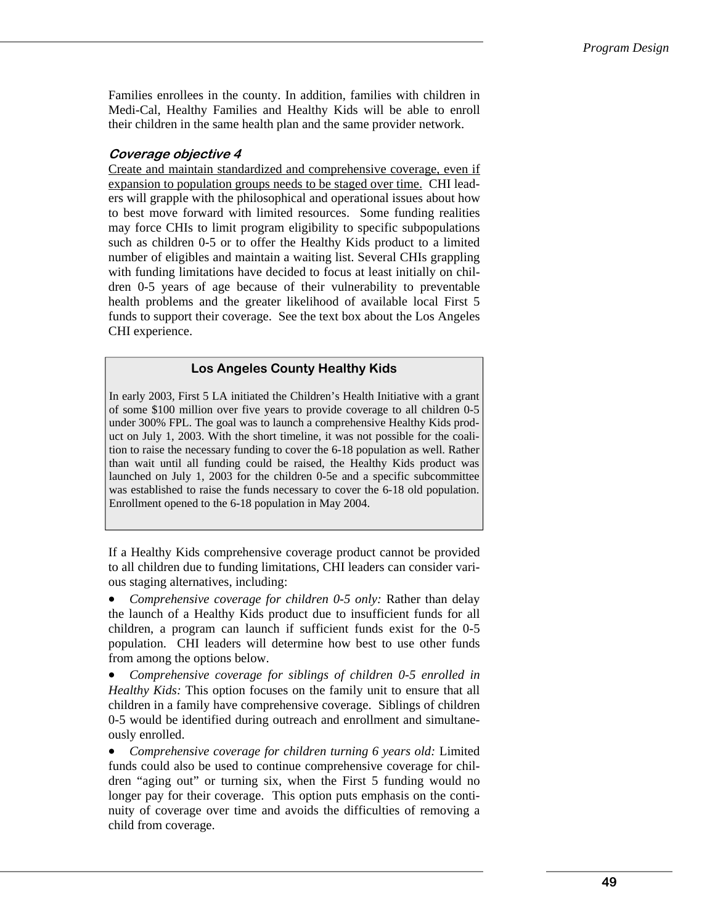Families enrollees in the county. In addition, families with children in Medi-Cal, Healthy Families and Healthy Kids will be able to enroll their children in the same health plan and the same provider network.

### **Coverage objective 4**

Create and maintain standardized and comprehensive coverage, even if expansion to population groups needs to be staged over time. CHI leaders will grapple with the philosophical and operational issues about how to best move forward with limited resources. Some funding realities may force CHIs to limit program eligibility to specific subpopulations such as children 0-5 or to offer the Healthy Kids product to a limited number of eligibles and maintain a waiting list. Several CHIs grappling with funding limitations have decided to focus at least initially on children 0-5 years of age because of their vulnerability to preventable health problems and the greater likelihood of available local First 5 funds to support their coverage. See the text box about the Los Angeles CHI experience.

### **Los Angeles County Healthy Kids**

In early 2003, First 5 LA initiated the Children's Health Initiative with a grant of some \$100 million over five years to provide coverage to all children 0-5 under 300% FPL. The goal was to launch a comprehensive Healthy Kids product on July 1, 2003. With the short timeline, it was not possible for the coalition to raise the necessary funding to cover the 6-18 population as well. Rather than wait until all funding could be raised, the Healthy Kids product was launched on July 1, 2003 for the children 0-5e and a specific subcommittee was established to raise the funds necessary to cover the 6-18 old population. Enrollment opened to the 6-18 population in May 2004.

If a Healthy Kids comprehensive coverage product cannot be provided to all children due to funding limitations, CHI leaders can consider various staging alternatives, including:

• *Comprehensive coverage for children 0-5 only:* Rather than delay the launch of a Healthy Kids product due to insufficient funds for all children, a program can launch if sufficient funds exist for the 0-5 population. CHI leaders will determine how best to use other funds from among the options below.

• *Comprehensive coverage for siblings of children 0-5 enrolled in Healthy Kids:* This option focuses on the family unit to ensure that all children in a family have comprehensive coverage. Siblings of children 0-5 would be identified during outreach and enrollment and simultaneously enrolled.

• *Comprehensive coverage for children turning 6 years old:* Limited funds could also be used to continue comprehensive coverage for children "aging out" or turning six, when the First 5 funding would no longer pay for their coverage. This option puts emphasis on the continuity of coverage over time and avoids the difficulties of removing a child from coverage.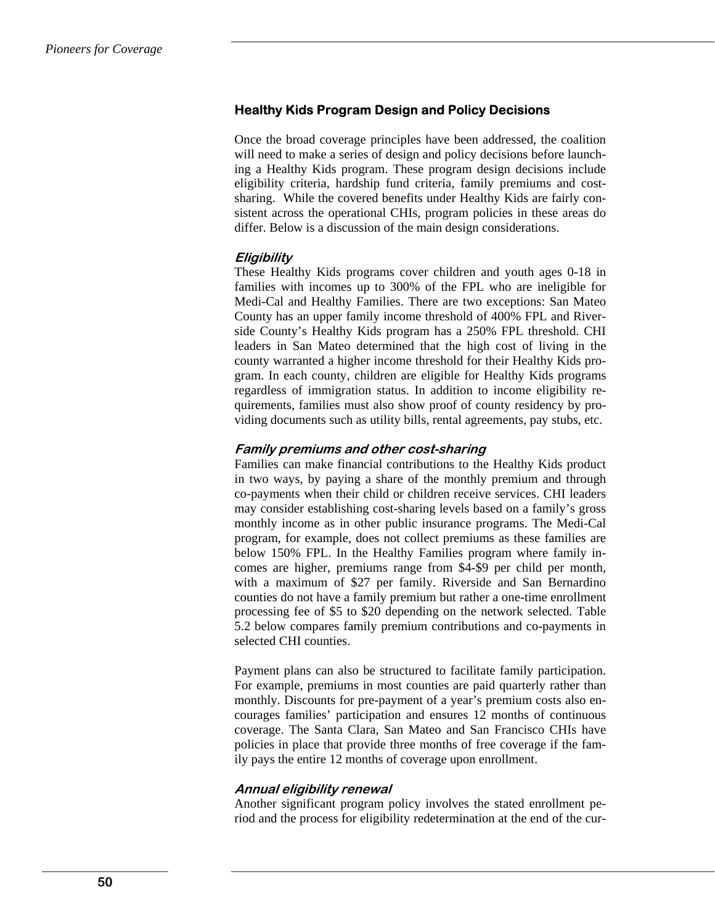# **Healthy Kids Program Design and Policy Decisions**

Once the broad coverage principles have been addressed, the coalition will need to make a series of design and policy decisions before launching a Healthy Kids program. These program design decisions include eligibility criteria, hardship fund criteria, family premiums and costsharing. While the covered benefits under Healthy Kids are fairly consistent across the operational CHIs, program policies in these areas do differ. Below is a discussion of the main design considerations.

### **Eligibility**

These Healthy Kids programs cover children and youth ages 0-18 in families with incomes up to 300% of the FPL who are ineligible for Medi-Cal and Healthy Families. There are two exceptions: San Mateo County has an upper family income threshold of 400% FPL and Riverside County's Healthy Kids program has a 250% FPL threshold. CHI leaders in San Mateo determined that the high cost of living in the county warranted a higher income threshold for their Healthy Kids program. In each county, children are eligible for Healthy Kids programs regardless of immigration status. In addition to income eligibility requirements, families must also show proof of county residency by providing documents such as utility bills, rental agreements, pay stubs, etc.

#### **Family premiums and other cost-sharing**

Families can make financial contributions to the Healthy Kids product in two ways, by paying a share of the monthly premium and through co-payments when their child or children receive services. CHI leaders may consider establishing cost-sharing levels based on a family's gross monthly income as in other public insurance programs. The Medi-Cal program, for example, does not collect premiums as these families are below 150% FPL. In the Healthy Families program where family incomes are higher, premiums range from \$4-\$9 per child per month, with a maximum of \$27 per family. Riverside and San Bernardino counties do not have a family premium but rather a one-time enrollment processing fee of \$5 to \$20 depending on the network selected. Table 5.2 below compares family premium contributions and co-payments in selected CHI counties.

Payment plans can also be structured to facilitate family participation. For example, premiums in most counties are paid quarterly rather than monthly. Discounts for pre-payment of a year's premium costs also encourages families' participation and ensures 12 months of continuous coverage. The Santa Clara, San Mateo and San Francisco CHIs have policies in place that provide three months of free coverage if the family pays the entire 12 months of coverage upon enrollment.

#### **Annual eligibility renewal**

Another significant program policy involves the stated enrollment period and the process for eligibility redetermination at the end of the cur-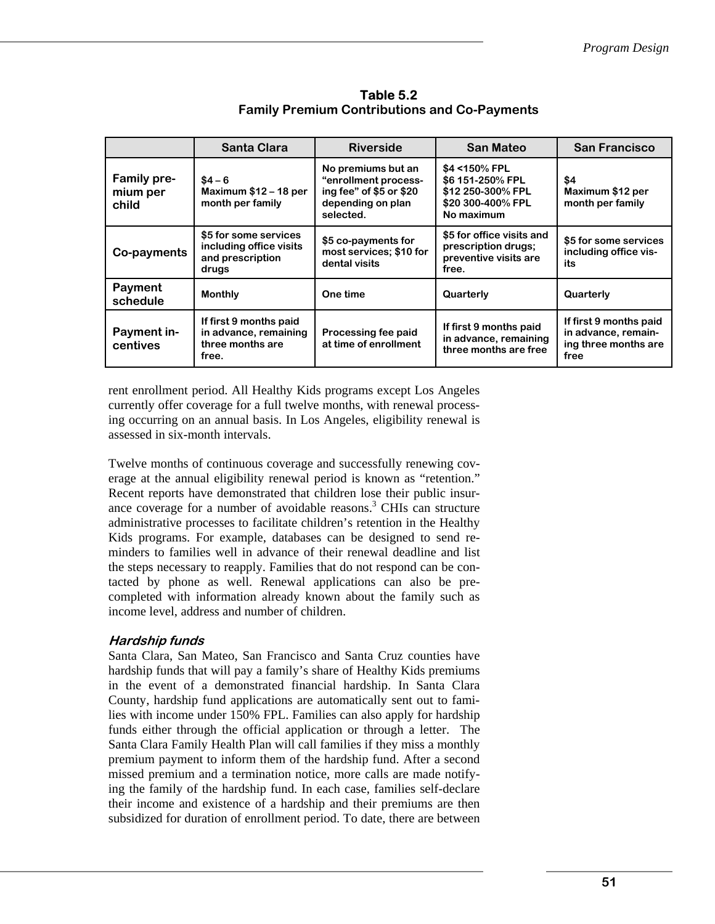|                                         | <b>Santa Clara</b>                                                            | <b>Riverside</b>                                                                                        | <b>San Mateo</b>                                                                           | <b>San Francisco</b>                                                          |
|-----------------------------------------|-------------------------------------------------------------------------------|---------------------------------------------------------------------------------------------------------|--------------------------------------------------------------------------------------------|-------------------------------------------------------------------------------|
| <b>Family pre-</b><br>mium per<br>child | $$4 - 6$<br>Maximum $$12 - 18$ per<br>month per family                        | No premiums but an<br>"enrollment process-<br>ing fee" of \$5 or \$20<br>depending on plan<br>selected. | \$4 < 150% FPL<br>\$6 151-250% FPL<br>\$12 250-300% FPL<br>\$20 300-400% FPL<br>No maximum | \$4<br>Maximum \$12 per<br>month per family                                   |
| Co-payments                             | \$5 for some services<br>including office visits<br>and prescription<br>drugs | \$5 co-payments for<br>most services; \$10 for<br>dental visits                                         | \$5 for office visits and<br>prescription drugs;<br>preventive visits are<br>free.         | \$5 for some services<br>including office vis-<br>its                         |
| Payment<br>schedule                     | <b>Monthly</b>                                                                | One time                                                                                                | Quarterly                                                                                  | Quarterly                                                                     |
| Payment in-<br>centives                 | If first 9 months paid<br>in advance, remaining<br>three months are<br>free.  | Processing fee paid<br>at time of enrollment                                                            | If first 9 months paid<br>in advance, remaining<br>three months are free                   | If first 9 months paid<br>in advance, remain-<br>ing three months are<br>free |

**Table 5.2 Family Premium Contributions and Co-Payments** 

rent enrollment period. All Healthy Kids programs except Los Angeles currently offer coverage for a full twelve months, with renewal processing occurring on an annual basis. In Los Angeles, eligibility renewal is assessed in six-month intervals.

Twelve months of continuous coverage and successfully renewing coverage at the annual eligibility renewal period is known as "retention." Recent reports have demonstrated that children lose their public insurance coverage for a number of avoidable reasons.<sup>3</sup> CHIs can structure administrative processes to facilitate children's retention in the Healthy Kids programs. For example, databases can be designed to send reminders to families well in advance of their renewal deadline and list the steps necessary to reapply. Families that do not respond can be contacted by phone as well. Renewal applications can also be precompleted with information already known about the family such as income level, address and number of children.

# **Hardship funds**

Santa Clara, San Mateo, San Francisco and Santa Cruz counties have hardship funds that will pay a family's share of Healthy Kids premiums in the event of a demonstrated financial hardship. In Santa Clara County, hardship fund applications are automatically sent out to families with income under 150% FPL. Families can also apply for hardship funds either through the official application or through a letter. The Santa Clara Family Health Plan will call families if they miss a monthly premium payment to inform them of the hardship fund. After a second missed premium and a termination notice, more calls are made notifying the family of the hardship fund. In each case, families self-declare their income and existence of a hardship and their premiums are then subsidized for duration of enrollment period. To date, there are between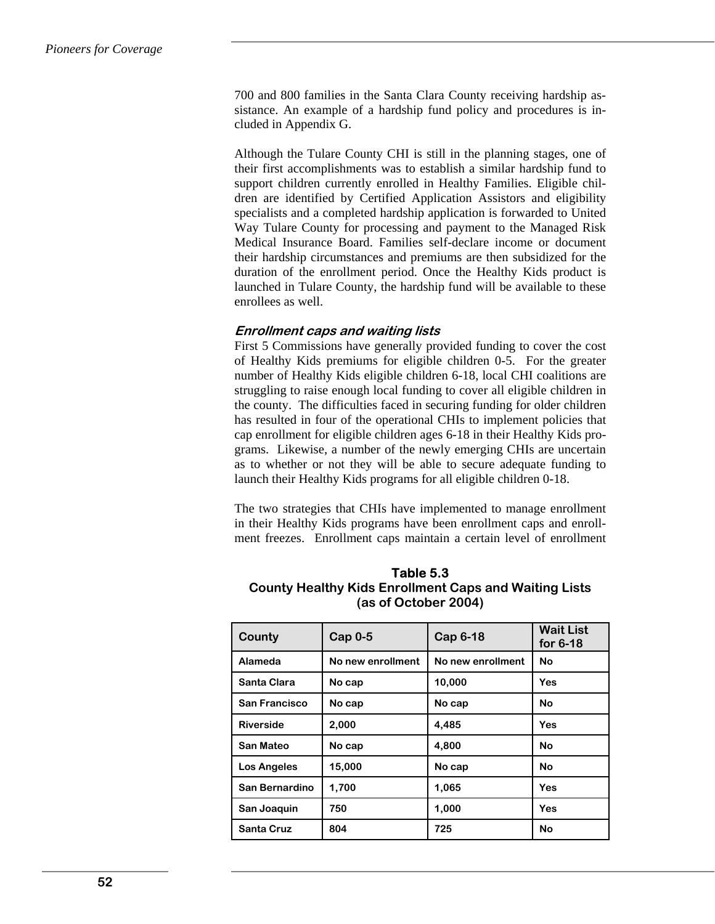700 and 800 families in the Santa Clara County receiving hardship assistance. An example of a hardship fund policy and procedures is included in Appendix G.

Although the Tulare County CHI is still in the planning stages, one of their first accomplishments was to establish a similar hardship fund to support children currently enrolled in Healthy Families. Eligible children are identified by Certified Application Assistors and eligibility specialists and a completed hardship application is forwarded to United Way Tulare County for processing and payment to the Managed Risk Medical Insurance Board. Families self-declare income or document their hardship circumstances and premiums are then subsidized for the duration of the enrollment period. Once the Healthy Kids product is launched in Tulare County, the hardship fund will be available to these enrollees as well.

#### **Enrollment caps and waiting lists**

First 5 Commissions have generally provided funding to cover the cost of Healthy Kids premiums for eligible children 0-5. For the greater number of Healthy Kids eligible children 6-18, local CHI coalitions are struggling to raise enough local funding to cover all eligible children in the county. The difficulties faced in securing funding for older children has resulted in four of the operational CHIs to implement policies that cap enrollment for eligible children ages 6-18 in their Healthy Kids programs. Likewise, a number of the newly emerging CHIs are uncertain as to whether or not they will be able to secure adequate funding to launch their Healthy Kids programs for all eligible children 0-18.

The two strategies that CHIs have implemented to manage enrollment in their Healthy Kids programs have been enrollment caps and enrollment freezes. Enrollment caps maintain a certain level of enrollment

| County             | $Cap0-5$<br>Cap 6-18 |                   | <b>Wait List</b><br>for $6-18$ |  |
|--------------------|----------------------|-------------------|--------------------------------|--|
| Alameda            | No new enrollment    | No new enrollment | <b>No</b>                      |  |
| Santa Clara        | No cap               | 10,000            | Yes                            |  |
| San Francisco      | No cap               | No cap            | <b>No</b>                      |  |
| <b>Riverside</b>   | 2,000                | 4,485             | Yes                            |  |
| San Mateo          | No cap               | 4,800             | <b>No</b>                      |  |
| <b>Los Angeles</b> | 15,000               | No cap            | No                             |  |
| San Bernardino     | 1,700                | 1,065             | Yes                            |  |
| San Joaquin        | 750                  | 1,000             | Yes                            |  |
| <b>Santa Cruz</b>  | 804                  | 725               | <b>No</b>                      |  |

### **Table 5.3 County Healthy Kids Enrollment Caps and Waiting Lists (as of October 2004)**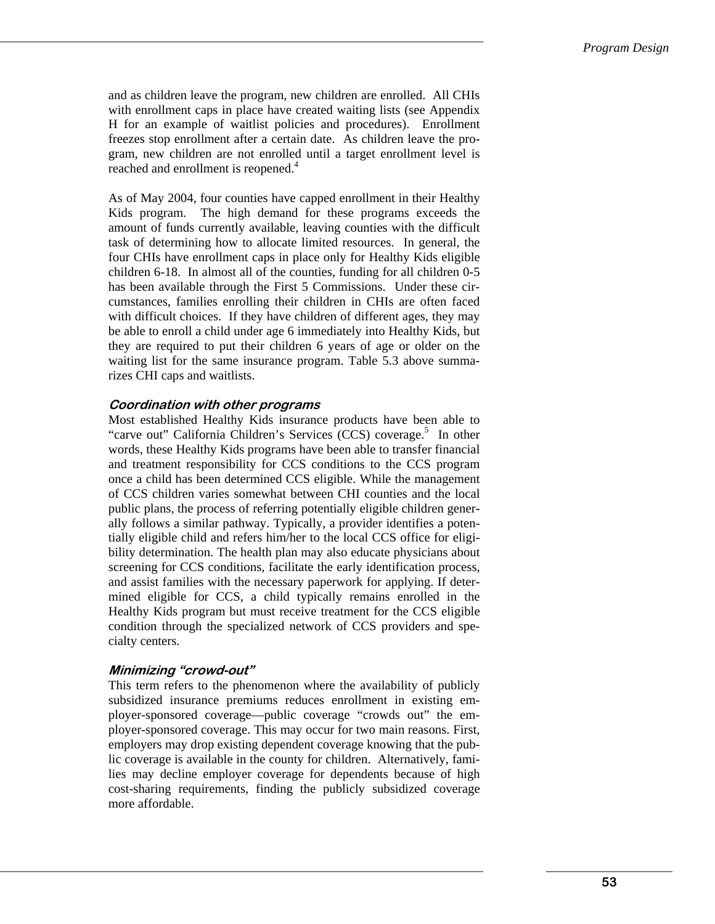and as children leave the program, new children are enrolled. All CHIs with enrollment caps in place have created waiting lists (see Appendix H for an example of waitlist policies and procedures). Enrollment freezes stop enrollment after a certain date. As children leave the program, new children are not enrolled until a target enrollment level is reached and enrollment is reopened.<sup>4</sup>

As of May 2004, four counties have capped enrollment in their Healthy Kids program. The high demand for these programs exceeds the amount of funds currently available, leaving counties with the difficult task of determining how to allocate limited resources. In general, the four CHIs have enrollment caps in place only for Healthy Kids eligible children 6-18. In almost all of the counties, funding for all children 0-5 has been available through the First 5 Commissions. Under these circumstances, families enrolling their children in CHIs are often faced with difficult choices. If they have children of different ages, they may be able to enroll a child under age 6 immediately into Healthy Kids, but they are required to put their children 6 years of age or older on the waiting list for the same insurance program. Table 5.3 above summarizes CHI caps and waitlists.

### **Coordination with other programs**

Most established Healthy Kids insurance products have been able to "carve out" California Children's Services (CCS) coverage.<sup>5</sup> In other words, these Healthy Kids programs have been able to transfer financial and treatment responsibility for CCS conditions to the CCS program once a child has been determined CCS eligible. While the management of CCS children varies somewhat between CHI counties and the local public plans, the process of referring potentially eligible children generally follows a similar pathway. Typically, a provider identifies a potentially eligible child and refers him/her to the local CCS office for eligibility determination. The health plan may also educate physicians about screening for CCS conditions, facilitate the early identification process, and assist families with the necessary paperwork for applying. If determined eligible for CCS, a child typically remains enrolled in the Healthy Kids program but must receive treatment for the CCS eligible condition through the specialized network of CCS providers and specialty centers.

# **Minimizing "crowd-out"**

This term refers to the phenomenon where the availability of publicly subsidized insurance premiums reduces enrollment in existing employer-sponsored coverage—public coverage "crowds out" the employer-sponsored coverage. This may occur for two main reasons. First, employers may drop existing dependent coverage knowing that the public coverage is available in the county for children. Alternatively, families may decline employer coverage for dependents because of high cost-sharing requirements, finding the publicly subsidized coverage more affordable.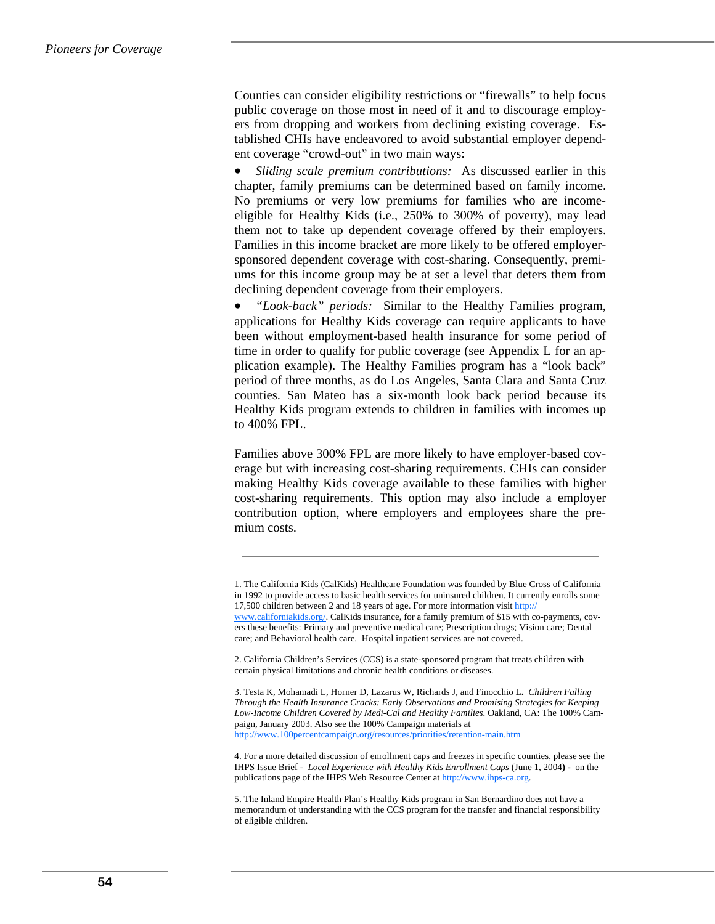Counties can consider eligibility restrictions or "firewalls" to help focus public coverage on those most in need of it and to discourage employers from dropping and workers from declining existing coverage. Established CHIs have endeavored to avoid substantial employer dependent coverage "crowd-out" in two main ways:

• *Sliding scale premium contributions:* As discussed earlier in this chapter, family premiums can be determined based on family income. No premiums or very low premiums for families who are incomeeligible for Healthy Kids (i.e., 250% to 300% of poverty), may lead them not to take up dependent coverage offered by their employers. Families in this income bracket are more likely to be offered employersponsored dependent coverage with cost-sharing. Consequently, premiums for this income group may be at set a level that deters them from declining dependent coverage from their employers.

• *"Look-back" periods:* Similar to the Healthy Families program, applications for Healthy Kids coverage can require applicants to have been without employment-based health insurance for some period of time in order to qualify for public coverage (see Appendix L for an application example). The Healthy Families program has a "look back" period of three months, as do Los Angeles, Santa Clara and Santa Cruz counties. San Mateo has a six-month look back period because its Healthy Kids program extends to children in families with incomes up to 400% FPL.

Families above 300% FPL are more likely to have employer-based coverage but with increasing cost-sharing requirements. CHIs can consider making Healthy Kids coverage available to these families with higher cost-sharing requirements. This option may also include a employer contribution option, where employers and employees share the premium costs.

2. California Children's Services (CCS) is a state-sponsored program that treats children with certain physical limitations and chronic health conditions or diseases.

3. Testa K, Mohamadi L, Horner D, Lazarus W, Richards J, and Finocchio L**.** *Children Falling Through the Health Insurance Cracks: Early Observations and Promising Strategies for Keeping Low-Income Children Covered by Medi-Cal and Healthy Families.* Oakland, CA: The 100% Campaign, January 2003. Also see the 100% Campaign materials at http://www.100percentcampaign.org/resources/priorities/retention-main.htm

4. For a more detailed discussion of enrollment caps and freezes in specific counties, please see the IHPS Issue Brief - *Local Experience with Healthy Kids Enrollment Caps* (June 1, 2004**) -** on the publications page of the IHPS Web Resource Center at http://www.ihps-ca.org.

5. The Inland Empire Health Plan's Healthy Kids program in San Bernardino does not have a memorandum of understanding with the CCS program for the transfer and financial responsibility of eligible children.

<sup>1.</sup> The California Kids (CalKids) Healthcare Foundation was founded by Blue Cross of California in 1992 to provide access to basic health services for uninsured children. It currently enrolls some 17,500 children between 2 and 18 years of age. For more information visit http:// www.californiakids.org/. CalKids insurance, for a family premium of \$15 with co-payments, cov-

ers these benefits: Primary and preventive medical care; Prescription drugs; Vision care; Dental care; and Behavioral health care. Hospital inpatient services are not covered.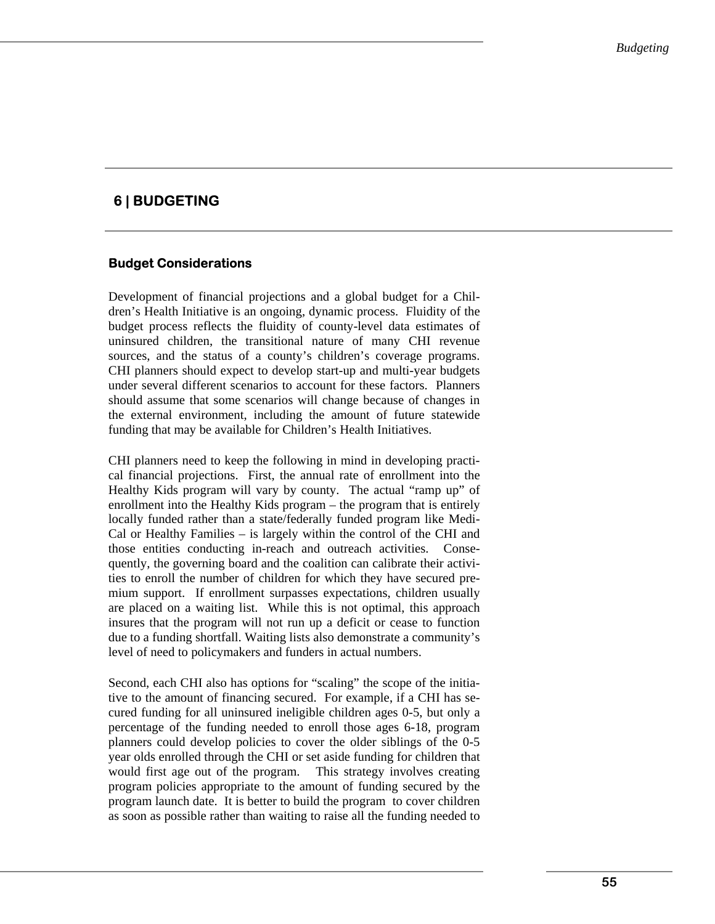# **6 | BUDGETING**

# **Budget Considerations**

Development of financial projections and a global budget for a Children's Health Initiative is an ongoing, dynamic process. Fluidity of the budget process reflects the fluidity of county-level data estimates of uninsured children, the transitional nature of many CHI revenue sources, and the status of a county's children's coverage programs. CHI planners should expect to develop start-up and multi-year budgets under several different scenarios to account for these factors. Planners should assume that some scenarios will change because of changes in the external environment, including the amount of future statewide funding that may be available for Children's Health Initiatives.

CHI planners need to keep the following in mind in developing practical financial projections. First, the annual rate of enrollment into the Healthy Kids program will vary by county. The actual "ramp up" of enrollment into the Healthy Kids program – the program that is entirely locally funded rather than a state/federally funded program like Medi-Cal or Healthy Families – is largely within the control of the CHI and those entities conducting in-reach and outreach activities. Consequently, the governing board and the coalition can calibrate their activities to enroll the number of children for which they have secured premium support. If enrollment surpasses expectations, children usually are placed on a waiting list. While this is not optimal, this approach insures that the program will not run up a deficit or cease to function due to a funding shortfall. Waiting lists also demonstrate a community's level of need to policymakers and funders in actual numbers.

Second, each CHI also has options for "scaling" the scope of the initiative to the amount of financing secured. For example, if a CHI has secured funding for all uninsured ineligible children ages 0-5, but only a percentage of the funding needed to enroll those ages 6-18, program planners could develop policies to cover the older siblings of the 0-5 year olds enrolled through the CHI or set aside funding for children that would first age out of the program. This strategy involves creating program policies appropriate to the amount of funding secured by the program launch date. It is better to build the program to cover children as soon as possible rather than waiting to raise all the funding needed to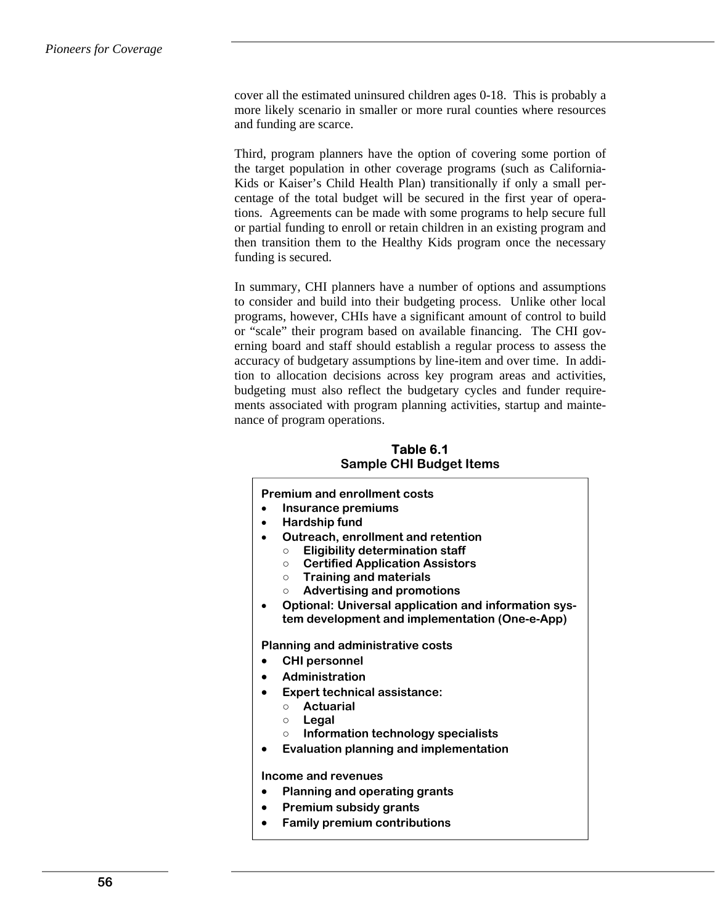cover all the estimated uninsured children ages 0-18. This is probably a more likely scenario in smaller or more rural counties where resources and funding are scarce.

Third, program planners have the option of covering some portion of the target population in other coverage programs (such as California-Kids or Kaiser's Child Health Plan) transitionally if only a small percentage of the total budget will be secured in the first year of operations. Agreements can be made with some programs to help secure full or partial funding to enroll or retain children in an existing program and then transition them to the Healthy Kids program once the necessary funding is secured.

In summary, CHI planners have a number of options and assumptions to consider and build into their budgeting process. Unlike other local programs, however, CHIs have a significant amount of control to build or "scale" their program based on available financing. The CHI governing board and staff should establish a regular process to assess the accuracy of budgetary assumptions by line-item and over time. In addition to allocation decisions across key program areas and activities, budgeting must also reflect the budgetary cycles and funder requirements associated with program planning activities, startup and maintenance of program operations.

**Table 6.1 Sample CHI Budget Items** 

|           | <b>Premium and enrollment costs</b>                         |
|-----------|-------------------------------------------------------------|
| $\bullet$ | <b>Insurance premiums</b>                                   |
| $\bullet$ | <b>Hardship fund</b>                                        |
| $\bullet$ | Outreach, enrollment and retention                          |
|           | <b>Eligibility determination staff</b><br>$\circ$           |
|           | <b>Certified Application Assistors</b><br>$\circ$           |
|           | <b>Training and materials</b><br>$\circ$                    |
|           | <b>Advertising and promotions</b><br>$\circ$                |
| $\bullet$ | <b>Optional: Universal application and information sys-</b> |
|           | tem development and implementation (One-e-App)              |
|           | <b>Planning and administrative costs</b>                    |
| $\bullet$ | <b>CHI personnel</b>                                        |
|           | • Administration                                            |
| $\bullet$ | <b>Expert technical assistance:</b>                         |
|           | Actuarial<br>$\circ$                                        |
|           | Legal<br>$\circ$                                            |
|           | Information technology specialists<br>$\circ$               |
| $\bullet$ | Evaluation planning and implementation                      |
|           | Income and revenues                                         |
|           |                                                             |
| $\bullet$ | Planning and operating grants                               |
| $\bullet$ | <b>Premium subsidy grants</b>                               |
| $\bullet$ | <b>Family premium contributions</b>                         |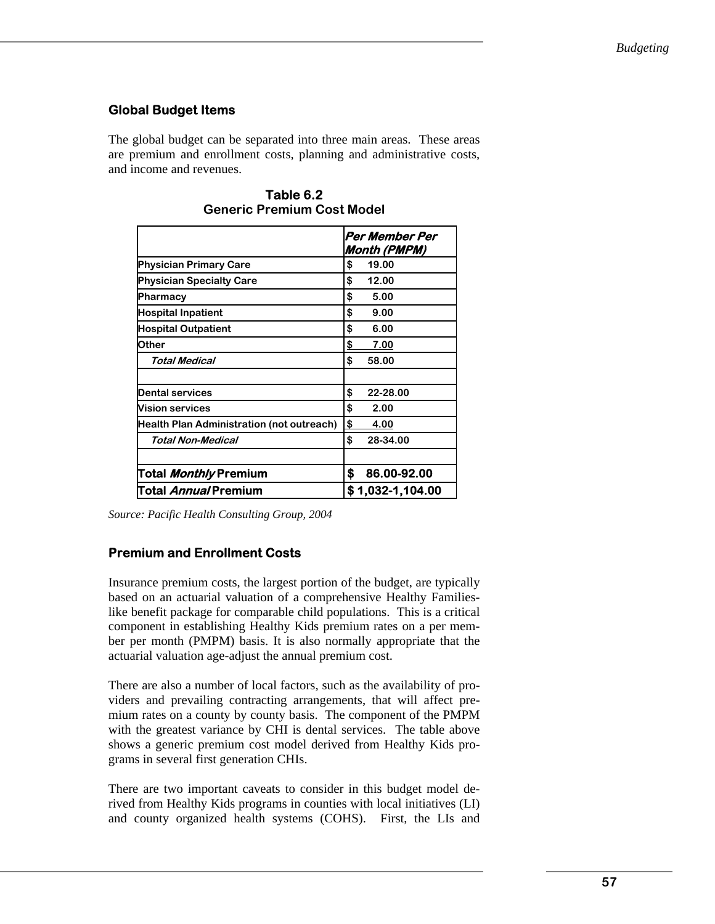# **Global Budget Items**

The global budget can be separated into three main areas. These areas are premium and enrollment costs, planning and administrative costs, and income and revenues.

|                                           | Per Member Per<br><b>Month (PMPM)</b> |
|-------------------------------------------|---------------------------------------|
| <b>Physician Primary Care</b>             | \$<br>19.00                           |
| <b>Physician Specialty Care</b>           | 12.00<br>\$                           |
| Pharmacy                                  | \$<br>5.00                            |
| <b>Hospital Inpatient</b>                 | \$<br>9.00                            |
| <b>Hospital Outpatient</b>                | \$<br>6.00                            |
| <b>Other</b>                              | \$<br>7.00                            |
| <b>Total Medical</b>                      | \$<br>58.00                           |
| <b>Dental services</b>                    | \$<br>22-28.00                        |
| <b>Vision services</b>                    | \$<br>2.00                            |
| Health Plan Administration (not outreach) | \$<br>4.00                            |
| Total Non-Medical                         | \$<br>28-34.00                        |
| Total <i>Monthly</i> Premium              | \$<br>86.00-92.00                     |
| Total <i>Annual</i> Premium               | \$1,032-1,104.00                      |

**Table 6.2 Generic Premium Cost Model** 

*Source: Pacific Health Consulting Group, 2004* 

# **Premium and Enrollment Costs**

Insurance premium costs, the largest portion of the budget, are typically based on an actuarial valuation of a comprehensive Healthy Familieslike benefit package for comparable child populations. This is a critical component in establishing Healthy Kids premium rates on a per member per month (PMPM) basis. It is also normally appropriate that the actuarial valuation age-adjust the annual premium cost.

There are also a number of local factors, such as the availability of providers and prevailing contracting arrangements, that will affect premium rates on a county by county basis. The component of the PMPM with the greatest variance by CHI is dental services. The table above shows a generic premium cost model derived from Healthy Kids programs in several first generation CHIs.

There are two important caveats to consider in this budget model derived from Healthy Kids programs in counties with local initiatives (LI) and county organized health systems (COHS). First, the LIs and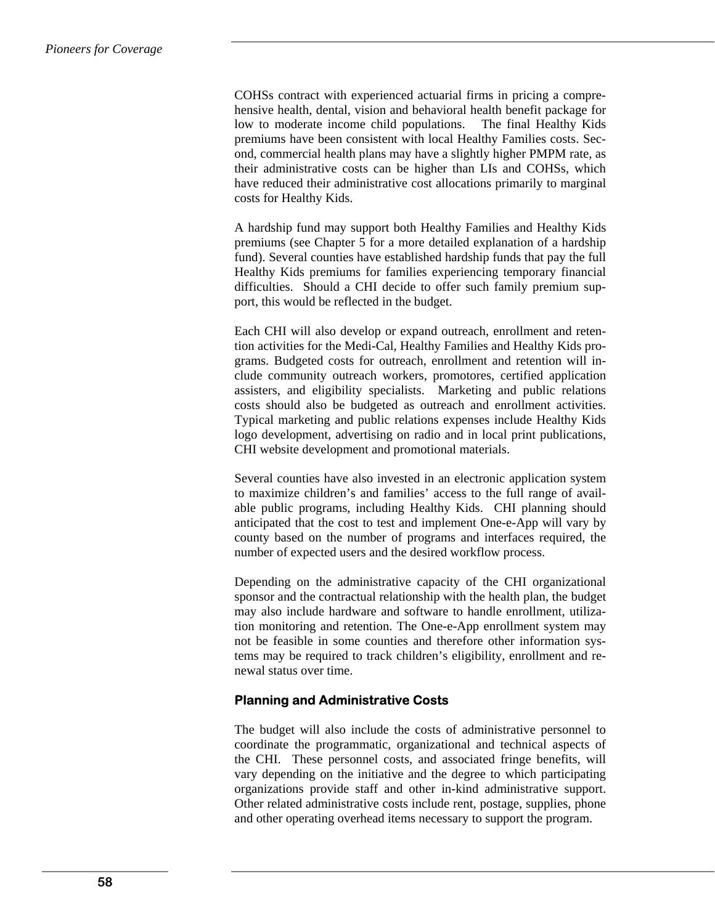COHSs contract with experienced actuarial firms in pricing a comprehensive health, dental, vision and behavioral health benefit package for low to moderate income child populations. The final Healthy Kids premiums have been consistent with local Healthy Families costs. Second, commercial health plans may have a slightly higher PMPM rate, as their administrative costs can be higher than LIs and COHSs, which have reduced their administrative cost allocations primarily to marginal costs for Healthy Kids.

A hardship fund may support both Healthy Families and Healthy Kids premiums (see Chapter 5 for a more detailed explanation of a hardship fund). Several counties have established hardship funds that pay the full Healthy Kids premiums for families experiencing temporary financial difficulties. Should a CHI decide to offer such family premium support, this would be reflected in the budget.

Each CHI will also develop or expand outreach, enrollment and retention activities for the Medi-Cal, Healthy Families and Healthy Kids programs. Budgeted costs for outreach, enrollment and retention will include community outreach workers, promotores, certified application assisters, and eligibility specialists. Marketing and public relations costs should also be budgeted as outreach and enrollment activities. Typical marketing and public relations expenses include Healthy Kids logo development, advertising on radio and in local print publications, CHI website development and promotional materials.

Several counties have also invested in an electronic application system to maximize children's and families' access to the full range of available public programs, including Healthy Kids. CHI planning should anticipated that the cost to test and implement One-e-App will vary by county based on the number of programs and interfaces required, the number of expected users and the desired workflow process.

Depending on the administrative capacity of the CHI organizational sponsor and the contractual relationship with the health plan, the budget may also include hardware and software to handle enrollment, utilization monitoring and retention. The One-e-App enrollment system may not be feasible in some counties and therefore other information systems may be required to track children's eligibility, enrollment and renewal status over time.

# **Planning and Administrative Costs**

The budget will also include the costs of administrative personnel to coordinate the programmatic, organizational and technical aspects of the CHI. These personnel costs, and associated fringe benefits, will vary depending on the initiative and the degree to which participating organizations provide staff and other in-kind administrative support. Other related administrative costs include rent, postage, supplies, phone and other operating overhead items necessary to support the program.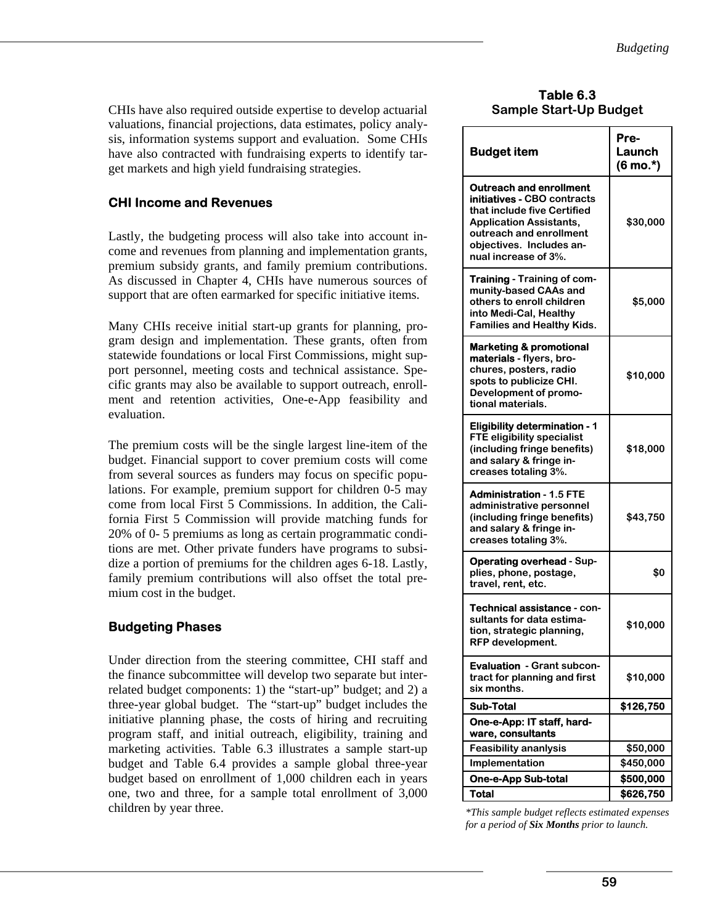CHIs have also required outside expertise to develop actuarial valuations, financial projections, data estimates, policy analysis, information systems support and evaluation. Some CHIs have also contracted with fundraising experts to identify target markets and high yield fundraising strategies.

# **CHI Income and Revenues**

Lastly, the budgeting process will also take into account income and revenues from planning and implementation grants, premium subsidy grants, and family premium contributions. As discussed in Chapter 4, CHIs have numerous sources of support that are often earmarked for specific initiative items.

Many CHIs receive initial start-up grants for planning, program design and implementation. These grants, often from statewide foundations or local First Commissions, might support personnel, meeting costs and technical assistance. Specific grants may also be available to support outreach, enrollment and retention activities, One-e-App feasibility and evaluation.

The premium costs will be the single largest line-item of the budget. Financial support to cover premium costs will come from several sources as funders may focus on specific populations. For example, premium support for children 0-5 may come from local First 5 Commissions. In addition, the California First 5 Commission will provide matching funds for 20% of 0- 5 premiums as long as certain programmatic conditions are met. Other private funders have programs to subsidize a portion of premiums for the children ages 6-18. Lastly, family premium contributions will also offset the total premium cost in the budget.

# **Budgeting Phases**

Under direction from the steering committee, CHI staff and the finance subcommittee will develop two separate but interrelated budget components: 1) the "start-up" budget; and 2) a three-year global budget. The "start-up" budget includes the initiative planning phase, the costs of hiring and recruiting program staff, and initial outreach, eligibility, training and marketing activities. Table 6.3 illustrates a sample start-up budget and Table 6.4 provides a sample global three-year budget based on enrollment of 1,000 children each in years one, two and three, for a sample total enrollment of 3,000 children by year three.

| Table 6.3 |                               |
|-----------|-------------------------------|
|           | <b>Sample Start-Up Budget</b> |

| <b>Budget item</b>                                                                                                                                                                                                   | Pre-<br>Launch<br>$(6 \text{ mo.}^*)$ |
|----------------------------------------------------------------------------------------------------------------------------------------------------------------------------------------------------------------------|---------------------------------------|
| <b>Outreach and enrollment</b><br><b>initiatives - CBO contracts</b><br>that include five Certified<br><b>Application Assistants,</b><br>outreach and enrollment<br>obiectives. Includes an-<br>nual increase of 3%. | \$30,000                              |
| <b>Training - Training of com-</b><br>munity-based CAAs and<br>others to enroll children<br>into Medi-Cal, Healthy<br><b>Families and Healthy Kids.</b>                                                              | \$5,000                               |
| <b>Marketing &amp; promotional</b><br>materials - flyers, bro-<br>chures, posters, radio<br>spots to publicize CHI.<br>Development of promo-<br>tional materials.                                                    | \$10,000                              |
| <b>Eligibility determination - 1</b><br><b>FTE eligibility specialist</b><br>(including fringe benefits)<br>and salary & fringe in-<br>creases totaling 3%.                                                          | \$18,000                              |
| <b>Administration - 1.5 FTE</b><br>administrative personnel<br>(including fringe benefits)<br>and salary & fringe in-<br>creases totaling 3%.                                                                        | \$43,750                              |
| <b>Operating overhead - Sup-</b><br>plies, phone, postage,<br>travel, rent, etc.                                                                                                                                     | \$0                                   |
| Technical assistance - con-<br>sultants for data estima-<br>tion, strategic planning,<br><b>RFP</b> development.                                                                                                     | \$10,000                              |
| <b>Evaluation</b> - Grant subcon-<br>tract for planning and first<br>six months.                                                                                                                                     | \$10,000                              |
| <b>Sub-Total</b>                                                                                                                                                                                                     | \$126,750                             |
| One-e-App: IT staff, hard-<br>ware, consultants                                                                                                                                                                      |                                       |
| <b>Feasibility ananlysis</b>                                                                                                                                                                                         | \$50,000                              |
| Implementation                                                                                                                                                                                                       | \$450,000                             |
| <b>One-e-App Sub-total</b>                                                                                                                                                                                           | \$500,000                             |
| <b>Total</b>                                                                                                                                                                                                         | \$626,750                             |

*<sup>\*</sup>This sample budget reflects estimated expenses for a period of Six Months prior to launch.*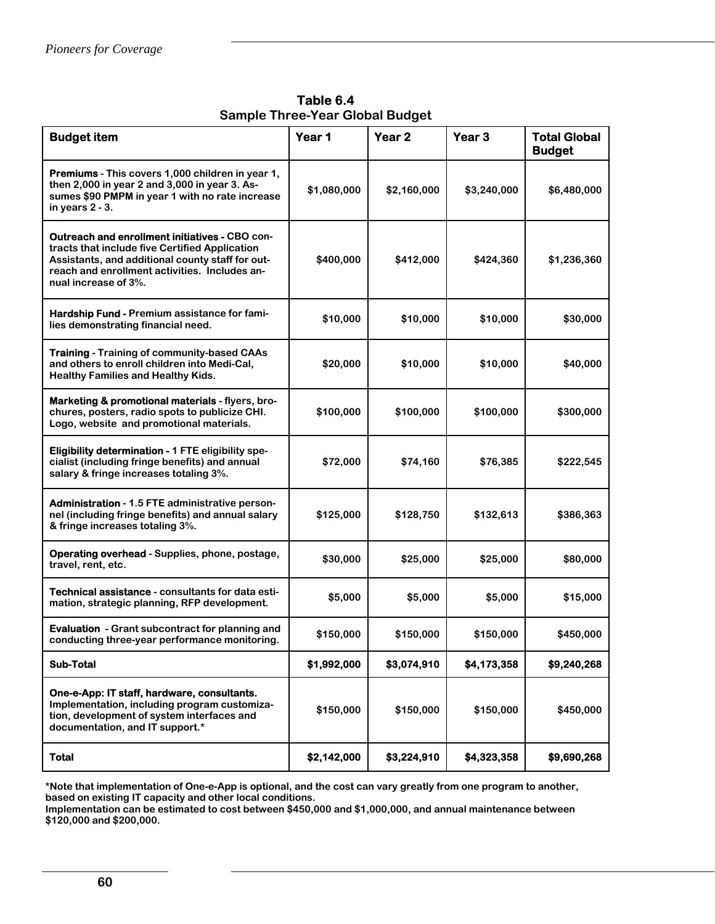**Table 6.4 Sample Three-Year Global Budget**

| <b>Budget item</b>                                                                                                                                                                                                                   | Year 1      | Year <sub>2</sub> | Year <sub>3</sub> | <b>Total Global</b><br><b>Budget</b> |
|--------------------------------------------------------------------------------------------------------------------------------------------------------------------------------------------------------------------------------------|-------------|-------------------|-------------------|--------------------------------------|
| <b>Premiums</b> - This covers 1,000 children in year 1,<br>then 2,000 in year 2 and 3,000 in year 3. As-<br>sumes \$90 PMPM in year 1 with no rate increase<br>in years $2 - 3$ .                                                    | \$1,080,000 | \$2,160,000       | \$3,240,000       | \$6,480,000                          |
| <b>Outreach and enrollment initiatives - CBO con-</b><br>tracts that include five Certified Application<br>Assistants, and additional county staff for out-<br>reach and enrollment activities. Includes an-<br>nual increase of 3%. | \$400,000   | \$412,000         | \$424,360         | \$1,236,360                          |
| Hardship Fund - Premium assistance for fami-<br>lies demonstrating financial need.                                                                                                                                                   | \$10,000    | \$10,000          | \$10,000          | \$30,000                             |
| <b>Training - Training of community-based CAAs</b><br>and others to enroll children into Medi-Cal,<br><b>Healthy Families and Healthy Kids.</b>                                                                                      | \$20,000    | \$10,000          | \$10,000          | \$40,000                             |
| Marketing & promotional materials - flyers, bro-<br>chures, posters, radio spots to publicize CHI.<br>Logo, website and promotional materials.                                                                                       | \$100,000   | \$100,000         | \$100,000         | \$300,000                            |
| <b>Eligibility determination - 1 FTE eligibility spe-</b><br>cialist (including fringe benefits) and annual<br>salary & fringe increases totaling 3%.                                                                                | \$72,000    | \$74,160          | \$76,385          | \$222,545                            |
| <b>Administration - 1.5 FTE administrative person-</b><br>nel (including fringe benefits) and annual salary<br>& fringe increases totaling 3%.                                                                                       | \$125,000   | \$128,750         | \$132,613         | \$386,363                            |
| <b>Operating overhead - Supplies, phone, postage,</b><br>travel, rent, etc.                                                                                                                                                          | \$30,000    | \$25,000          | \$25,000          | \$80,000                             |
| Technical assistance - consultants for data esti-<br>mation, strategic planning, RFP development.                                                                                                                                    | \$5,000     | \$5,000           | \$5,000           | \$15,000                             |
| <b>Evaluation</b> - Grant subcontract for planning and<br>conducting three-year performance monitoring.                                                                                                                              | \$150,000   | \$150,000         | \$150,000         | \$450,000                            |
| <b>Sub-Total</b>                                                                                                                                                                                                                     | \$1,992,000 | \$3,074,910       | \$4,173,358       | \$9,240,268                          |
| One-e-App: IT staff, hardware, consultants.<br>Implementation, including program customiza-<br>tion, development of system interfaces and<br>documentation, and IT support.*                                                         | \$150,000   | \$150,000         | \$150,000         | \$450,000                            |
| <b>Total</b>                                                                                                                                                                                                                         | \$2,142,000 | \$3,224,910       | \$4,323,358       | \$9,690,268                          |

**\*Note that implementation of One-e-App is optional, and the cost can vary greatly from one program to another, based on existing IT capacity and other local conditions.** 

**Implementation can be estimated to cost between \$450,000 and \$1,000,000, and annual maintenance between \$120,000 and \$200,000.**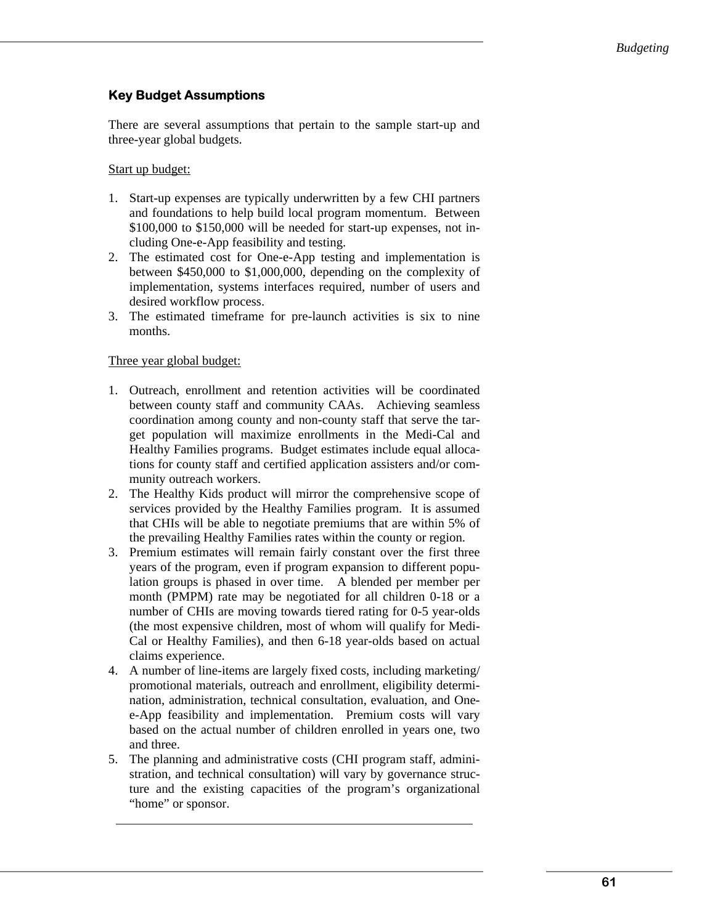# **Key Budget Assumptions**

There are several assumptions that pertain to the sample start-up and three-year global budgets.

#### Start up budget:

- 1. Start-up expenses are typically underwritten by a few CHI partners and foundations to help build local program momentum. Between \$100,000 to \$150,000 will be needed for start-up expenses, not including One-e-App feasibility and testing.
- 2. The estimated cost for One-e-App testing and implementation is between \$450,000 to \$1,000,000, depending on the complexity of implementation, systems interfaces required, number of users and desired workflow process.
- 3. The estimated timeframe for pre-launch activities is six to nine months.

### Three year global budget:

- 1. Outreach, enrollment and retention activities will be coordinated between county staff and community CAAs. Achieving seamless coordination among county and non-county staff that serve the target population will maximize enrollments in the Medi-Cal and Healthy Families programs. Budget estimates include equal allocations for county staff and certified application assisters and/or community outreach workers.
- 2. The Healthy Kids product will mirror the comprehensive scope of services provided by the Healthy Families program. It is assumed that CHIs will be able to negotiate premiums that are within 5% of the prevailing Healthy Families rates within the county or region.
- 3. Premium estimates will remain fairly constant over the first three years of the program, even if program expansion to different population groups is phased in over time. A blended per member per month (PMPM) rate may be negotiated for all children 0-18 or a number of CHIs are moving towards tiered rating for 0-5 year-olds (the most expensive children, most of whom will qualify for Medi-Cal or Healthy Families), and then 6-18 year-olds based on actual claims experience.
- 4. A number of line-items are largely fixed costs, including marketing/ promotional materials, outreach and enrollment, eligibility determination, administration, technical consultation, evaluation, and Onee-App feasibility and implementation. Premium costs will vary based on the actual number of children enrolled in years one, two and three.
- 5. The planning and administrative costs (CHI program staff, administration, and technical consultation) will vary by governance structure and the existing capacities of the program's organizational "home" or sponsor.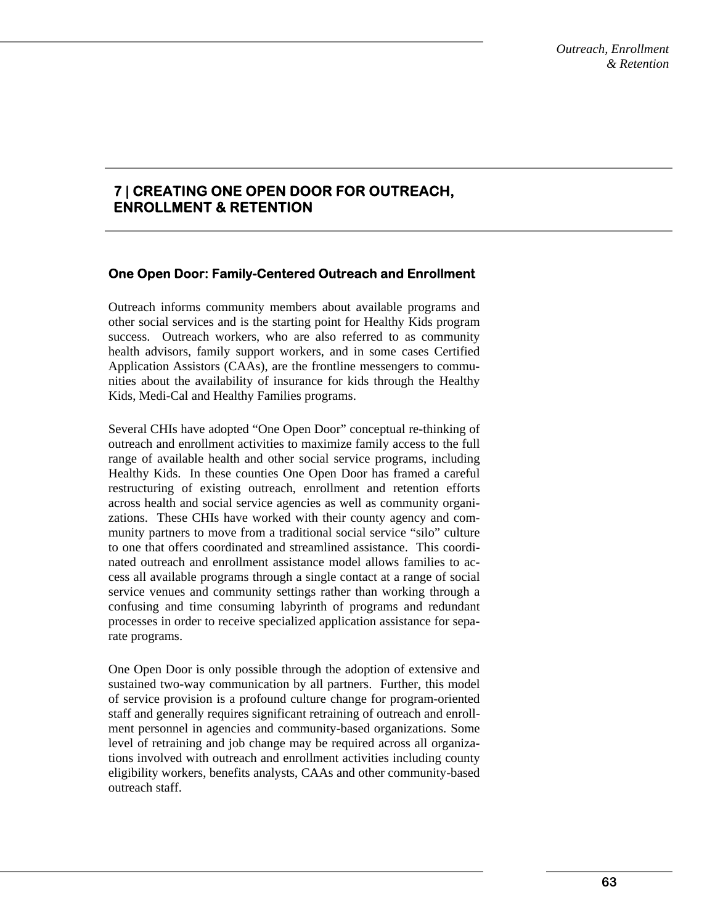# **7 | CREATING ONE OPEN DOOR FOR OUTREACH, ENROLLMENT & RETENTION**

### **One Open Door: Family-Centered Outreach and Enrollment**

Outreach informs community members about available programs and other social services and is the starting point for Healthy Kids program success. Outreach workers, who are also referred to as community health advisors, family support workers, and in some cases Certified Application Assistors (CAAs), are the frontline messengers to communities about the availability of insurance for kids through the Healthy Kids, Medi-Cal and Healthy Families programs.

Several CHIs have adopted "One Open Door" conceptual re-thinking of outreach and enrollment activities to maximize family access to the full range of available health and other social service programs, including Healthy Kids. In these counties One Open Door has framed a careful restructuring of existing outreach, enrollment and retention efforts across health and social service agencies as well as community organizations. These CHIs have worked with their county agency and community partners to move from a traditional social service "silo" culture to one that offers coordinated and streamlined assistance. This coordinated outreach and enrollment assistance model allows families to access all available programs through a single contact at a range of social service venues and community settings rather than working through a confusing and time consuming labyrinth of programs and redundant processes in order to receive specialized application assistance for separate programs.

One Open Door is only possible through the adoption of extensive and sustained two-way communication by all partners. Further, this model of service provision is a profound culture change for program-oriented staff and generally requires significant retraining of outreach and enrollment personnel in agencies and community-based organizations. Some level of retraining and job change may be required across all organizations involved with outreach and enrollment activities including county eligibility workers, benefits analysts, CAAs and other community-based outreach staff.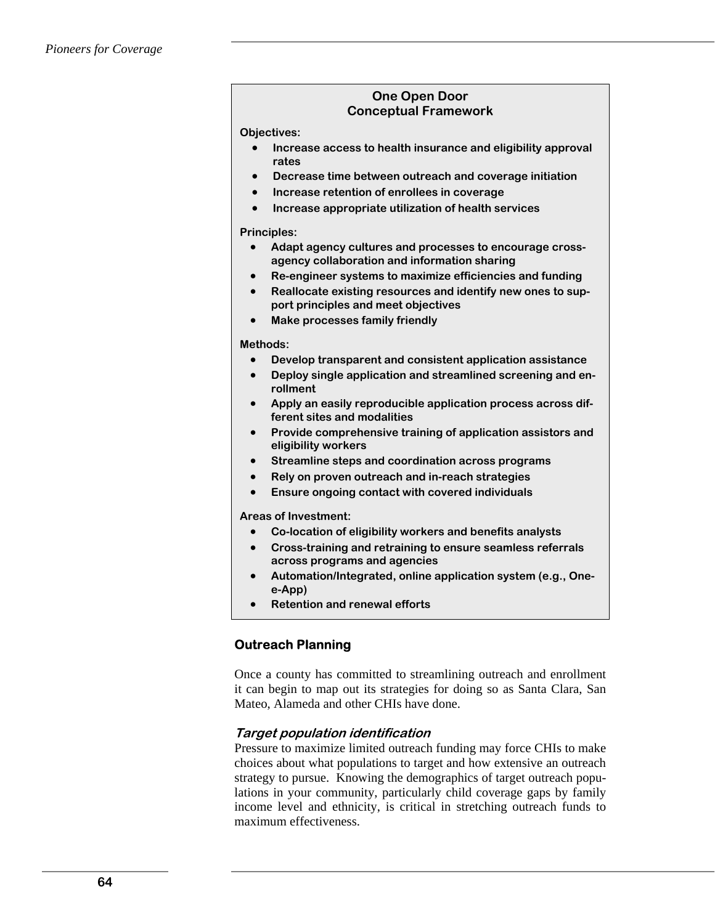#### **One Open Door Conceptual Framework**

**Objectives:** 

- **Increase access to health insurance and eligibility approval rates**
- **Decrease time between outreach and coverage initiation**
- **Increase retention of enrollees in coverage**
- **Increase appropriate utilization of health services**

#### **Principles:**

- **Adapt agency cultures and processes to encourage crossagency collaboration and information sharing**
- **Re-engineer systems to maximize efficiencies and funding**
- **Reallocate existing resources and identify new ones to support principles and meet objectives**
- **Make processes family friendly**

#### **Methods:**

- **Develop transparent and consistent application assistance**
- **Deploy single application and streamlined screening and enrollment**
- **Apply an easily reproducible application process across different sites and modalities**
- **Provide comprehensive training of application assistors and eligibility workers**
- **Streamline steps and coordination across programs**
- **Rely on proven outreach and in-reach strategies**
- **Ensure ongoing contact with covered individuals**

**Areas of Investment:** 

- **Co-location of eligibility workers and benefits analysts**
- **Cross-training and retraining to ensure seamless referrals across programs and agencies**
- **Automation/Integrated, online application system (e.g., Onee-App)**
- **Retention and renewal efforts**

# **Outreach Planning**

Once a county has committed to streamlining outreach and enrollment it can begin to map out its strategies for doing so as Santa Clara, San Mateo, Alameda and other CHIs have done.

### **Target population identification**

Pressure to maximize limited outreach funding may force CHIs to make choices about what populations to target and how extensive an outreach strategy to pursue. Knowing the demographics of target outreach populations in your community, particularly child coverage gaps by family income level and ethnicity, is critical in stretching outreach funds to maximum effectiveness.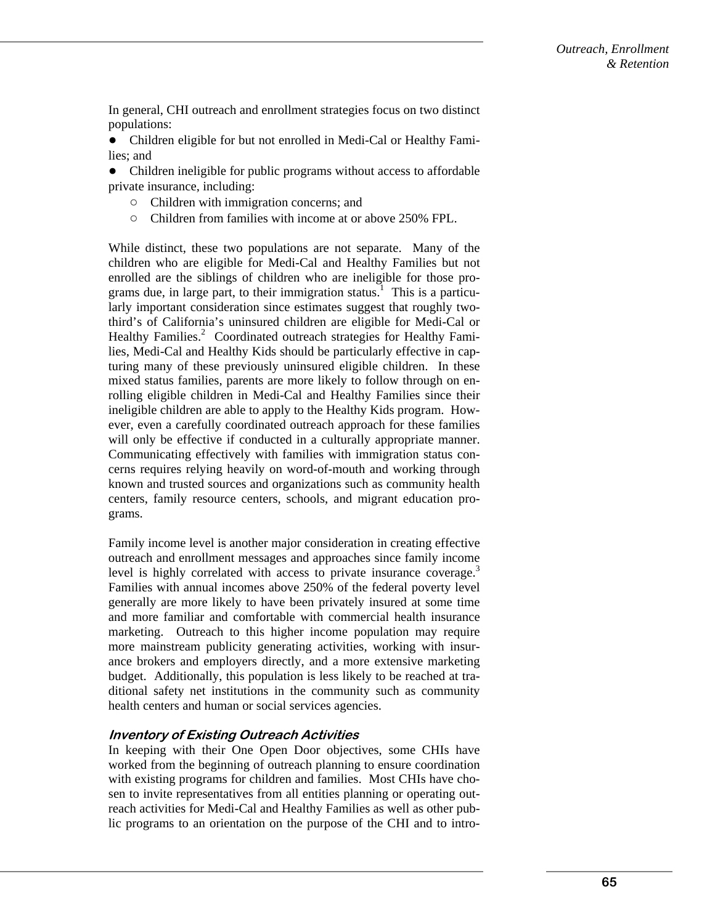In general, CHI outreach and enrollment strategies focus on two distinct populations:

● Children eligible for but not enrolled in Medi-Cal or Healthy Families; and

• Children ineligible for public programs without access to affordable private insurance, including:

- Children with immigration concerns; and
- Children from families with income at or above 250% FPL.

While distinct, these two populations are not separate. Many of the children who are eligible for Medi-Cal and Healthy Families but not enrolled are the siblings of children who are ineligible for those programs due, in large part, to their immigration status.<sup>1</sup> This is a particularly important consideration since estimates suggest that roughly twothird's of California's uninsured children are eligible for Medi-Cal or Healthy Families.<sup>2</sup> Coordinated outreach strategies for Healthy Families, Medi-Cal and Healthy Kids should be particularly effective in capturing many of these previously uninsured eligible children. In these mixed status families, parents are more likely to follow through on enrolling eligible children in Medi-Cal and Healthy Families since their ineligible children are able to apply to the Healthy Kids program. However, even a carefully coordinated outreach approach for these families will only be effective if conducted in a culturally appropriate manner. Communicating effectively with families with immigration status concerns requires relying heavily on word-of-mouth and working through known and trusted sources and organizations such as community health centers, family resource centers, schools, and migrant education programs.

Family income level is another major consideration in creating effective outreach and enrollment messages and approaches since family income level is highly correlated with access to private insurance coverage.<sup>3</sup> Families with annual incomes above 250% of the federal poverty level generally are more likely to have been privately insured at some time and more familiar and comfortable with commercial health insurance marketing. Outreach to this higher income population may require more mainstream publicity generating activities, working with insurance brokers and employers directly, and a more extensive marketing budget. Additionally, this population is less likely to be reached at traditional safety net institutions in the community such as community health centers and human or social services agencies.

#### **Inventory of Existing Outreach Activities**

In keeping with their One Open Door objectives, some CHIs have worked from the beginning of outreach planning to ensure coordination with existing programs for children and families. Most CHIs have chosen to invite representatives from all entities planning or operating outreach activities for Medi-Cal and Healthy Families as well as other public programs to an orientation on the purpose of the CHI and to intro-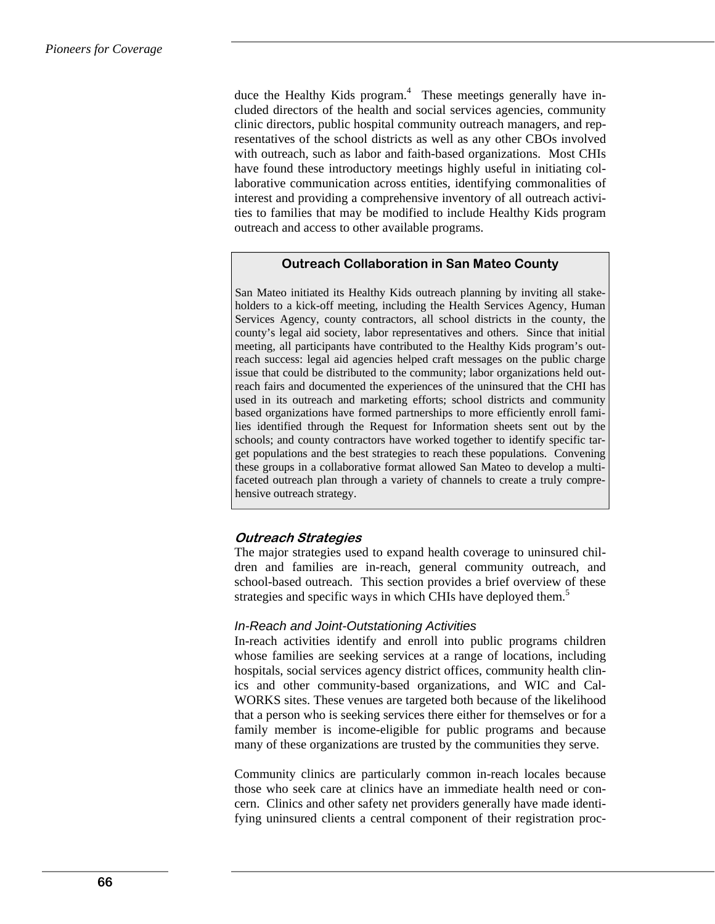duce the Healthy Kids program.<sup>4</sup> These meetings generally have included directors of the health and social services agencies, community clinic directors, public hospital community outreach managers, and representatives of the school districts as well as any other CBOs involved with outreach, such as labor and faith-based organizations. Most CHIs have found these introductory meetings highly useful in initiating collaborative communication across entities, identifying commonalities of interest and providing a comprehensive inventory of all outreach activities to families that may be modified to include Healthy Kids program outreach and access to other available programs.

#### **Outreach Collaboration in San Mateo County**

San Mateo initiated its Healthy Kids outreach planning by inviting all stakeholders to a kick-off meeting, including the Health Services Agency, Human Services Agency, county contractors, all school districts in the county, the county's legal aid society, labor representatives and others. Since that initial meeting, all participants have contributed to the Healthy Kids program's outreach success: legal aid agencies helped craft messages on the public charge issue that could be distributed to the community; labor organizations held outreach fairs and documented the experiences of the uninsured that the CHI has used in its outreach and marketing efforts; school districts and community based organizations have formed partnerships to more efficiently enroll families identified through the Request for Information sheets sent out by the schools; and county contractors have worked together to identify specific target populations and the best strategies to reach these populations. Convening these groups in a collaborative format allowed San Mateo to develop a multifaceted outreach plan through a variety of channels to create a truly comprehensive outreach strategy.

### **Outreach Strategies**

The major strategies used to expand health coverage to uninsured children and families are in-reach, general community outreach, and school-based outreach. This section provides a brief overview of these strategies and specific ways in which CHIs have deployed them.<sup>5</sup>

#### *In-Reach and Joint-Outstationing Activities*

In-reach activities identify and enroll into public programs children whose families are seeking services at a range of locations, including hospitals, social services agency district offices, community health clinics and other community-based organizations, and WIC and Cal-WORKS sites. These venues are targeted both because of the likelihood that a person who is seeking services there either for themselves or for a family member is income-eligible for public programs and because many of these organizations are trusted by the communities they serve.

Community clinics are particularly common in-reach locales because those who seek care at clinics have an immediate health need or concern. Clinics and other safety net providers generally have made identifying uninsured clients a central component of their registration proc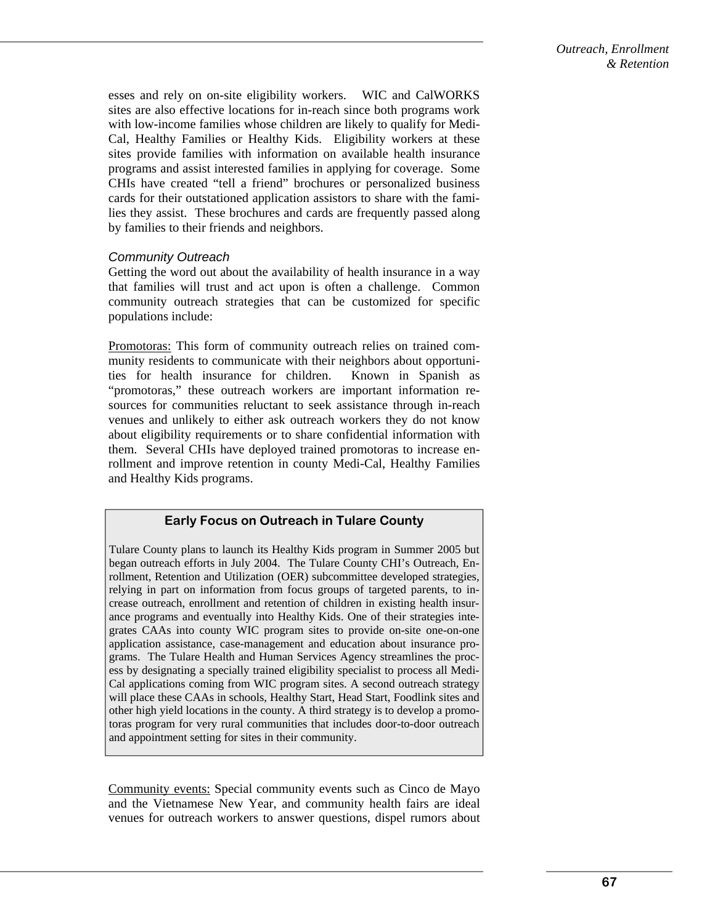esses and rely on on-site eligibility workers. WIC and CalWORKS sites are also effective locations for in-reach since both programs work with low-income families whose children are likely to qualify for Medi-Cal, Healthy Families or Healthy Kids. Eligibility workers at these sites provide families with information on available health insurance programs and assist interested families in applying for coverage. Some CHIs have created "tell a friend" brochures or personalized business cards for their outstationed application assistors to share with the families they assist. These brochures and cards are frequently passed along by families to their friends and neighbors.

### *Community Outreach*

Getting the word out about the availability of health insurance in a way that families will trust and act upon is often a challenge. Common community outreach strategies that can be customized for specific populations include:

Promotoras: This form of community outreach relies on trained community residents to communicate with their neighbors about opportunities for health insurance for children. Known in Spanish as "promotoras," these outreach workers are important information resources for communities reluctant to seek assistance through in-reach venues and unlikely to either ask outreach workers they do not know about eligibility requirements or to share confidential information with them. Several CHIs have deployed trained promotoras to increase enrollment and improve retention in county Medi-Cal, Healthy Families and Healthy Kids programs.

### **Early Focus on Outreach in Tulare County**

Tulare County plans to launch its Healthy Kids program in Summer 2005 but began outreach efforts in July 2004. The Tulare County CHI's Outreach, Enrollment, Retention and Utilization (OER) subcommittee developed strategies, relying in part on information from focus groups of targeted parents, to increase outreach, enrollment and retention of children in existing health insurance programs and eventually into Healthy Kids. One of their strategies integrates CAAs into county WIC program sites to provide on-site one-on-one application assistance, case-management and education about insurance programs. The Tulare Health and Human Services Agency streamlines the process by designating a specially trained eligibility specialist to process all Medi-Cal applications coming from WIC program sites. A second outreach strategy will place these CAAs in schools, Healthy Start, Head Start, Foodlink sites and other high yield locations in the county. A third strategy is to develop a promotoras program for very rural communities that includes door-to-door outreach and appointment setting for sites in their community.

Community events: Special community events such as Cinco de Mayo and the Vietnamese New Year, and community health fairs are ideal venues for outreach workers to answer questions, dispel rumors about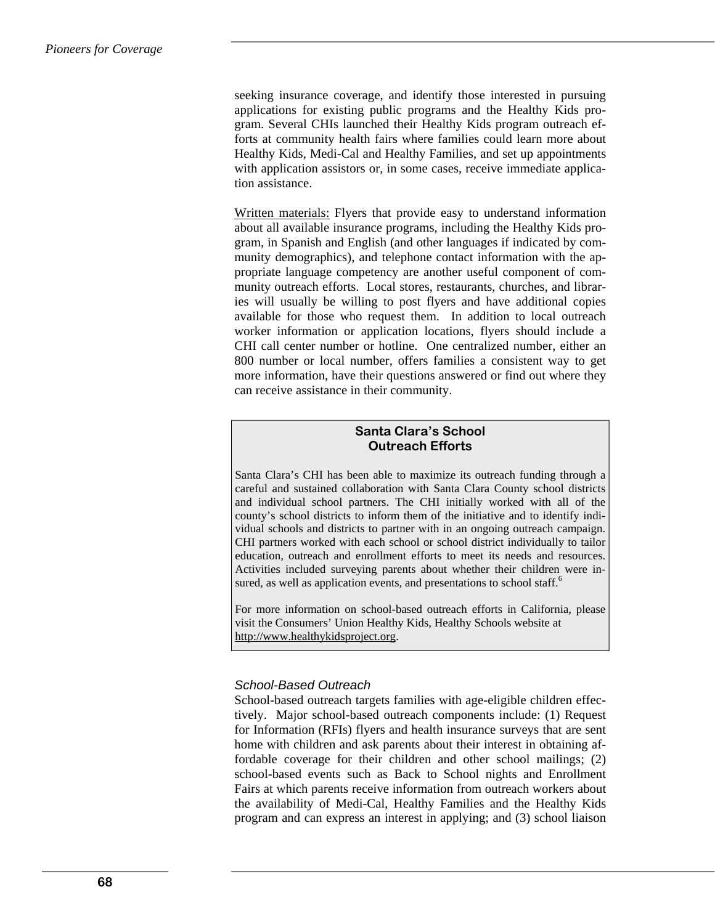seeking insurance coverage, and identify those interested in pursuing applications for existing public programs and the Healthy Kids program. Several CHIs launched their Healthy Kids program outreach efforts at community health fairs where families could learn more about Healthy Kids, Medi-Cal and Healthy Families, and set up appointments with application assistors or, in some cases, receive immediate application assistance.

Written materials: Flyers that provide easy to understand information about all available insurance programs, including the Healthy Kids program, in Spanish and English (and other languages if indicated by community demographics), and telephone contact information with the appropriate language competency are another useful component of community outreach efforts. Local stores, restaurants, churches, and libraries will usually be willing to post flyers and have additional copies available for those who request them. In addition to local outreach worker information or application locations, flyers should include a CHI call center number or hotline. One centralized number, either an 800 number or local number, offers families a consistent way to get more information, have their questions answered or find out where they can receive assistance in their community.

## **Santa Clara's School Outreach Efforts**

Santa Clara's CHI has been able to maximize its outreach funding through a careful and sustained collaboration with Santa Clara County school districts and individual school partners. The CHI initially worked with all of the county's school districts to inform them of the initiative and to identify individual schools and districts to partner with in an ongoing outreach campaign. CHI partners worked with each school or school district individually to tailor education, outreach and enrollment efforts to meet its needs and resources. Activities included surveying parents about whether their children were insured, as well as application events, and presentations to school staff.<sup>6</sup>

For more information on school-based outreach efforts in California, please visit the Consumers' Union Healthy Kids, Healthy Schools website at http://www.healthykidsproject.org.

### *School-Based Outreach*

School-based outreach targets families with age-eligible children effectively. Major school-based outreach components include: (1) Request for Information (RFIs) flyers and health insurance surveys that are sent home with children and ask parents about their interest in obtaining affordable coverage for their children and other school mailings; (2) school-based events such as Back to School nights and Enrollment Fairs at which parents receive information from outreach workers about the availability of Medi-Cal, Healthy Families and the Healthy Kids program and can express an interest in applying; and (3) school liaison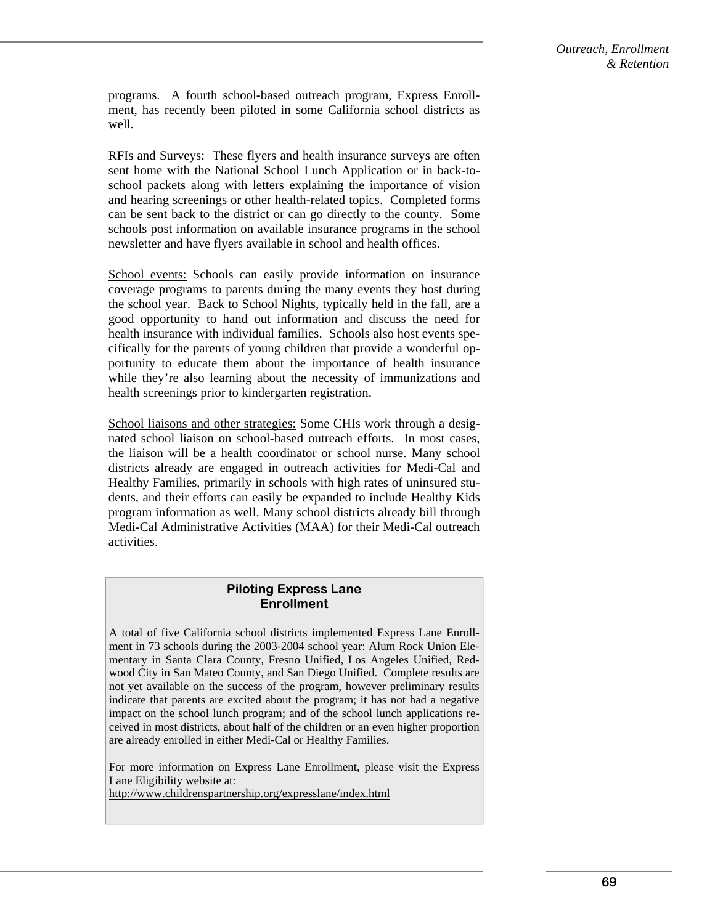programs. A fourth school-based outreach program, Express Enrollment, has recently been piloted in some California school districts as well.

RFIs and Surveys: These flyers and health insurance surveys are often sent home with the National School Lunch Application or in back-toschool packets along with letters explaining the importance of vision and hearing screenings or other health-related topics. Completed forms can be sent back to the district or can go directly to the county. Some schools post information on available insurance programs in the school newsletter and have flyers available in school and health offices.

School events: Schools can easily provide information on insurance coverage programs to parents during the many events they host during the school year. Back to School Nights, typically held in the fall, are a good opportunity to hand out information and discuss the need for health insurance with individual families. Schools also host events specifically for the parents of young children that provide a wonderful opportunity to educate them about the importance of health insurance while they're also learning about the necessity of immunizations and health screenings prior to kindergarten registration.

School liaisons and other strategies: Some CHIs work through a designated school liaison on school-based outreach efforts. In most cases, the liaison will be a health coordinator or school nurse. Many school districts already are engaged in outreach activities for Medi-Cal and Healthy Families, primarily in schools with high rates of uninsured students, and their efforts can easily be expanded to include Healthy Kids program information as well. Many school districts already bill through Medi-Cal Administrative Activities (MAA) for their Medi-Cal outreach activities.

#### **Piloting Express Lane Enrollment**

A total of five California school districts implemented Express Lane Enrollment in 73 schools during the 2003-2004 school year: Alum Rock Union Elementary in Santa Clara County, Fresno Unified, Los Angeles Unified, Redwood City in San Mateo County, and San Diego Unified. Complete results are not yet available on the success of the program, however preliminary results indicate that parents are excited about the program; it has not had a negative impact on the school lunch program; and of the school lunch applications received in most districts, about half of the children or an even higher proportion are already enrolled in either Medi-Cal or Healthy Families.

For more information on Express Lane Enrollment, please visit the Express Lane Eligibility website at:

http://www.childrenspartnership.org/expresslane/index.html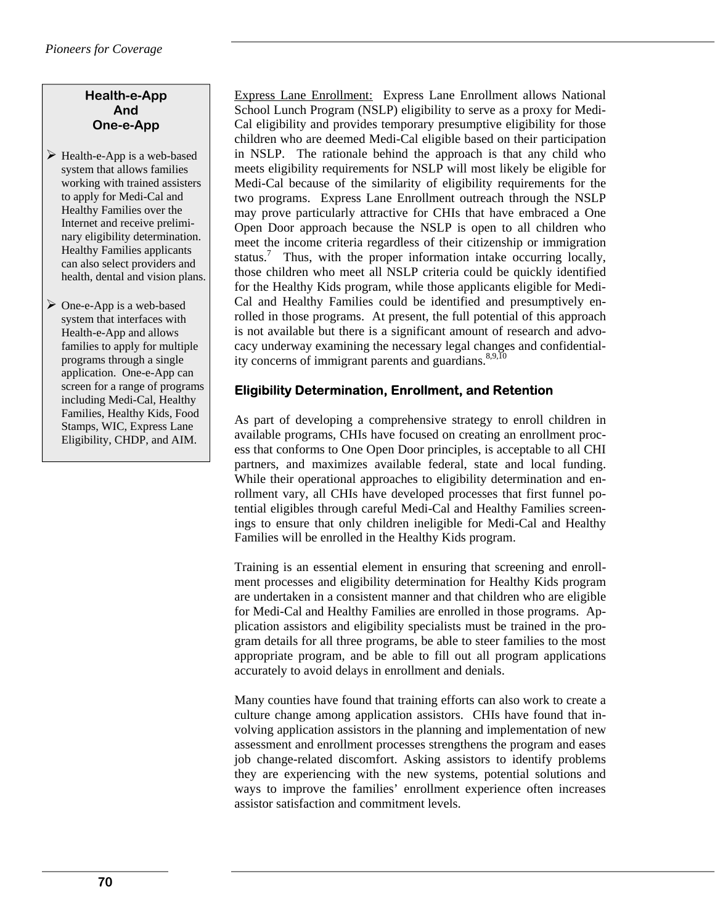# **Health-e-App And One-e-App**

- $\triangleright$  Health-e-App is a web-based system that allows families working with trained assisters to apply for Medi-Cal and Healthy Families over the Internet and receive preliminary eligibility determination. Healthy Families applicants can also select providers and health, dental and vision plans.
- $\triangleright$  One-e-App is a web-based system that interfaces with Health-e-App and allows families to apply for multiple programs through a single application. One-e-App can screen for a range of programs including Medi-Cal, Healthy Families, Healthy Kids, Food Stamps, WIC, Express Lane Eligibility, CHDP, and AIM.

Express Lane Enrollment: Express Lane Enrollment allows National School Lunch Program (NSLP) eligibility to serve as a proxy for Medi-Cal eligibility and provides temporary presumptive eligibility for those children who are deemed Medi-Cal eligible based on their participation in NSLP. The rationale behind the approach is that any child who meets eligibility requirements for NSLP will most likely be eligible for Medi-Cal because of the similarity of eligibility requirements for the two programs. Express Lane Enrollment outreach through the NSLP may prove particularly attractive for CHIs that have embraced a One Open Door approach because the NSLP is open to all children who meet the income criteria regardless of their citizenship or immigration status.<sup>7</sup> Thus, with the proper information intake occurring locally, those children who meet all NSLP criteria could be quickly identified for the Healthy Kids program, while those applicants eligible for Medi-Cal and Healthy Families could be identified and presumptively enrolled in those programs. At present, the full potential of this approach is not available but there is a significant amount of research and advocacy underway examining the necessary legal changes and confidentiality concerns of immigrant parents and guardians. $8,9,10$ 

# **Eligibility Determination, Enrollment, and Retention**

As part of developing a comprehensive strategy to enroll children in available programs, CHIs have focused on creating an enrollment process that conforms to One Open Door principles, is acceptable to all CHI partners, and maximizes available federal, state and local funding. While their operational approaches to eligibility determination and enrollment vary, all CHIs have developed processes that first funnel potential eligibles through careful Medi-Cal and Healthy Families screenings to ensure that only children ineligible for Medi-Cal and Healthy Families will be enrolled in the Healthy Kids program.

Training is an essential element in ensuring that screening and enrollment processes and eligibility determination for Healthy Kids program are undertaken in a consistent manner and that children who are eligible for Medi-Cal and Healthy Families are enrolled in those programs. Application assistors and eligibility specialists must be trained in the program details for all three programs, be able to steer families to the most appropriate program, and be able to fill out all program applications accurately to avoid delays in enrollment and denials.

Many counties have found that training efforts can also work to create a culture change among application assistors. CHIs have found that involving application assistors in the planning and implementation of new assessment and enrollment processes strengthens the program and eases job change-related discomfort. Asking assistors to identify problems they are experiencing with the new systems, potential solutions and ways to improve the families' enrollment experience often increases assistor satisfaction and commitment levels.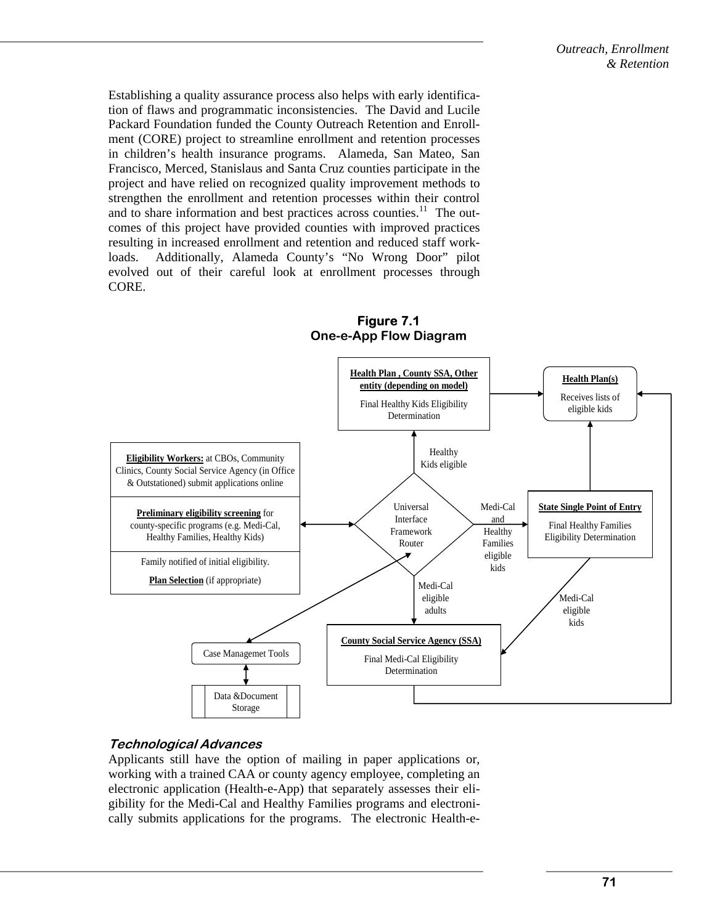Establishing a quality assurance process also helps with early identification of flaws and programmatic inconsistencies. The David and Lucile Packard Foundation funded the County Outreach Retention and Enrollment (CORE) project to streamline enrollment and retention processes in children's health insurance programs. Alameda, San Mateo, San Francisco, Merced, Stanislaus and Santa Cruz counties participate in the project and have relied on recognized quality improvement methods to strengthen the enrollment and retention processes within their control and to share information and best practices across counties.<sup>11</sup> The outcomes of this project have provided counties with improved practices resulting in increased enrollment and retention and reduced staff workloads. Additionally, Alameda County's "No Wrong Door" pilot evolved out of their careful look at enrollment processes through CORE.



# **Figure 7.1 One-e-App Flow Diagram**

# **Technological Advances**

Applicants still have the option of mailing in paper applications or, working with a trained CAA or county agency employee, completing an electronic application (Health-e-App) that separately assesses their eligibility for the Medi-Cal and Healthy Families programs and electronically submits applications for the programs. The electronic Health-e-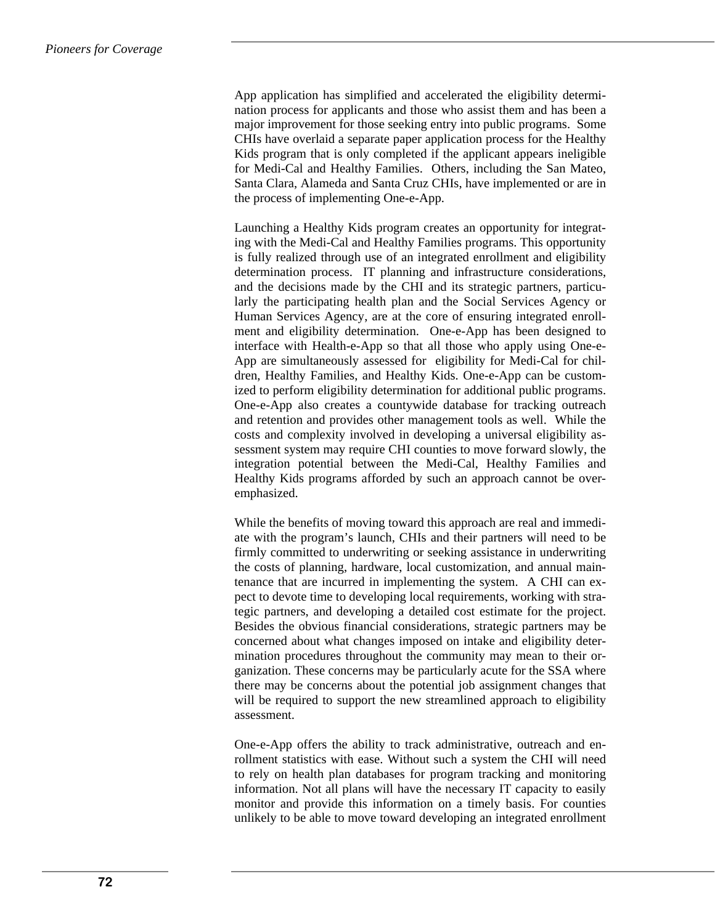App application has simplified and accelerated the eligibility determination process for applicants and those who assist them and has been a major improvement for those seeking entry into public programs. Some CHIs have overlaid a separate paper application process for the Healthy Kids program that is only completed if the applicant appears ineligible for Medi-Cal and Healthy Families. Others, including the San Mateo, Santa Clara, Alameda and Santa Cruz CHIs, have implemented or are in the process of implementing One-e-App.

Launching a Healthy Kids program creates an opportunity for integrating with the Medi-Cal and Healthy Families programs. This opportunity is fully realized through use of an integrated enrollment and eligibility determination process. IT planning and infrastructure considerations, and the decisions made by the CHI and its strategic partners, particularly the participating health plan and the Social Services Agency or Human Services Agency, are at the core of ensuring integrated enrollment and eligibility determination. One-e-App has been designed to interface with Health-e-App so that all those who apply using One-e-App are simultaneously assessed for eligibility for Medi-Cal for children, Healthy Families, and Healthy Kids. One-e-App can be customized to perform eligibility determination for additional public programs. One-e-App also creates a countywide database for tracking outreach and retention and provides other management tools as well. While the costs and complexity involved in developing a universal eligibility assessment system may require CHI counties to move forward slowly, the integration potential between the Medi-Cal, Healthy Families and Healthy Kids programs afforded by such an approach cannot be overemphasized.

While the benefits of moving toward this approach are real and immediate with the program's launch, CHIs and their partners will need to be firmly committed to underwriting or seeking assistance in underwriting the costs of planning, hardware, local customization, and annual maintenance that are incurred in implementing the system. A CHI can expect to devote time to developing local requirements, working with strategic partners, and developing a detailed cost estimate for the project. Besides the obvious financial considerations, strategic partners may be concerned about what changes imposed on intake and eligibility determination procedures throughout the community may mean to their organization. These concerns may be particularly acute for the SSA where there may be concerns about the potential job assignment changes that will be required to support the new streamlined approach to eligibility assessment.

One-e-App offers the ability to track administrative, outreach and enrollment statistics with ease. Without such a system the CHI will need to rely on health plan databases for program tracking and monitoring information. Not all plans will have the necessary IT capacity to easily monitor and provide this information on a timely basis. For counties unlikely to be able to move toward developing an integrated enrollment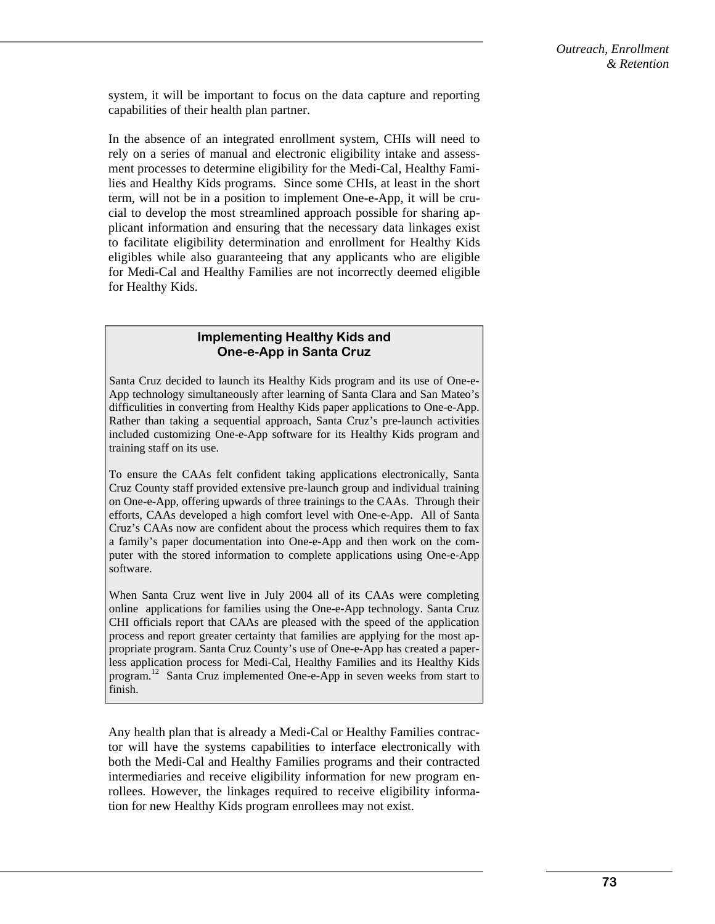system, it will be important to focus on the data capture and reporting capabilities of their health plan partner.

In the absence of an integrated enrollment system, CHIs will need to rely on a series of manual and electronic eligibility intake and assessment processes to determine eligibility for the Medi-Cal, Healthy Families and Healthy Kids programs. Since some CHIs, at least in the short term, will not be in a position to implement One-e-App, it will be crucial to develop the most streamlined approach possible for sharing applicant information and ensuring that the necessary data linkages exist to facilitate eligibility determination and enrollment for Healthy Kids eligibles while also guaranteeing that any applicants who are eligible for Medi-Cal and Healthy Families are not incorrectly deemed eligible for Healthy Kids.

### **Implementing Healthy Kids and One-e-App in Santa Cruz**

Santa Cruz decided to launch its Healthy Kids program and its use of One-e-App technology simultaneously after learning of Santa Clara and San Mateo's difficulities in converting from Healthy Kids paper applications to One-e-App. Rather than taking a sequential approach, Santa Cruz's pre-launch activities included customizing One-e-App software for its Healthy Kids program and training staff on its use.

To ensure the CAAs felt confident taking applications electronically, Santa Cruz County staff provided extensive pre-launch group and individual training on One-e-App, offering upwards of three trainings to the CAAs. Through their efforts, CAAs developed a high comfort level with One-e-App. All of Santa Cruz's CAAs now are confident about the process which requires them to fax a family's paper documentation into One-e-App and then work on the computer with the stored information to complete applications using One-e-App software.

When Santa Cruz went live in July 2004 all of its CAAs were completing online applications for families using the One-e-App technology. Santa Cruz CHI officials report that CAAs are pleased with the speed of the application process and report greater certainty that families are applying for the most appropriate program. Santa Cruz County's use of One-e-App has created a paperless application process for Medi-Cal, Healthy Families and its Healthy Kids program.<sup>12</sup> Santa Cruz implemented One-e-App in seven weeks from start to finish.

Any health plan that is already a Medi-Cal or Healthy Families contractor will have the systems capabilities to interface electronically with both the Medi-Cal and Healthy Families programs and their contracted intermediaries and receive eligibility information for new program enrollees. However, the linkages required to receive eligibility information for new Healthy Kids program enrollees may not exist.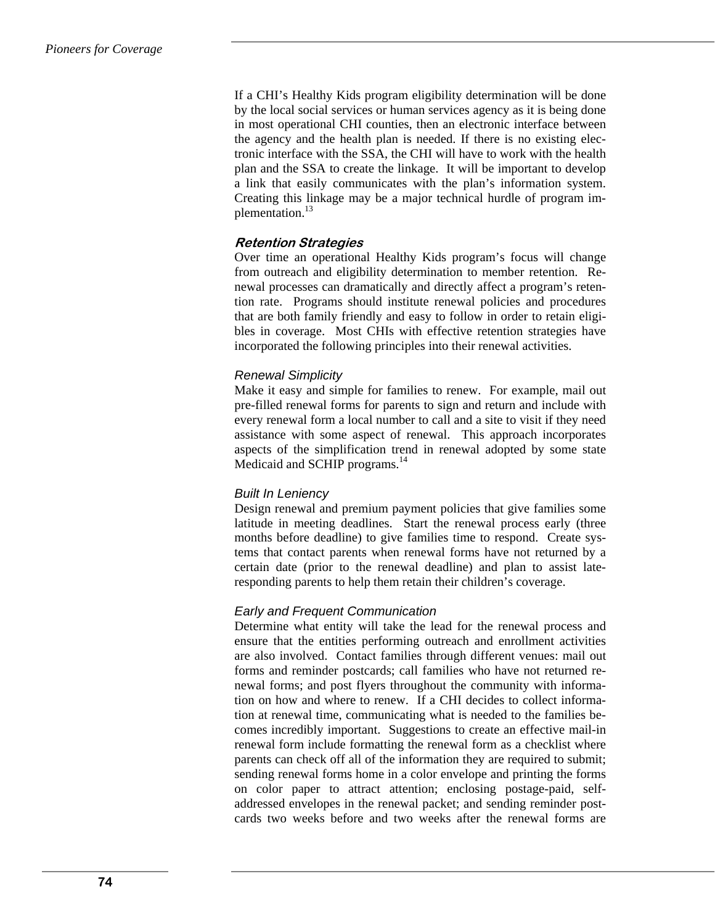If a CHI's Healthy Kids program eligibility determination will be done by the local social services or human services agency as it is being done in most operational CHI counties, then an electronic interface between the agency and the health plan is needed. If there is no existing electronic interface with the SSA, the CHI will have to work with the health plan and the SSA to create the linkage. It will be important to develop a link that easily communicates with the plan's information system. Creating this linkage may be a major technical hurdle of program implementation.<sup>13</sup>

# **Retention Strategies**

Over time an operational Healthy Kids program's focus will change from outreach and eligibility determination to member retention. Renewal processes can dramatically and directly affect a program's retention rate. Programs should institute renewal policies and procedures that are both family friendly and easy to follow in order to retain eligibles in coverage. Most CHIs with effective retention strategies have incorporated the following principles into their renewal activities.

### *Renewal Simplicity*

Make it easy and simple for families to renew. For example, mail out pre-filled renewal forms for parents to sign and return and include with every renewal form a local number to call and a site to visit if they need assistance with some aspect of renewal. This approach incorporates aspects of the simplification trend in renewal adopted by some state Medicaid and SCHIP programs.<sup>14</sup>

### *Built In Leniency*

Design renewal and premium payment policies that give families some latitude in meeting deadlines. Start the renewal process early (three months before deadline) to give families time to respond. Create systems that contact parents when renewal forms have not returned by a certain date (prior to the renewal deadline) and plan to assist lateresponding parents to help them retain their children's coverage.

# *Early and Frequent Communication*

Determine what entity will take the lead for the renewal process and ensure that the entities performing outreach and enrollment activities are also involved. Contact families through different venues: mail out forms and reminder postcards; call families who have not returned renewal forms; and post flyers throughout the community with information on how and where to renew. If a CHI decides to collect information at renewal time, communicating what is needed to the families becomes incredibly important. Suggestions to create an effective mail-in renewal form include formatting the renewal form as a checklist where parents can check off all of the information they are required to submit; sending renewal forms home in a color envelope and printing the forms on color paper to attract attention; enclosing postage-paid, selfaddressed envelopes in the renewal packet; and sending reminder postcards two weeks before and two weeks after the renewal forms are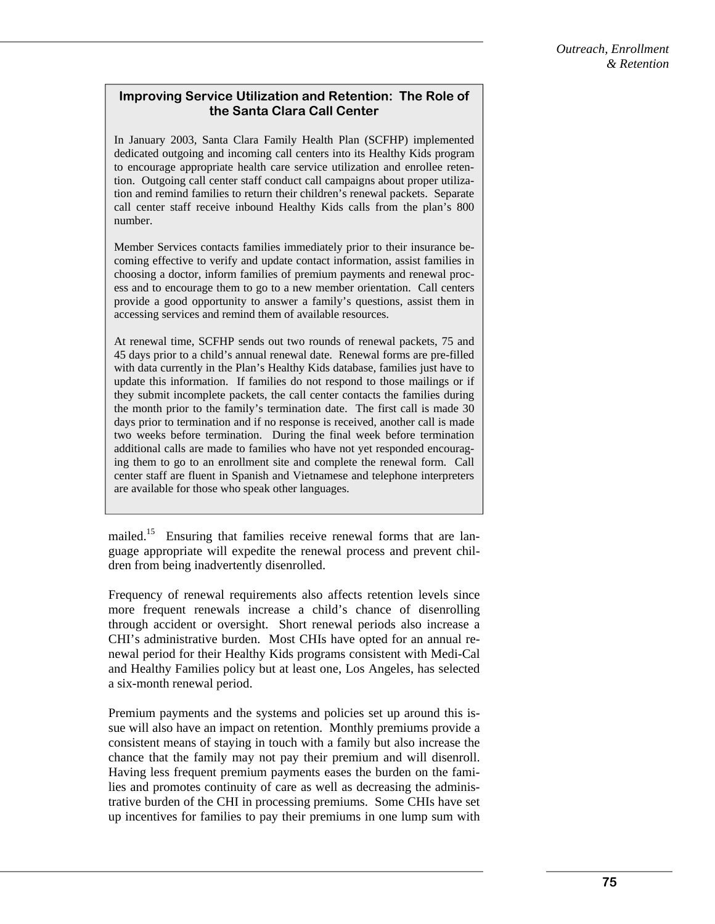## **Improving Service Utilization and Retention: The Role of the Santa Clara Call Center**

In January 2003, Santa Clara Family Health Plan (SCFHP) implemented dedicated outgoing and incoming call centers into its Healthy Kids program to encourage appropriate health care service utilization and enrollee retention. Outgoing call center staff conduct call campaigns about proper utilization and remind families to return their children's renewal packets. Separate call center staff receive inbound Healthy Kids calls from the plan's 800 number.

Member Services contacts families immediately prior to their insurance becoming effective to verify and update contact information, assist families in choosing a doctor, inform families of premium payments and renewal process and to encourage them to go to a new member orientation. Call centers provide a good opportunity to answer a family's questions, assist them in accessing services and remind them of available resources.

At renewal time, SCFHP sends out two rounds of renewal packets, 75 and 45 days prior to a child's annual renewal date. Renewal forms are pre-filled with data currently in the Plan's Healthy Kids database, families just have to update this information. If families do not respond to those mailings or if they submit incomplete packets, the call center contacts the families during the month prior to the family's termination date. The first call is made 30 days prior to termination and if no response is received, another call is made two weeks before termination. During the final week before termination additional calls are made to families who have not yet responded encouraging them to go to an enrollment site and complete the renewal form. Call center staff are fluent in Spanish and Vietnamese and telephone interpreters are available for those who speak other languages.

mailed.<sup>15</sup> Ensuring that families receive renewal forms that are language appropriate will expedite the renewal process and prevent children from being inadvertently disenrolled.

Frequency of renewal requirements also affects retention levels since more frequent renewals increase a child's chance of disenrolling through accident or oversight. Short renewal periods also increase a CHI's administrative burden. Most CHIs have opted for an annual renewal period for their Healthy Kids programs consistent with Medi-Cal and Healthy Families policy but at least one, Los Angeles, has selected a six-month renewal period.

Premium payments and the systems and policies set up around this issue will also have an impact on retention. Monthly premiums provide a consistent means of staying in touch with a family but also increase the chance that the family may not pay their premium and will disenroll. Having less frequent premium payments eases the burden on the families and promotes continuity of care as well as decreasing the administrative burden of the CHI in processing premiums. Some CHIs have set up incentives for families to pay their premiums in one lump sum with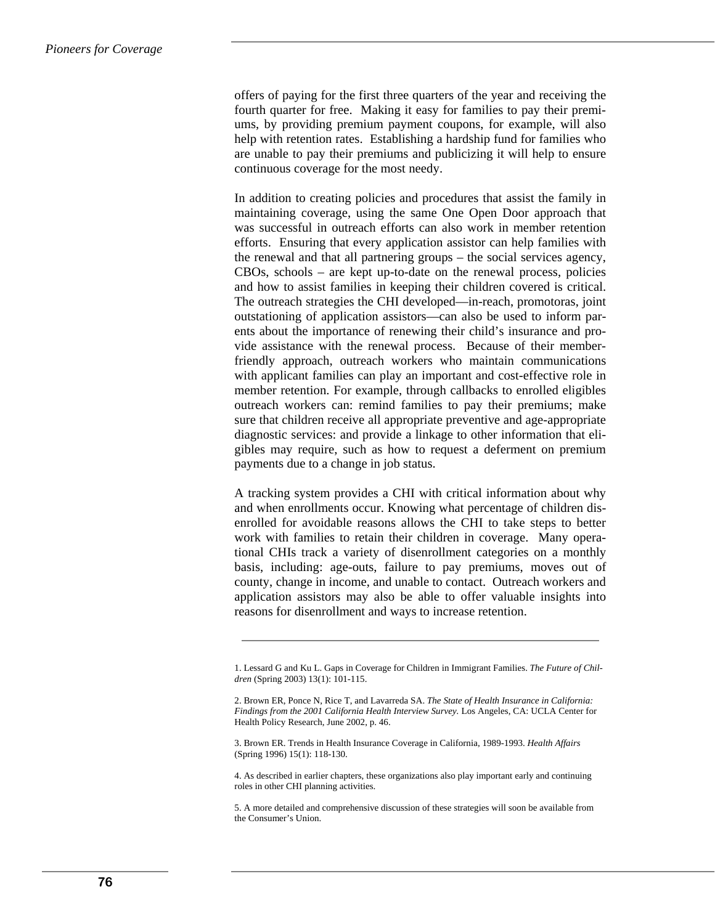offers of paying for the first three quarters of the year and receiving the fourth quarter for free. Making it easy for families to pay their premiums, by providing premium payment coupons, for example, will also help with retention rates. Establishing a hardship fund for families who are unable to pay their premiums and publicizing it will help to ensure continuous coverage for the most needy.

In addition to creating policies and procedures that assist the family in maintaining coverage, using the same One Open Door approach that was successful in outreach efforts can also work in member retention efforts. Ensuring that every application assistor can help families with the renewal and that all partnering groups – the social services agency, CBOs, schools – are kept up-to-date on the renewal process, policies and how to assist families in keeping their children covered is critical. The outreach strategies the CHI developed—in-reach, promotoras, joint outstationing of application assistors—can also be used to inform parents about the importance of renewing their child's insurance and provide assistance with the renewal process. Because of their memberfriendly approach, outreach workers who maintain communications with applicant families can play an important and cost-effective role in member retention. For example, through callbacks to enrolled eligibles outreach workers can: remind families to pay their premiums; make sure that children receive all appropriate preventive and age-appropriate diagnostic services: and provide a linkage to other information that eligibles may require, such as how to request a deferment on premium payments due to a change in job status.

A tracking system provides a CHI with critical information about why and when enrollments occur. Knowing what percentage of children disenrolled for avoidable reasons allows the CHI to take steps to better work with families to retain their children in coverage. Many operational CHIs track a variety of disenrollment categories on a monthly basis, including: age-outs, failure to pay premiums, moves out of county, change in income, and unable to contact. Outreach workers and application assistors may also be able to offer valuable insights into reasons for disenrollment and ways to increase retention.

3. Brown ER. Trends in Health Insurance Coverage in California, 1989-1993. *Health Affairs*  (Spring 1996) 15(1): 118-130.

4. As described in earlier chapters, these organizations also play important early and continuing roles in other CHI planning activities.

<sup>1.</sup> Lessard G and Ku L. Gaps in Coverage for Children in Immigrant Families. *The Future of Children* (Spring 2003) 13(1): 101-115.

<sup>2.</sup> Brown ER, Ponce N, Rice T, and Lavarreda SA. *The State of Health Insurance in California: Findings from the 2001 California Health Interview Survey.* Los Angeles, CA: UCLA Center for Health Policy Research, June 2002, p. 46.

<sup>5.</sup> A more detailed and comprehensive discussion of these strategies will soon be available from the Consumer's Union.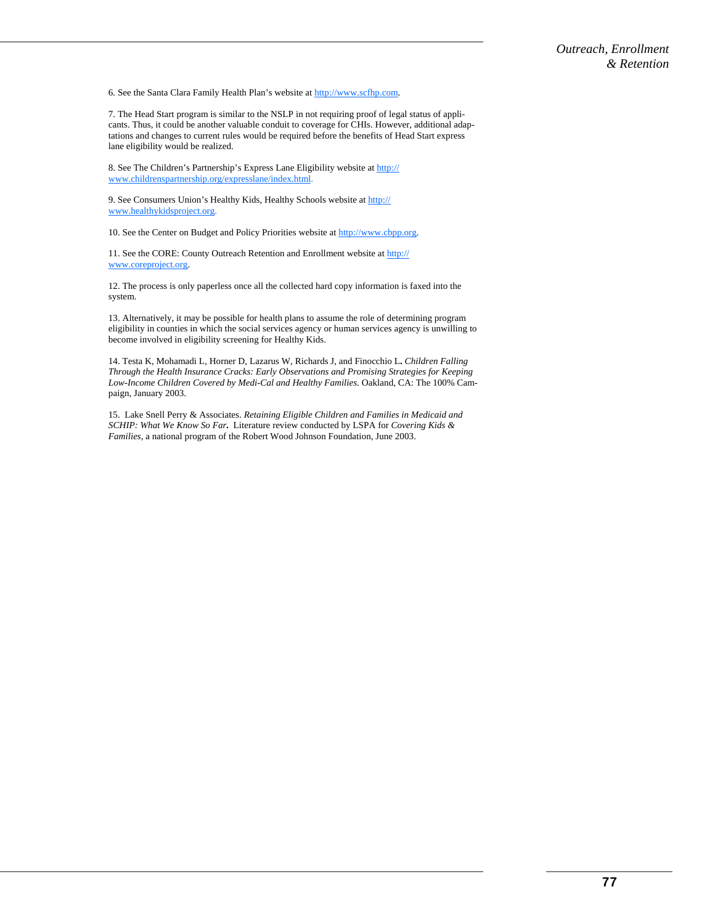6. See the Santa Clara Family Health Plan's website at http://www.scfhp.com.

7. The Head Start program is similar to the NSLP in not requiring proof of legal status of applicants. Thus, it could be another valuable conduit to coverage for CHIs. However, additional adaptations and changes to current rules would be required before the benefits of Head Start express lane eligibility would be realized.

8. See The Children's Partnership's Express Lane Eligibility website at http:// www.childrenspartnership.org/expresslane/index.html.

9. See Consumers Union's Healthy Kids, Healthy Schools website at http:// www.healthykidsproject.org.

10. See the Center on Budget and Policy Priorities website at http://www.cbpp.org.

11. See the CORE: County Outreach Retention and Enrollment website at http:// www.coreproject.org.

12. The process is only paperless once all the collected hard copy information is faxed into the system.

13. Alternatively, it may be possible for health plans to assume the role of determining program eligibility in counties in which the social services agency or human services agency is unwilling to become involved in eligibility screening for Healthy Kids.

14. Testa K, Mohamadi L, Horner D, Lazarus W, Richards J, and Finocchio L**.** *Children Falling Through the Health Insurance Cracks: Early Observations and Promising Strategies for Keeping Low-Income Children Covered by Medi-Cal and Healthy Families.* Oakland, CA: The 100% Campaign, January 2003.

15. Lake Snell Perry & Associates. *Retaining Eligible Children and Families in Medicaid and SCHIP: What We Know So Far.* Literature review conducted by LSPA for *Covering Kids & Families*, a national program of the Robert Wood Johnson Foundation, June 2003.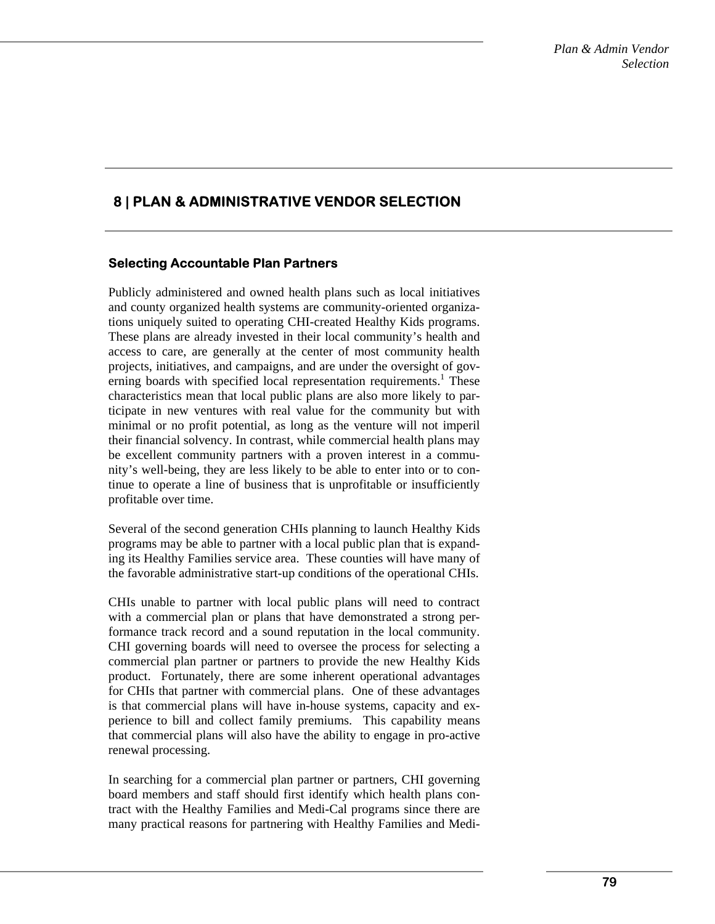# **8 | PLAN & ADMINISTRATIVE VENDOR SELECTION**

# **Selecting Accountable Plan Partners**

Publicly administered and owned health plans such as local initiatives and county organized health systems are community-oriented organizations uniquely suited to operating CHI-created Healthy Kids programs. These plans are already invested in their local community's health and access to care, are generally at the center of most community health projects, initiatives, and campaigns, and are under the oversight of governing boards with specified local representation requirements.<sup>1</sup> These characteristics mean that local public plans are also more likely to participate in new ventures with real value for the community but with minimal or no profit potential, as long as the venture will not imperil their financial solvency. In contrast, while commercial health plans may be excellent community partners with a proven interest in a community's well-being, they are less likely to be able to enter into or to continue to operate a line of business that is unprofitable or insufficiently profitable over time.

Several of the second generation CHIs planning to launch Healthy Kids programs may be able to partner with a local public plan that is expanding its Healthy Families service area. These counties will have many of the favorable administrative start-up conditions of the operational CHIs.

CHIs unable to partner with local public plans will need to contract with a commercial plan or plans that have demonstrated a strong performance track record and a sound reputation in the local community. CHI governing boards will need to oversee the process for selecting a commercial plan partner or partners to provide the new Healthy Kids product. Fortunately, there are some inherent operational advantages for CHIs that partner with commercial plans. One of these advantages is that commercial plans will have in-house systems, capacity and experience to bill and collect family premiums. This capability means that commercial plans will also have the ability to engage in pro-active renewal processing.

In searching for a commercial plan partner or partners, CHI governing board members and staff should first identify which health plans contract with the Healthy Families and Medi-Cal programs since there are many practical reasons for partnering with Healthy Families and Medi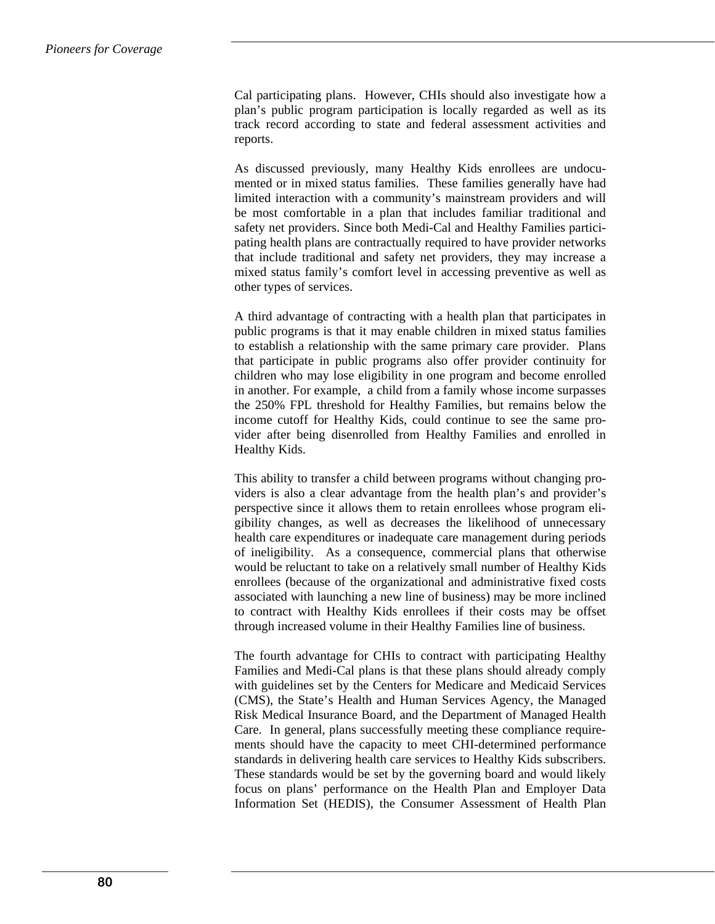Cal participating plans. However, CHIs should also investigate how a plan's public program participation is locally regarded as well as its track record according to state and federal assessment activities and reports.

As discussed previously, many Healthy Kids enrollees are undocumented or in mixed status families. These families generally have had limited interaction with a community's mainstream providers and will be most comfortable in a plan that includes familiar traditional and safety net providers. Since both Medi-Cal and Healthy Families participating health plans are contractually required to have provider networks that include traditional and safety net providers, they may increase a mixed status family's comfort level in accessing preventive as well as other types of services.

A third advantage of contracting with a health plan that participates in public programs is that it may enable children in mixed status families to establish a relationship with the same primary care provider. Plans that participate in public programs also offer provider continuity for children who may lose eligibility in one program and become enrolled in another. For example, a child from a family whose income surpasses the 250% FPL threshold for Healthy Families, but remains below the income cutoff for Healthy Kids, could continue to see the same provider after being disenrolled from Healthy Families and enrolled in Healthy Kids.

This ability to transfer a child between programs without changing providers is also a clear advantage from the health plan's and provider's perspective since it allows them to retain enrollees whose program eligibility changes, as well as decreases the likelihood of unnecessary health care expenditures or inadequate care management during periods of ineligibility. As a consequence, commercial plans that otherwise would be reluctant to take on a relatively small number of Healthy Kids enrollees (because of the organizational and administrative fixed costs associated with launching a new line of business) may be more inclined to contract with Healthy Kids enrollees if their costs may be offset through increased volume in their Healthy Families line of business.

The fourth advantage for CHIs to contract with participating Healthy Families and Medi-Cal plans is that these plans should already comply with guidelines set by the Centers for Medicare and Medicaid Services (CMS), the State's Health and Human Services Agency, the Managed Risk Medical Insurance Board, and the Department of Managed Health Care. In general, plans successfully meeting these compliance requirements should have the capacity to meet CHI-determined performance standards in delivering health care services to Healthy Kids subscribers. These standards would be set by the governing board and would likely focus on plans' performance on the Health Plan and Employer Data Information Set (HEDIS), the Consumer Assessment of Health Plan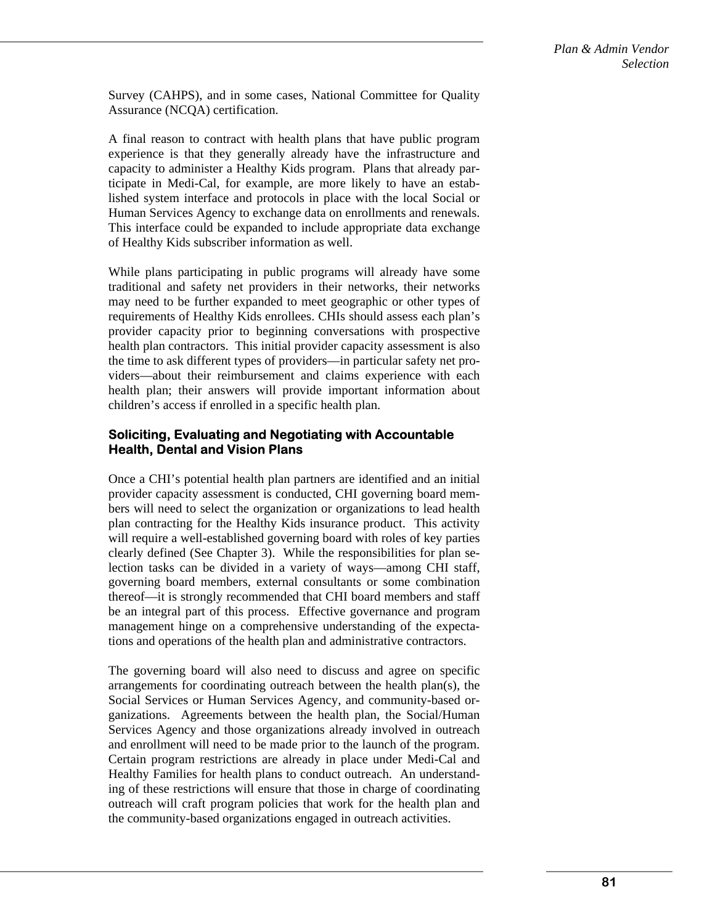Survey (CAHPS), and in some cases, National Committee for Quality Assurance (NCQA) certification.

A final reason to contract with health plans that have public program experience is that they generally already have the infrastructure and capacity to administer a Healthy Kids program. Plans that already participate in Medi-Cal, for example, are more likely to have an established system interface and protocols in place with the local Social or Human Services Agency to exchange data on enrollments and renewals. This interface could be expanded to include appropriate data exchange of Healthy Kids subscriber information as well.

While plans participating in public programs will already have some traditional and safety net providers in their networks, their networks may need to be further expanded to meet geographic or other types of requirements of Healthy Kids enrollees. CHIs should assess each plan's provider capacity prior to beginning conversations with prospective health plan contractors. This initial provider capacity assessment is also the time to ask different types of providers—in particular safety net providers—about their reimbursement and claims experience with each health plan; their answers will provide important information about children's access if enrolled in a specific health plan.

### **Soliciting, Evaluating and Negotiating with Accountable Health, Dental and Vision Plans**

Once a CHI's potential health plan partners are identified and an initial provider capacity assessment is conducted, CHI governing board members will need to select the organization or organizations to lead health plan contracting for the Healthy Kids insurance product. This activity will require a well-established governing board with roles of key parties clearly defined (See Chapter 3). While the responsibilities for plan selection tasks can be divided in a variety of ways—among CHI staff, governing board members, external consultants or some combination thereof—it is strongly recommended that CHI board members and staff be an integral part of this process. Effective governance and program management hinge on a comprehensive understanding of the expectations and operations of the health plan and administrative contractors.

The governing board will also need to discuss and agree on specific arrangements for coordinating outreach between the health plan(s), the Social Services or Human Services Agency, and community-based organizations. Agreements between the health plan, the Social/Human Services Agency and those organizations already involved in outreach and enrollment will need to be made prior to the launch of the program. Certain program restrictions are already in place under Medi-Cal and Healthy Families for health plans to conduct outreach. An understanding of these restrictions will ensure that those in charge of coordinating outreach will craft program policies that work for the health plan and the community-based organizations engaged in outreach activities.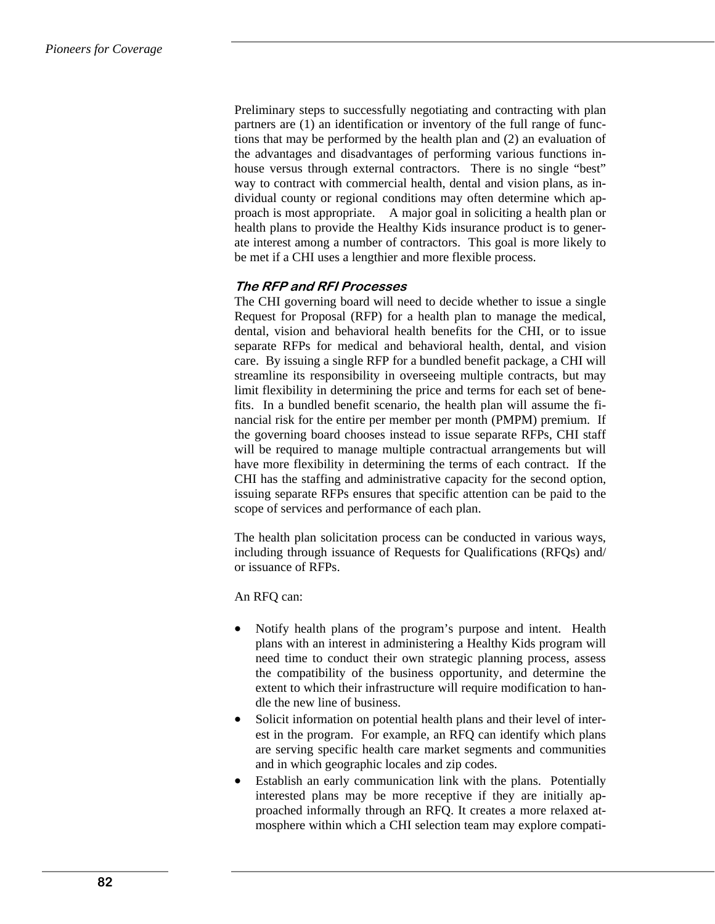Preliminary steps to successfully negotiating and contracting with plan partners are (1) an identification or inventory of the full range of functions that may be performed by the health plan and (2) an evaluation of the advantages and disadvantages of performing various functions inhouse versus through external contractors. There is no single "best" way to contract with commercial health, dental and vision plans, as individual county or regional conditions may often determine which approach is most appropriate. A major goal in soliciting a health plan or health plans to provide the Healthy Kids insurance product is to generate interest among a number of contractors. This goal is more likely to be met if a CHI uses a lengthier and more flexible process.

# **The RFP and RFI Processes**

The CHI governing board will need to decide whether to issue a single Request for Proposal (RFP) for a health plan to manage the medical, dental, vision and behavioral health benefits for the CHI, or to issue separate RFPs for medical and behavioral health, dental, and vision care. By issuing a single RFP for a bundled benefit package, a CHI will streamline its responsibility in overseeing multiple contracts, but may limit flexibility in determining the price and terms for each set of benefits. In a bundled benefit scenario, the health plan will assume the financial risk for the entire per member per month (PMPM) premium. If the governing board chooses instead to issue separate RFPs, CHI staff will be required to manage multiple contractual arrangements but will have more flexibility in determining the terms of each contract. If the CHI has the staffing and administrative capacity for the second option, issuing separate RFPs ensures that specific attention can be paid to the scope of services and performance of each plan.

The health plan solicitation process can be conducted in various ways, including through issuance of Requests for Qualifications (RFQs) and/ or issuance of RFPs.

An RFQ can:

- Notify health plans of the program's purpose and intent. Health plans with an interest in administering a Healthy Kids program will need time to conduct their own strategic planning process, assess the compatibility of the business opportunity, and determine the extent to which their infrastructure will require modification to handle the new line of business.
- Solicit information on potential health plans and their level of interest in the program. For example, an RFQ can identify which plans are serving specific health care market segments and communities and in which geographic locales and zip codes.
- Establish an early communication link with the plans. Potentially interested plans may be more receptive if they are initially approached informally through an RFQ. It creates a more relaxed atmosphere within which a CHI selection team may explore compati-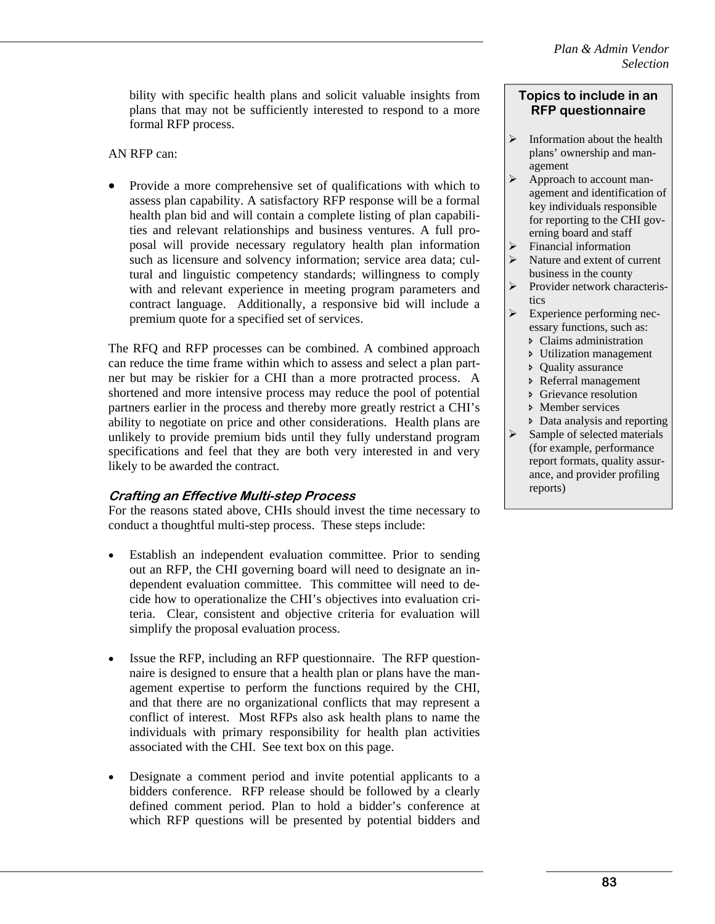bility with specific health plans and solicit valuable insights from plans that may not be sufficiently interested to respond to a more formal RFP process.

AN RFP can:

• Provide a more comprehensive set of qualifications with which to assess plan capability. A satisfactory RFP response will be a formal health plan bid and will contain a complete listing of plan capabilities and relevant relationships and business ventures. A full proposal will provide necessary regulatory health plan information such as licensure and solvency information; service area data; cultural and linguistic competency standards; willingness to comply with and relevant experience in meeting program parameters and contract language. Additionally, a responsive bid will include a premium quote for a specified set of services.

The RFQ and RFP processes can be combined. A combined approach can reduce the time frame within which to assess and select a plan partner but may be riskier for a CHI than a more protracted process. A shortened and more intensive process may reduce the pool of potential partners earlier in the process and thereby more greatly restrict a CHI's ability to negotiate on price and other considerations. Health plans are unlikely to provide premium bids until they fully understand program specifications and feel that they are both very interested in and very likely to be awarded the contract.

### **Crafting an Effective Multi-step Process**

For the reasons stated above, CHIs should invest the time necessary to conduct a thoughtful multi-step process. These steps include:

- Establish an independent evaluation committee. Prior to sending out an RFP, the CHI governing board will need to designate an independent evaluation committee. This committee will need to decide how to operationalize the CHI's objectives into evaluation criteria. Clear, consistent and objective criteria for evaluation will simplify the proposal evaluation process.
- Issue the RFP, including an RFP questionnaire. The RFP questionnaire is designed to ensure that a health plan or plans have the management expertise to perform the functions required by the CHI, and that there are no organizational conflicts that may represent a conflict of interest. Most RFPs also ask health plans to name the individuals with primary responsibility for health plan activities associated with the CHI. See text box on this page.
- Designate a comment period and invite potential applicants to a bidders conference. RFP release should be followed by a clearly defined comment period. Plan to hold a bidder's conference at which RFP questions will be presented by potential bidders and

#### **Topics to include in an RFP questionnaire**

- $\triangleright$  Information about the health plans' ownership and management
- $\triangleright$  Approach to account management and identification of key individuals responsible for reporting to the CHI governing board and staff
- $\triangleright$  Financial information
- Nature and extent of current business in the county
- ¾ Provider network characteristics
- ¾ Experience performing necessary functions, such as:
	- Ð Claims administration
	- Ð Utilization management
	- Ð Quality assurance
	- Ð Referral management
	- Ð Grievance resolution
	- **D** Member services
- Ð Data analysis and reporting
- $\triangleright$  Sample of selected materials (for example, performance report formats, quality assurance, and provider profiling reports)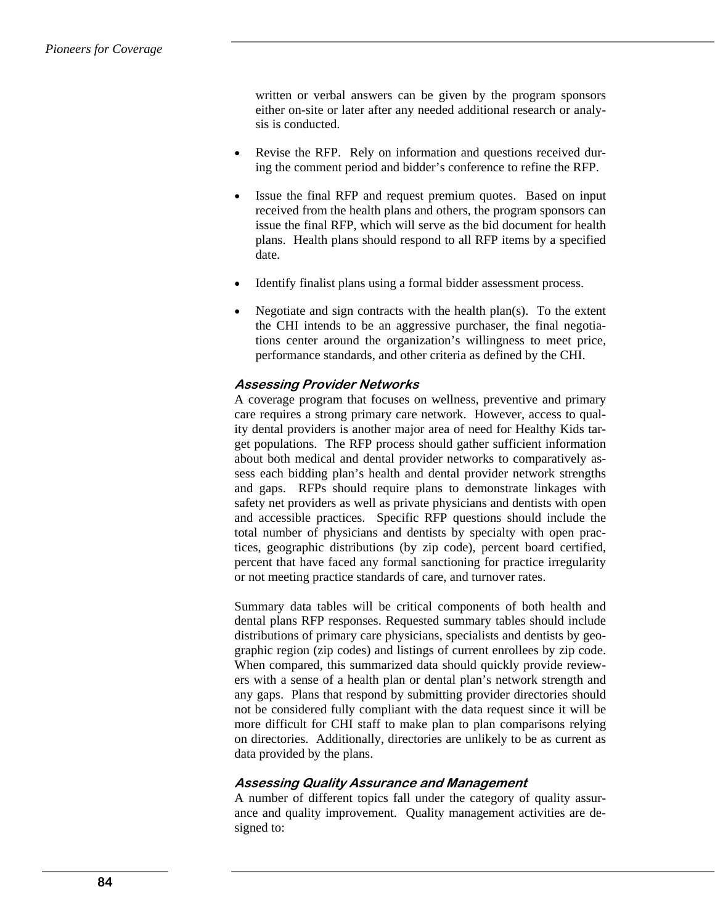written or verbal answers can be given by the program sponsors either on-site or later after any needed additional research or analysis is conducted.

- Revise the RFP. Rely on information and questions received during the comment period and bidder's conference to refine the RFP.
- Issue the final RFP and request premium quotes. Based on input received from the health plans and others, the program sponsors can issue the final RFP, which will serve as the bid document for health plans. Health plans should respond to all RFP items by a specified date.
- Identify finalist plans using a formal bidder assessment process.
- Negotiate and sign contracts with the health plan(s). To the extent the CHI intends to be an aggressive purchaser, the final negotiations center around the organization's willingness to meet price, performance standards, and other criteria as defined by the CHI.

#### **Assessing Provider Networks**

A coverage program that focuses on wellness, preventive and primary care requires a strong primary care network. However, access to quality dental providers is another major area of need for Healthy Kids target populations. The RFP process should gather sufficient information about both medical and dental provider networks to comparatively assess each bidding plan's health and dental provider network strengths and gaps. RFPs should require plans to demonstrate linkages with safety net providers as well as private physicians and dentists with open and accessible practices. Specific RFP questions should include the total number of physicians and dentists by specialty with open practices, geographic distributions (by zip code), percent board certified, percent that have faced any formal sanctioning for practice irregularity or not meeting practice standards of care, and turnover rates.

Summary data tables will be critical components of both health and dental plans RFP responses. Requested summary tables should include distributions of primary care physicians, specialists and dentists by geographic region (zip codes) and listings of current enrollees by zip code. When compared, this summarized data should quickly provide reviewers with a sense of a health plan or dental plan's network strength and any gaps. Plans that respond by submitting provider directories should not be considered fully compliant with the data request since it will be more difficult for CHI staff to make plan to plan comparisons relying on directories. Additionally, directories are unlikely to be as current as data provided by the plans.

#### **Assessing Quality Assurance and Management**

A number of different topics fall under the category of quality assurance and quality improvement. Quality management activities are designed to: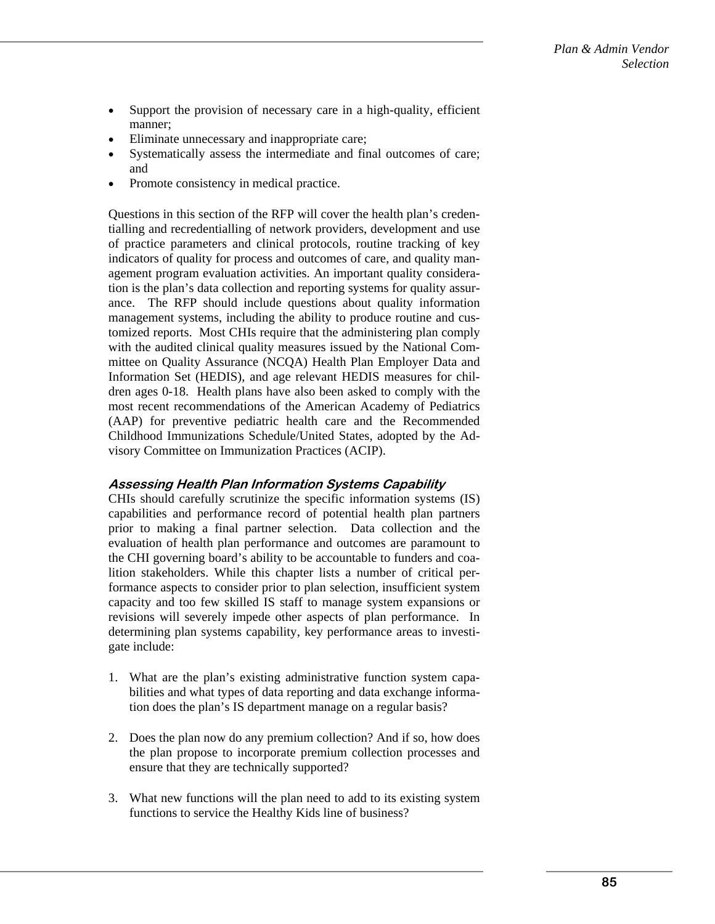- Support the provision of necessary care in a high-quality, efficient manner;
- Eliminate unnecessary and inappropriate care;
- Systematically assess the intermediate and final outcomes of care; and
- Promote consistency in medical practice.

Questions in this section of the RFP will cover the health plan's credentialling and recredentialling of network providers, development and use of practice parameters and clinical protocols, routine tracking of key indicators of quality for process and outcomes of care, and quality management program evaluation activities. An important quality consideration is the plan's data collection and reporting systems for quality assurance. The RFP should include questions about quality information management systems, including the ability to produce routine and customized reports. Most CHIs require that the administering plan comply with the audited clinical quality measures issued by the National Committee on Quality Assurance (NCQA) Health Plan Employer Data and Information Set (HEDIS), and age relevant HEDIS measures for children ages 0-18. Health plans have also been asked to comply with the most recent recommendations of the American Academy of Pediatrics (AAP) for preventive pediatric health care and the Recommended Childhood Immunizations Schedule/United States, adopted by the Advisory Committee on Immunization Practices (ACIP).

### **Assessing Health Plan Information Systems Capability**

CHIs should carefully scrutinize the specific information systems (IS) capabilities and performance record of potential health plan partners prior to making a final partner selection. Data collection and the evaluation of health plan performance and outcomes are paramount to the CHI governing board's ability to be accountable to funders and coalition stakeholders. While this chapter lists a number of critical performance aspects to consider prior to plan selection, insufficient system capacity and too few skilled IS staff to manage system expansions or revisions will severely impede other aspects of plan performance. In determining plan systems capability, key performance areas to investigate include:

- 1. What are the plan's existing administrative function system capabilities and what types of data reporting and data exchange information does the plan's IS department manage on a regular basis?
- 2. Does the plan now do any premium collection? And if so, how does the plan propose to incorporate premium collection processes and ensure that they are technically supported?
- 3. What new functions will the plan need to add to its existing system functions to service the Healthy Kids line of business?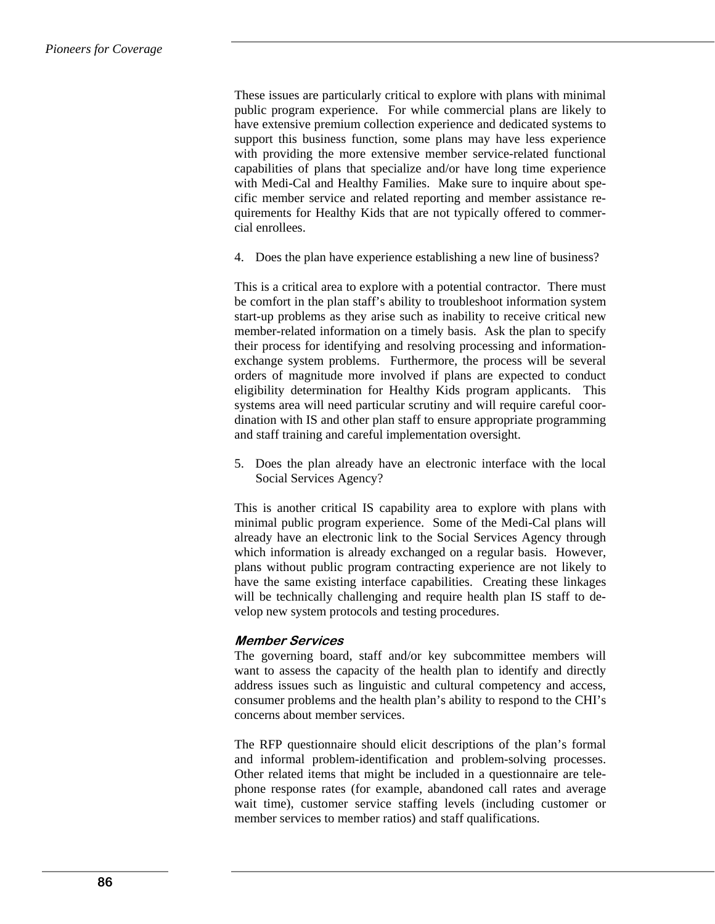These issues are particularly critical to explore with plans with minimal public program experience. For while commercial plans are likely to have extensive premium collection experience and dedicated systems to support this business function, some plans may have less experience with providing the more extensive member service-related functional capabilities of plans that specialize and/or have long time experience with Medi-Cal and Healthy Families. Make sure to inquire about specific member service and related reporting and member assistance requirements for Healthy Kids that are not typically offered to commercial enrollees.

4. Does the plan have experience establishing a new line of business?

This is a critical area to explore with a potential contractor. There must be comfort in the plan staff's ability to troubleshoot information system start-up problems as they arise such as inability to receive critical new member-related information on a timely basis. Ask the plan to specify their process for identifying and resolving processing and informationexchange system problems. Furthermore, the process will be several orders of magnitude more involved if plans are expected to conduct eligibility determination for Healthy Kids program applicants. This systems area will need particular scrutiny and will require careful coordination with IS and other plan staff to ensure appropriate programming and staff training and careful implementation oversight.

5. Does the plan already have an electronic interface with the local Social Services Agency?

This is another critical IS capability area to explore with plans with minimal public program experience. Some of the Medi-Cal plans will already have an electronic link to the Social Services Agency through which information is already exchanged on a regular basis. However, plans without public program contracting experience are not likely to have the same existing interface capabilities. Creating these linkages will be technically challenging and require health plan IS staff to develop new system protocols and testing procedures.

#### **Member Services**

The governing board, staff and/or key subcommittee members will want to assess the capacity of the health plan to identify and directly address issues such as linguistic and cultural competency and access, consumer problems and the health plan's ability to respond to the CHI's concerns about member services.

The RFP questionnaire should elicit descriptions of the plan's formal and informal problem-identification and problem-solving processes. Other related items that might be included in a questionnaire are telephone response rates (for example, abandoned call rates and average wait time), customer service staffing levels (including customer or member services to member ratios) and staff qualifications.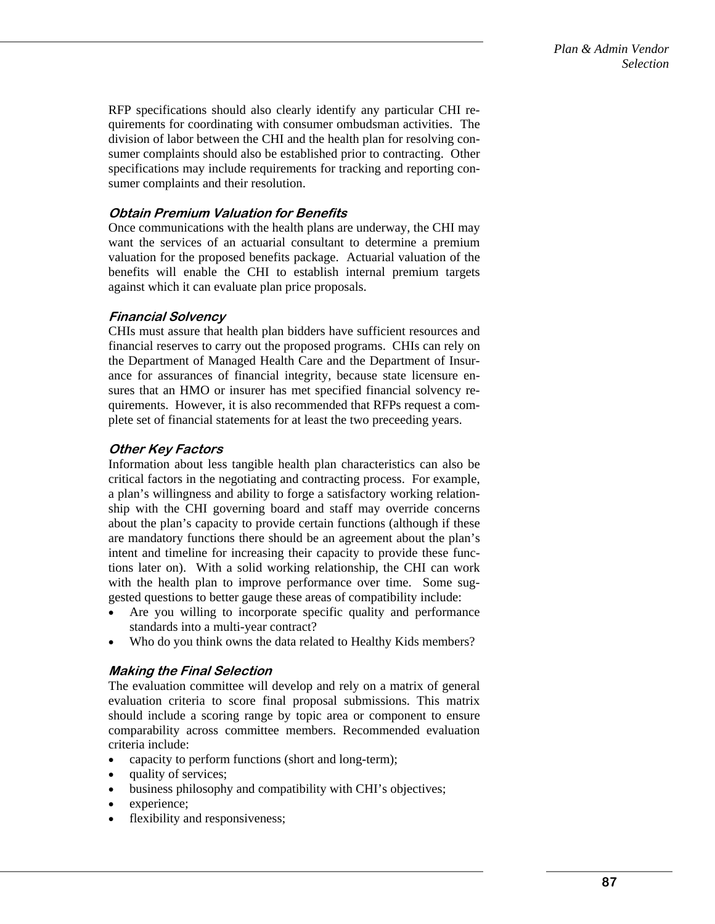RFP specifications should also clearly identify any particular CHI requirements for coordinating with consumer ombudsman activities. The division of labor between the CHI and the health plan for resolving consumer complaints should also be established prior to contracting. Other specifications may include requirements for tracking and reporting consumer complaints and their resolution.

## **Obtain Premium Valuation for Benefits**

Once communications with the health plans are underway, the CHI may want the services of an actuarial consultant to determine a premium valuation for the proposed benefits package. Actuarial valuation of the benefits will enable the CHI to establish internal premium targets against which it can evaluate plan price proposals.

# **Financial Solvency**

CHIs must assure that health plan bidders have sufficient resources and financial reserves to carry out the proposed programs. CHIs can rely on the Department of Managed Health Care and the Department of Insurance for assurances of financial integrity, because state licensure ensures that an HMO or insurer has met specified financial solvency requirements. However, it is also recommended that RFPs request a complete set of financial statements for at least the two preceeding years.

# **Other Key Factors**

Information about less tangible health plan characteristics can also be critical factors in the negotiating and contracting process. For example, a plan's willingness and ability to forge a satisfactory working relationship with the CHI governing board and staff may override concerns about the plan's capacity to provide certain functions (although if these are mandatory functions there should be an agreement about the plan's intent and timeline for increasing their capacity to provide these functions later on). With a solid working relationship, the CHI can work with the health plan to improve performance over time. Some suggested questions to better gauge these areas of compatibility include:

- Are you willing to incorporate specific quality and performance standards into a multi-year contract?
- Who do you think owns the data related to Healthy Kids members?

# **Making the Final Selection**

The evaluation committee will develop and rely on a matrix of general evaluation criteria to score final proposal submissions. This matrix should include a scoring range by topic area or component to ensure comparability across committee members. Recommended evaluation criteria include:

- capacity to perform functions (short and long-term);
- quality of services;
- business philosophy and compatibility with CHI's objectives;
- experience;
- flexibility and responsiveness;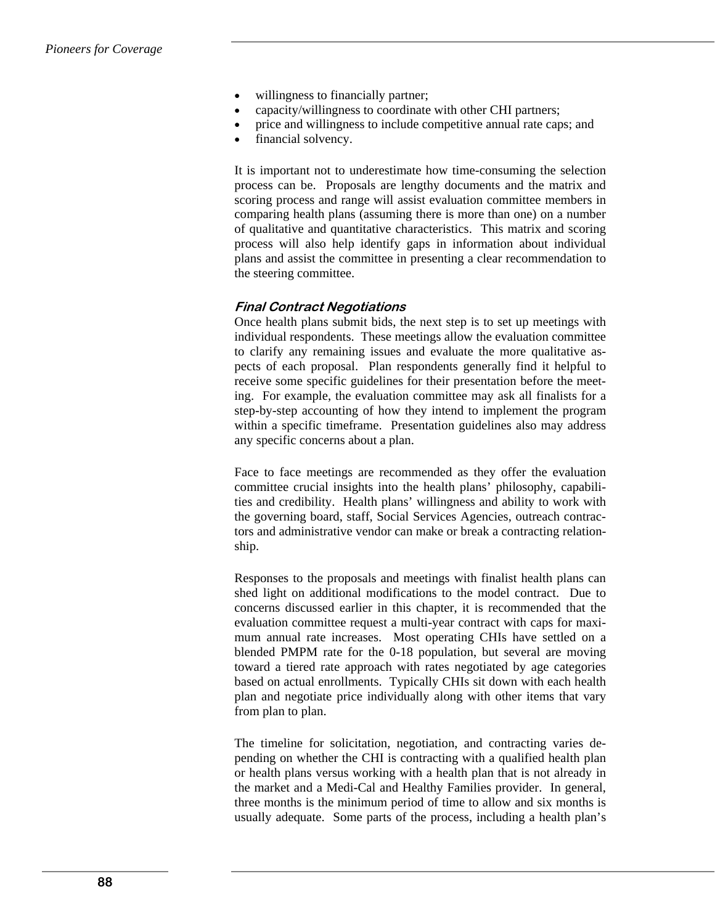- willingness to financially partner;
- capacity/willingness to coordinate with other CHI partners;
- price and willingness to include competitive annual rate caps; and
- financial solvency.

It is important not to underestimate how time-consuming the selection process can be. Proposals are lengthy documents and the matrix and scoring process and range will assist evaluation committee members in comparing health plans (assuming there is more than one) on a number of qualitative and quantitative characteristics. This matrix and scoring process will also help identify gaps in information about individual plans and assist the committee in presenting a clear recommendation to the steering committee.

### **Final Contract Negotiations**

Once health plans submit bids, the next step is to set up meetings with individual respondents. These meetings allow the evaluation committee to clarify any remaining issues and evaluate the more qualitative aspects of each proposal. Plan respondents generally find it helpful to receive some specific guidelines for their presentation before the meeting. For example, the evaluation committee may ask all finalists for a step-by-step accounting of how they intend to implement the program within a specific timeframe. Presentation guidelines also may address any specific concerns about a plan.

Face to face meetings are recommended as they offer the evaluation committee crucial insights into the health plans' philosophy, capabilities and credibility. Health plans' willingness and ability to work with the governing board, staff, Social Services Agencies, outreach contractors and administrative vendor can make or break a contracting relationship.

Responses to the proposals and meetings with finalist health plans can shed light on additional modifications to the model contract. Due to concerns discussed earlier in this chapter, it is recommended that the evaluation committee request a multi-year contract with caps for maximum annual rate increases. Most operating CHIs have settled on a blended PMPM rate for the 0-18 population, but several are moving toward a tiered rate approach with rates negotiated by age categories based on actual enrollments. Typically CHIs sit down with each health plan and negotiate price individually along with other items that vary from plan to plan.

The timeline for solicitation, negotiation, and contracting varies depending on whether the CHI is contracting with a qualified health plan or health plans versus working with a health plan that is not already in the market and a Medi-Cal and Healthy Families provider. In general, three months is the minimum period of time to allow and six months is usually adequate. Some parts of the process, including a health plan's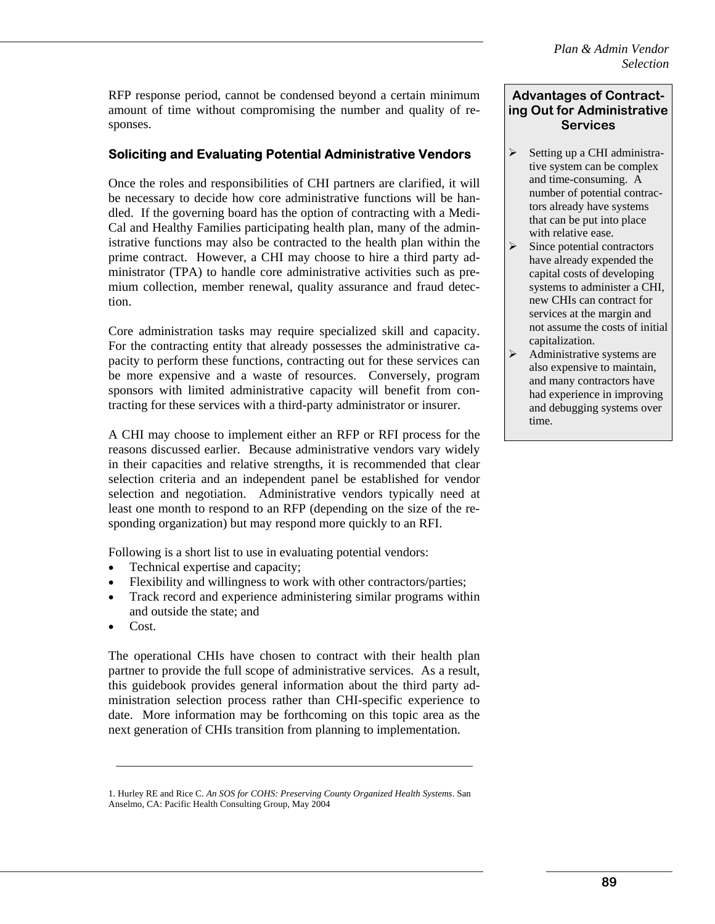RFP response period, cannot be condensed beyond a certain minimum amount of time without compromising the number and quality of responses.

# **Soliciting and Evaluating Potential Administrative Vendors**

Once the roles and responsibilities of CHI partners are clarified, it will be necessary to decide how core administrative functions will be handled. If the governing board has the option of contracting with a Medi-Cal and Healthy Families participating health plan, many of the administrative functions may also be contracted to the health plan within the prime contract. However, a CHI may choose to hire a third party administrator (TPA) to handle core administrative activities such as premium collection, member renewal, quality assurance and fraud detection.

Core administration tasks may require specialized skill and capacity. For the contracting entity that already possesses the administrative capacity to perform these functions, contracting out for these services can be more expensive and a waste of resources. Conversely, program sponsors with limited administrative capacity will benefit from contracting for these services with a third-party administrator or insurer.

A CHI may choose to implement either an RFP or RFI process for the reasons discussed earlier. Because administrative vendors vary widely in their capacities and relative strengths, it is recommended that clear selection criteria and an independent panel be established for vendor selection and negotiation. Administrative vendors typically need at least one month to respond to an RFP (depending on the size of the responding organization) but may respond more quickly to an RFI.

Following is a short list to use in evaluating potential vendors:

- Technical expertise and capacity;
- Flexibility and willingness to work with other contractors/parties;
- Track record and experience administering similar programs within and outside the state; and
- Cost.

The operational CHIs have chosen to contract with their health plan partner to provide the full scope of administrative services. As a result, this guidebook provides general information about the third party administration selection process rather than CHI-specific experience to date. More information may be forthcoming on this topic area as the next generation of CHIs transition from planning to implementation.

### **Advantages of Contracting Out for Administrative Services**

- $\triangleright$  Setting up a CHI administrative system can be complex and time-consuming. A number of potential contractors already have systems that can be put into place with relative ease.
- $\triangleright$  Since potential contractors have already expended the capital costs of developing systems to administer a CHI, new CHIs can contract for services at the margin and not assume the costs of initial capitalization.
- $\triangleright$  Administrative systems are also expensive to maintain, and many contractors have had experience in improving and debugging systems over time.

<sup>1.</sup> Hurley RE and Rice C. *An SOS for COHS: Preserving County Organized Health Systems*. San Anselmo, CA: Pacific Health Consulting Group, May 2004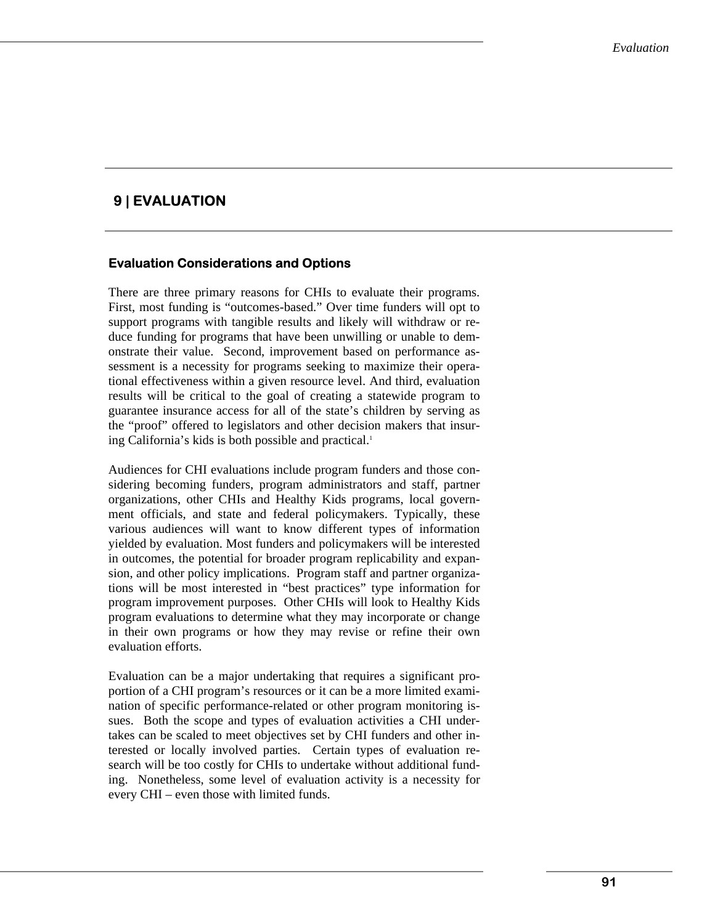# **9 | EVALUATION**

# **Evaluation Considerations and Options**

There are three primary reasons for CHIs to evaluate their programs. First, most funding is "outcomes-based." Over time funders will opt to support programs with tangible results and likely will withdraw or reduce funding for programs that have been unwilling or unable to demonstrate their value. Second, improvement based on performance assessment is a necessity for programs seeking to maximize their operational effectiveness within a given resource level. And third, evaluation results will be critical to the goal of creating a statewide program to guarantee insurance access for all of the state's children by serving as the "proof" offered to legislators and other decision makers that insuring California's kids is both possible and practical.<sup>1</sup>

Audiences for CHI evaluations include program funders and those considering becoming funders, program administrators and staff, partner organizations, other CHIs and Healthy Kids programs, local government officials, and state and federal policymakers. Typically, these various audiences will want to know different types of information yielded by evaluation. Most funders and policymakers will be interested in outcomes, the potential for broader program replicability and expansion, and other policy implications. Program staff and partner organizations will be most interested in "best practices" type information for program improvement purposes. Other CHIs will look to Healthy Kids program evaluations to determine what they may incorporate or change in their own programs or how they may revise or refine their own evaluation efforts.

Evaluation can be a major undertaking that requires a significant proportion of a CHI program's resources or it can be a more limited examination of specific performance-related or other program monitoring issues. Both the scope and types of evaluation activities a CHI undertakes can be scaled to meet objectives set by CHI funders and other interested or locally involved parties. Certain types of evaluation research will be too costly for CHIs to undertake without additional funding. Nonetheless, some level of evaluation activity is a necessity for every CHI – even those with limited funds.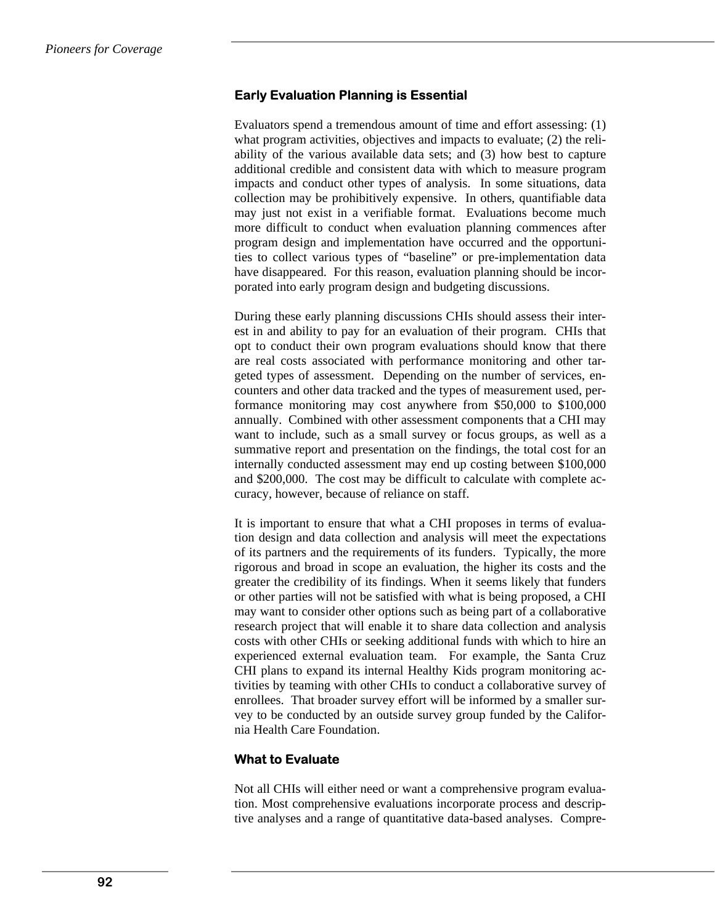## **Early Evaluation Planning is Essential**

Evaluators spend a tremendous amount of time and effort assessing: (1) what program activities, objectives and impacts to evaluate; (2) the reliability of the various available data sets; and (3) how best to capture additional credible and consistent data with which to measure program impacts and conduct other types of analysis. In some situations, data collection may be prohibitively expensive. In others, quantifiable data may just not exist in a verifiable format. Evaluations become much more difficult to conduct when evaluation planning commences after program design and implementation have occurred and the opportunities to collect various types of "baseline" or pre-implementation data have disappeared. For this reason, evaluation planning should be incorporated into early program design and budgeting discussions.

During these early planning discussions CHIs should assess their interest in and ability to pay for an evaluation of their program. CHIs that opt to conduct their own program evaluations should know that there are real costs associated with performance monitoring and other targeted types of assessment. Depending on the number of services, encounters and other data tracked and the types of measurement used, performance monitoring may cost anywhere from \$50,000 to \$100,000 annually. Combined with other assessment components that a CHI may want to include, such as a small survey or focus groups, as well as a summative report and presentation on the findings, the total cost for an internally conducted assessment may end up costing between \$100,000 and \$200,000. The cost may be difficult to calculate with complete accuracy, however, because of reliance on staff.

It is important to ensure that what a CHI proposes in terms of evaluation design and data collection and analysis will meet the expectations of its partners and the requirements of its funders. Typically, the more rigorous and broad in scope an evaluation, the higher its costs and the greater the credibility of its findings. When it seems likely that funders or other parties will not be satisfied with what is being proposed, a CHI may want to consider other options such as being part of a collaborative research project that will enable it to share data collection and analysis costs with other CHIs or seeking additional funds with which to hire an experienced external evaluation team. For example, the Santa Cruz CHI plans to expand its internal Healthy Kids program monitoring activities by teaming with other CHIs to conduct a collaborative survey of enrollees. That broader survey effort will be informed by a smaller survey to be conducted by an outside survey group funded by the California Health Care Foundation.

### **What to Evaluate**

Not all CHIs will either need or want a comprehensive program evaluation. Most comprehensive evaluations incorporate process and descriptive analyses and a range of quantitative data-based analyses. Compre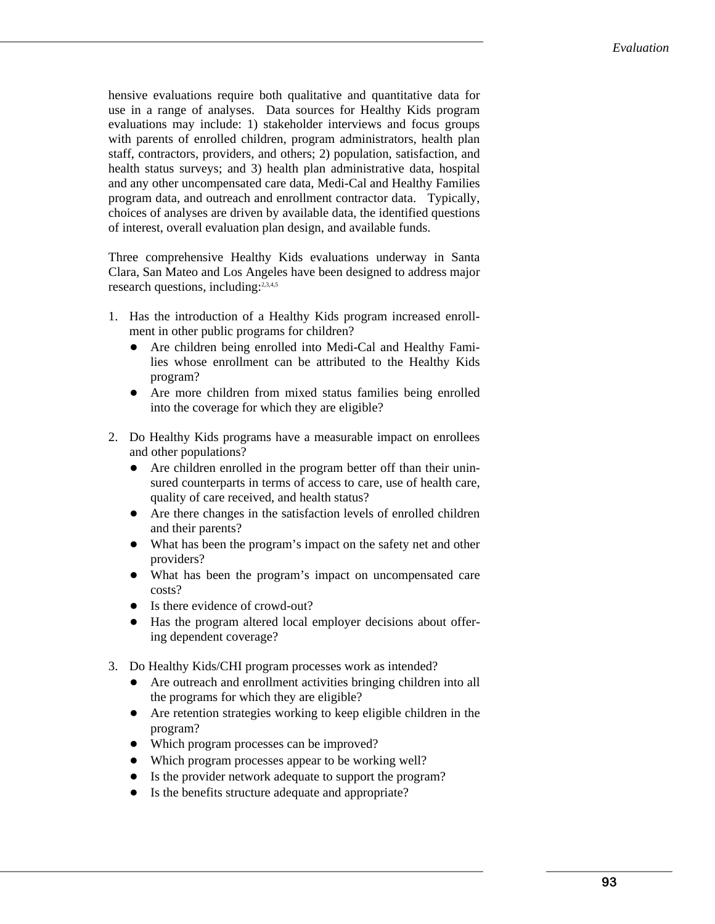hensive evaluations require both qualitative and quantitative data for use in a range of analyses. Data sources for Healthy Kids program evaluations may include: 1) stakeholder interviews and focus groups with parents of enrolled children, program administrators, health plan staff, contractors, providers, and others; 2) population, satisfaction, and health status surveys; and 3) health plan administrative data, hospital and any other uncompensated care data, Medi-Cal and Healthy Families program data, and outreach and enrollment contractor data. Typically, choices of analyses are driven by available data, the identified questions of interest, overall evaluation plan design, and available funds.

Three comprehensive Healthy Kids evaluations underway in Santa Clara, San Mateo and Los Angeles have been designed to address major research questions, including:<sup>2,3,4,5</sup>

- 1. Has the introduction of a Healthy Kids program increased enrollment in other public programs for children?
	- Are children being enrolled into Medi-Cal and Healthy Families whose enrollment can be attributed to the Healthy Kids program?
	- Are more children from mixed status families being enrolled into the coverage for which they are eligible?
- 2. Do Healthy Kids programs have a measurable impact on enrollees and other populations?
	- Are children enrolled in the program better off than their uninsured counterparts in terms of access to care, use of health care, quality of care received, and health status?
	- Are there changes in the satisfaction levels of enrolled children and their parents?
	- What has been the program's impact on the safety net and other providers?
	- What has been the program's impact on uncompensated care costs?
	- Is there evidence of crowd-out?
	- Has the program altered local employer decisions about offering dependent coverage?
- 3. Do Healthy Kids/CHI program processes work as intended?
	- Are outreach and enrollment activities bringing children into all the programs for which they are eligible?
	- Are retention strategies working to keep eligible children in the program?
	- Which program processes can be improved?
	- Which program processes appear to be working well?
	- Is the provider network adequate to support the program?
	- Is the benefits structure adequate and appropriate?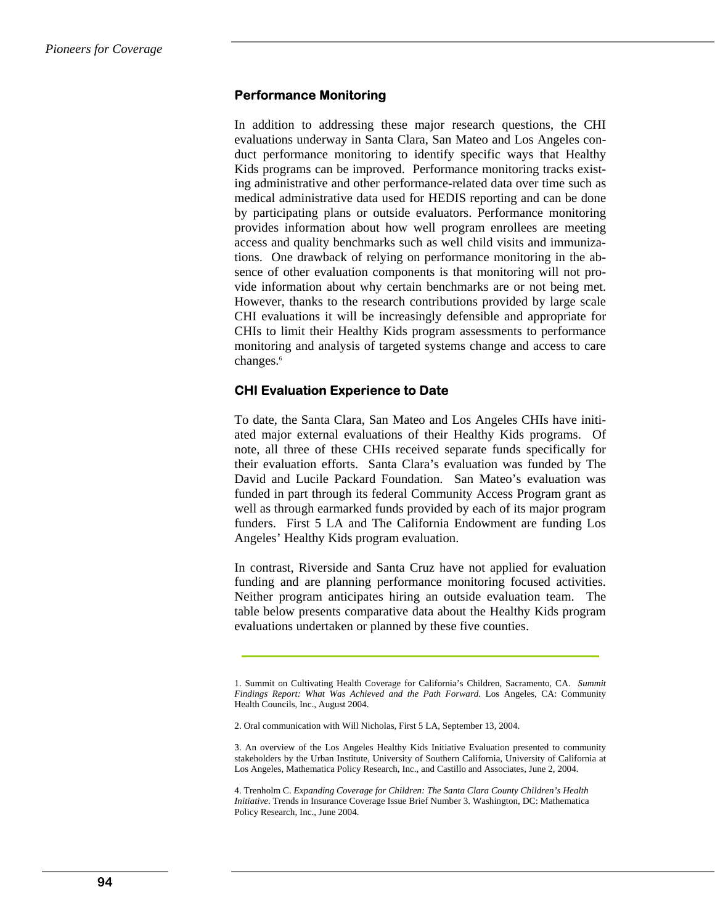### **Performance Monitoring**

In addition to addressing these major research questions, the CHI evaluations underway in Santa Clara, San Mateo and Los Angeles conduct performance monitoring to identify specific ways that Healthy Kids programs can be improved. Performance monitoring tracks existing administrative and other performance-related data over time such as medical administrative data used for HEDIS reporting and can be done by participating plans or outside evaluators. Performance monitoring provides information about how well program enrollees are meeting access and quality benchmarks such as well child visits and immunizations. One drawback of relying on performance monitoring in the absence of other evaluation components is that monitoring will not provide information about why certain benchmarks are or not being met. However, thanks to the research contributions provided by large scale CHI evaluations it will be increasingly defensible and appropriate for CHIs to limit their Healthy Kids program assessments to performance monitoring and analysis of targeted systems change and access to care changes.<sup>6</sup>

### **CHI Evaluation Experience to Date**

To date, the Santa Clara, San Mateo and Los Angeles CHIs have initiated major external evaluations of their Healthy Kids programs. Of note, all three of these CHIs received separate funds specifically for their evaluation efforts. Santa Clara's evaluation was funded by The David and Lucile Packard Foundation. San Mateo's evaluation was funded in part through its federal Community Access Program grant as well as through earmarked funds provided by each of its major program funders. First 5 LA and The California Endowment are funding Los Angeles' Healthy Kids program evaluation.

In contrast, Riverside and Santa Cruz have not applied for evaluation funding and are planning performance monitoring focused activities. Neither program anticipates hiring an outside evaluation team. The table below presents comparative data about the Healthy Kids program evaluations undertaken or planned by these five counties.

<sup>1.</sup> Summit on Cultivating Health Coverage for California's Children, Sacramento, CA. *Summit Findings Report: What Was Achieved and the Path Forward.* Los Angeles, CA: Community Health Councils, Inc., August 2004.

<sup>2.</sup> Oral communication with Will Nicholas, First 5 LA, September 13, 2004.

<sup>3.</sup> An overview of the Los Angeles Healthy Kids Initiative Evaluation presented to community stakeholders by the Urban Institute, University of Southern California, University of California at Los Angeles, Mathematica Policy Research, Inc., and Castillo and Associates, June 2, 2004.

<sup>4.</sup> Trenholm C. *Expanding Coverage for Children: The Santa Clara County Children's Health Initiative*. Trends in Insurance Coverage Issue Brief Number 3. Washington, DC: Mathematica Policy Research, Inc., June 2004.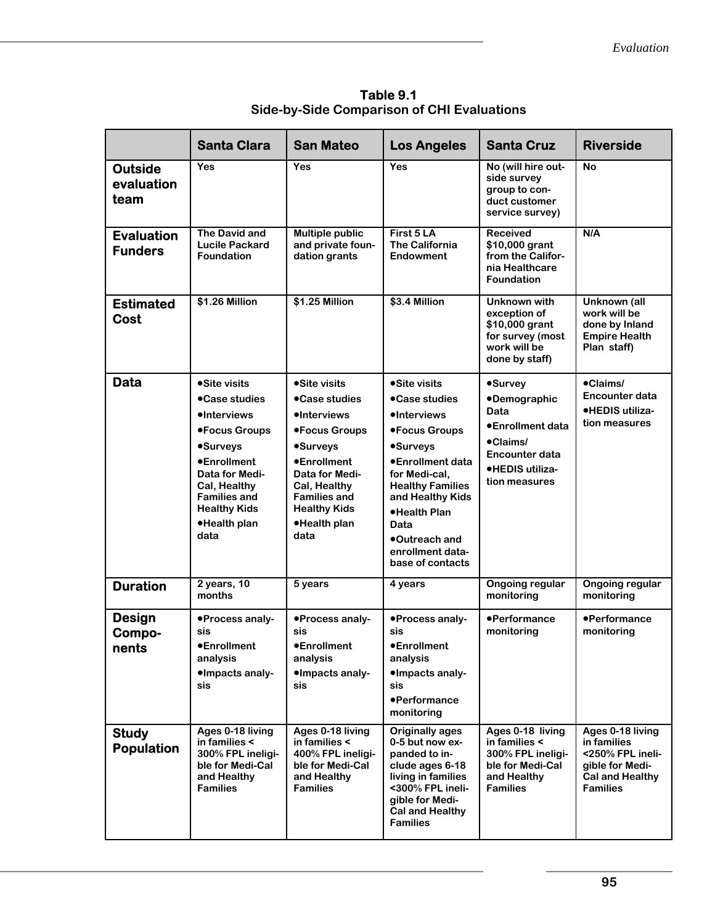| Table 9.1                                         |
|---------------------------------------------------|
| <b>Side-by-Side Comparison of CHI Evaluations</b> |

|                                      | <b>Santa Clara</b>                                                                                                                                                                                                     | <b>San Mateo</b>                                                                                                                                                                                        | <b>Los Angeles</b>                                                                                                                                                                                                                                           | <b>Santa Cruz</b>                                                                                                                   | <b>Riverside</b>                                                                                                    |
|--------------------------------------|------------------------------------------------------------------------------------------------------------------------------------------------------------------------------------------------------------------------|---------------------------------------------------------------------------------------------------------------------------------------------------------------------------------------------------------|--------------------------------------------------------------------------------------------------------------------------------------------------------------------------------------------------------------------------------------------------------------|-------------------------------------------------------------------------------------------------------------------------------------|---------------------------------------------------------------------------------------------------------------------|
| <b>Outside</b><br>evaluation<br>team | Yes                                                                                                                                                                                                                    | Yes                                                                                                                                                                                                     | Yes                                                                                                                                                                                                                                                          | No (will hire out-<br>side survey<br>group to con-<br>duct customer<br>service survey)                                              | No                                                                                                                  |
| <b>Evaluation</b><br><b>Funders</b>  | The David and<br><b>Lucile Packard</b><br><b>Foundation</b>                                                                                                                                                            | <b>Multiple public</b><br>and private foun-<br>dation grants                                                                                                                                            | First 5 LA<br><b>The California</b><br>Endowment                                                                                                                                                                                                             | <b>Received</b><br>\$10,000 grant<br>from the Califor-<br>nia Healthcare<br><b>Foundation</b>                                       | N/A                                                                                                                 |
| <b>Estimated</b><br>Cost             | \$1.26 Million                                                                                                                                                                                                         | \$1.25 Million                                                                                                                                                                                          | \$3.4 Million                                                                                                                                                                                                                                                | <b>Unknown with</b><br>exception of<br>\$10,000 grant<br>for survey (most<br>work will be<br>done by staff)                         | Unknown (all<br>work will be<br>done by Inland<br><b>Empire Health</b><br>Plan staff)                               |
| <b>Data</b>                          | •Site visits<br>● Case studies<br><b>•Interviews</b><br>●Focus Groups<br><b>•Surveys</b><br><b>•Enrollment</b><br>Data for Medi-<br>Cal, Healthy<br><b>Families and</b><br><b>Healthy Kids</b><br>•Health plan<br>data | •Site visits<br>•Case studies<br>•Interviews<br>●Focus Groups<br>•Surveys<br><b>•Enrollment</b><br>Data for Medi-<br>Cal, Healthy<br><b>Families and</b><br><b>Healthy Kids</b><br>•Health plan<br>data | •Site visits<br>•Case studies<br><b>•Interviews</b><br>●Focus Groups<br><b>•Surveys</b><br>●Enrollment data<br>for Medi-cal,<br><b>Healthy Families</b><br>and Healthy Kids<br>•Health Plan<br>Data<br>●Outreach and<br>enrollment data-<br>base of contacts | <b>•Survey</b><br><b>•Demographic</b><br>Data<br>●Enrollment data<br>•Claims/<br>Encounter data<br>•HEDIS utiliza-<br>tion measures | •Claims/<br><b>Encounter data</b><br>·HEDIS utiliza-<br>tion measures                                               |
| <b>Duration</b>                      | $2$ years, 10<br>months                                                                                                                                                                                                | 5 years                                                                                                                                                                                                 | 4 years                                                                                                                                                                                                                                                      | <b>Ongoing regular</b><br>monitoring                                                                                                | Ongoing regular<br>monitoring                                                                                       |
| <b>Design</b><br>Compo-<br>nents     | •Process analy-<br>sis<br>●Enrollment<br>analysis<br>•Impacts analy-<br>sis                                                                                                                                            | •Process analy-<br>sis<br>●Enrollment<br>analysis<br>•Impacts analy-<br>sis                                                                                                                             | •Process analy-<br>sis<br>●Enrollment<br>analysis<br>•Impacts analy-<br>sis<br>•Performance<br>monitoring                                                                                                                                                    | •Performance<br>monitoring                                                                                                          | •Performance<br>monitoring                                                                                          |
| <b>Study</b><br><b>Population</b>    | Ages 0-18 living<br>in families <<br>300% FPL ineligi-<br>ble for Medi-Cal<br>and Healthy<br><b>Families</b>                                                                                                           | Ages 0-18 living<br>in families <<br>400% FPL ineligi-<br>ble for Medi-Cal<br>and Healthy<br><b>Families</b>                                                                                            | <b>Originally ages</b><br>0-5 but now ex-<br>panded to in-<br>clude ages 6-18<br>living in families<br><300% FPL ineli-<br>aible for Medi-<br><b>Cal and Healthy</b><br><b>Families</b>                                                                      | Ages 0-18 living<br>in families <<br>300% FPL ineligi-<br>ble for Medi-Cal<br>and Healthy<br><b>Families</b>                        | Ages 0-18 living<br>in families<br><250% FPL ineli-<br>gible for Medi-<br><b>Cal and Healthy</b><br><b>Families</b> |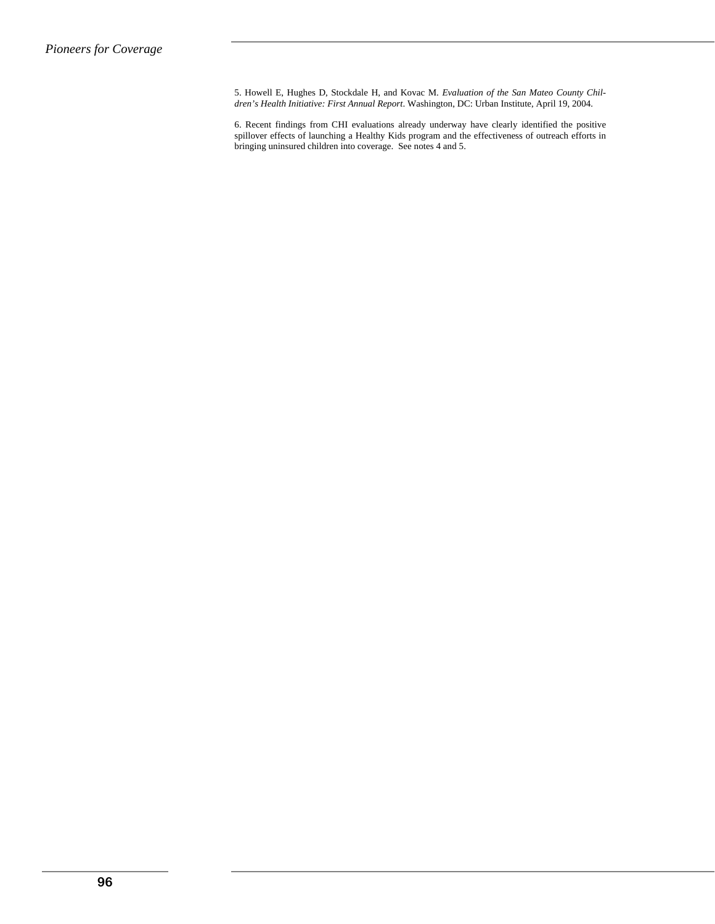5. Howell E, Hughes D, Stockdale H, and Kovac M. *Evaluation of the San Mateo County Children's Health Initiative: First Annual Report*. Washington, DC: Urban Institute, April 19, 2004.

6. Recent findings from CHI evaluations already underway have clearly identified the positive spillover effects of launching a Healthy Kids program and the effectiveness of outreach efforts in bringing uninsured children into coverage. See notes 4 and 5.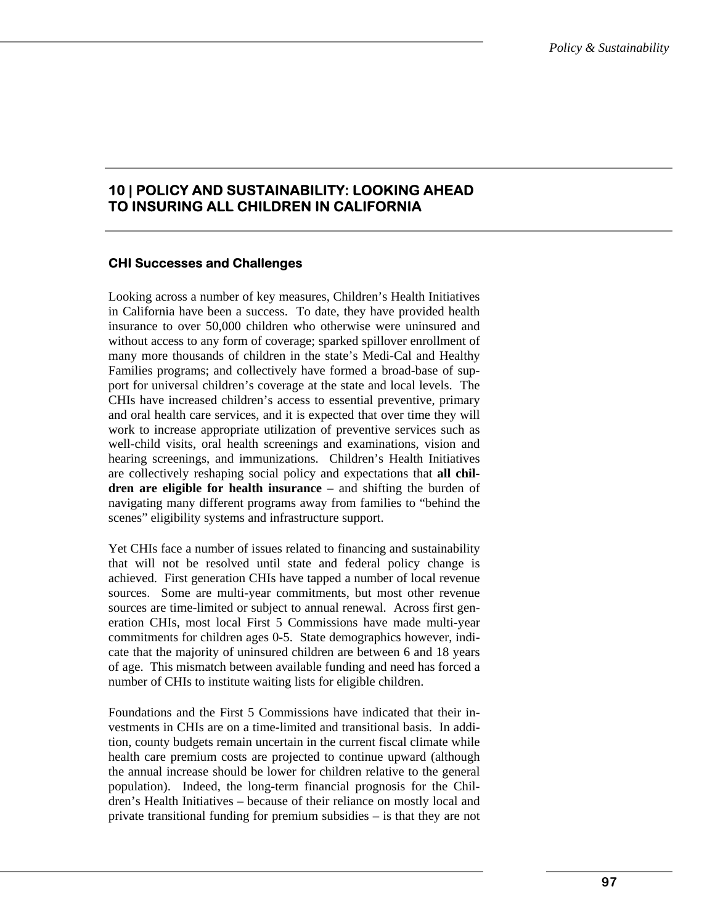# **10 | POLICY AND SUSTAINABILITY: LOOKING AHEAD TO INSURING ALL CHILDREN IN CALIFORNIA**

# **CHI Successes and Challenges**

Looking across a number of key measures, Children's Health Initiatives in California have been a success. To date, they have provided health insurance to over 50,000 children who otherwise were uninsured and without access to any form of coverage; sparked spillover enrollment of many more thousands of children in the state's Medi-Cal and Healthy Families programs; and collectively have formed a broad-base of support for universal children's coverage at the state and local levels. The CHIs have increased children's access to essential preventive, primary and oral health care services, and it is expected that over time they will work to increase appropriate utilization of preventive services such as well-child visits, oral health screenings and examinations, vision and hearing screenings, and immunizations. Children's Health Initiatives are collectively reshaping social policy and expectations that **all children are eligible for health insurance** – and shifting the burden of navigating many different programs away from families to "behind the scenes" eligibility systems and infrastructure support.

Yet CHIs face a number of issues related to financing and sustainability that will not be resolved until state and federal policy change is achieved. First generation CHIs have tapped a number of local revenue sources. Some are multi-year commitments, but most other revenue sources are time-limited or subject to annual renewal. Across first generation CHIs, most local First 5 Commissions have made multi-year commitments for children ages 0-5. State demographics however, indicate that the majority of uninsured children are between 6 and 18 years of age. This mismatch between available funding and need has forced a number of CHIs to institute waiting lists for eligible children.

Foundations and the First 5 Commissions have indicated that their investments in CHIs are on a time-limited and transitional basis. In addition, county budgets remain uncertain in the current fiscal climate while health care premium costs are projected to continue upward (although the annual increase should be lower for children relative to the general population). Indeed, the long-term financial prognosis for the Children's Health Initiatives – because of their reliance on mostly local and private transitional funding for premium subsidies – is that they are not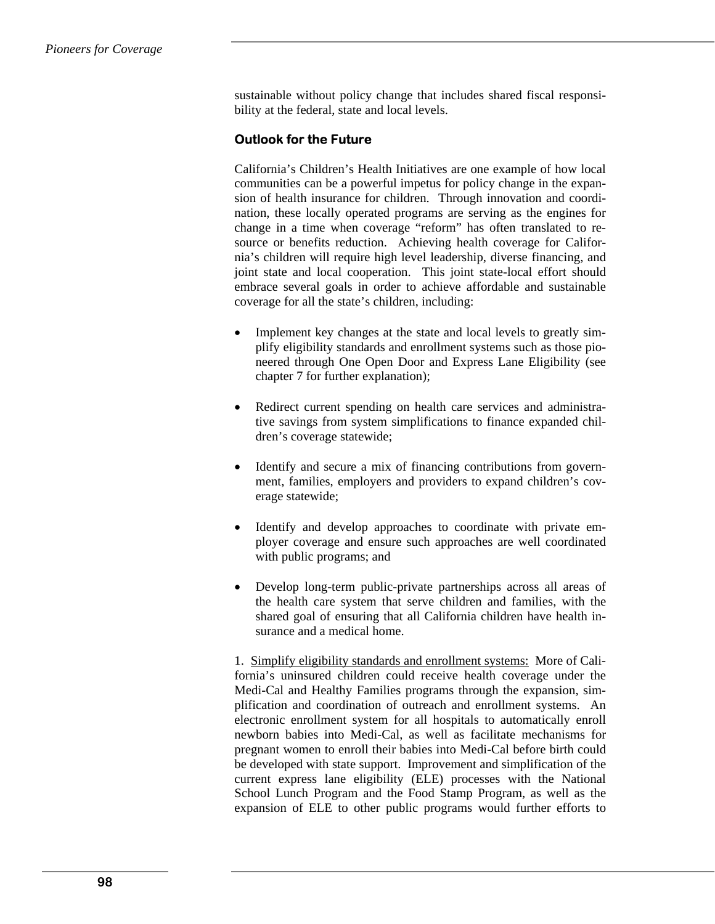sustainable without policy change that includes shared fiscal responsibility at the federal, state and local levels.

# **Outlook for the Future**

California's Children's Health Initiatives are one example of how local communities can be a powerful impetus for policy change in the expansion of health insurance for children. Through innovation and coordination, these locally operated programs are serving as the engines for change in a time when coverage "reform" has often translated to resource or benefits reduction. Achieving health coverage for California's children will require high level leadership, diverse financing, and joint state and local cooperation. This joint state-local effort should embrace several goals in order to achieve affordable and sustainable coverage for all the state's children, including:

- Implement key changes at the state and local levels to greatly simplify eligibility standards and enrollment systems such as those pioneered through One Open Door and Express Lane Eligibility (see chapter 7 for further explanation);
- Redirect current spending on health care services and administrative savings from system simplifications to finance expanded children's coverage statewide;
- Identify and secure a mix of financing contributions from government, families, employers and providers to expand children's coverage statewide;
- Identify and develop approaches to coordinate with private employer coverage and ensure such approaches are well coordinated with public programs; and
- Develop long-term public-private partnerships across all areas of the health care system that serve children and families, with the shared goal of ensuring that all California children have health insurance and a medical home.

1. Simplify eligibility standards and enrollment systems: More of California's uninsured children could receive health coverage under the Medi-Cal and Healthy Families programs through the expansion, simplification and coordination of outreach and enrollment systems. An electronic enrollment system for all hospitals to automatically enroll newborn babies into Medi-Cal, as well as facilitate mechanisms for pregnant women to enroll their babies into Medi-Cal before birth could be developed with state support. Improvement and simplification of the current express lane eligibility (ELE) processes with the National School Lunch Program and the Food Stamp Program, as well as the expansion of ELE to other public programs would further efforts to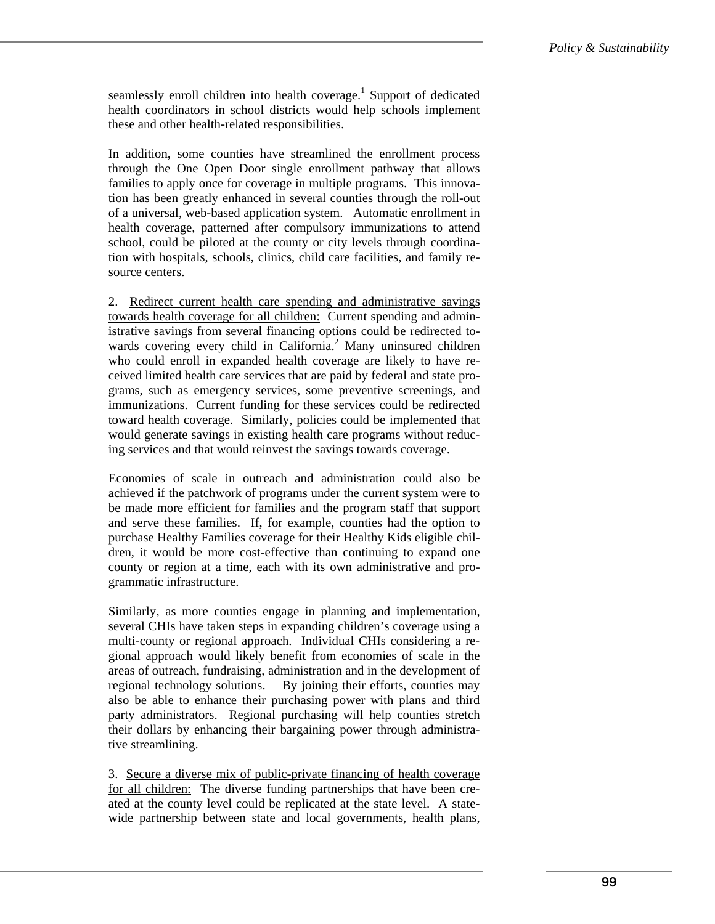seamlessly enroll children into health coverage.<sup>1</sup> Support of dedicated health coordinators in school districts would help schools implement these and other health-related responsibilities.

In addition, some counties have streamlined the enrollment process through the One Open Door single enrollment pathway that allows families to apply once for coverage in multiple programs. This innovation has been greatly enhanced in several counties through the roll-out of a universal, web-based application system. Automatic enrollment in health coverage, patterned after compulsory immunizations to attend school, could be piloted at the county or city levels through coordination with hospitals, schools, clinics, child care facilities, and family resource centers.

2. Redirect current health care spending and administrative savings towards health coverage for all children: Current spending and administrative savings from several financing options could be redirected towards covering every child in California.<sup>2</sup> Many uninsured children who could enroll in expanded health coverage are likely to have received limited health care services that are paid by federal and state programs, such as emergency services, some preventive screenings, and immunizations. Current funding for these services could be redirected toward health coverage. Similarly, policies could be implemented that would generate savings in existing health care programs without reducing services and that would reinvest the savings towards coverage.

Economies of scale in outreach and administration could also be achieved if the patchwork of programs under the current system were to be made more efficient for families and the program staff that support and serve these families. If, for example, counties had the option to purchase Healthy Families coverage for their Healthy Kids eligible children, it would be more cost-effective than continuing to expand one county or region at a time, each with its own administrative and programmatic infrastructure.

Similarly, as more counties engage in planning and implementation, several CHIs have taken steps in expanding children's coverage using a multi-county or regional approach. Individual CHIs considering a regional approach would likely benefit from economies of scale in the areas of outreach, fundraising, administration and in the development of regional technology solutions. By joining their efforts, counties may also be able to enhance their purchasing power with plans and third party administrators. Regional purchasing will help counties stretch their dollars by enhancing their bargaining power through administrative streamlining.

3. Secure a diverse mix of public-private financing of health coverage for all children: The diverse funding partnerships that have been created at the county level could be replicated at the state level. A statewide partnership between state and local governments, health plans,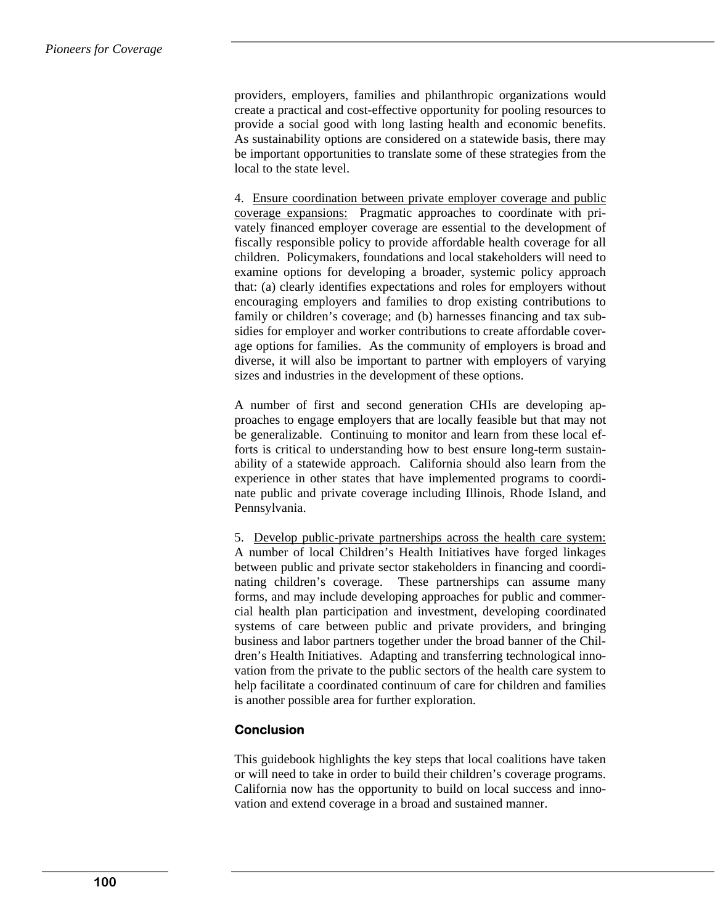providers, employers, families and philanthropic organizations would create a practical and cost-effective opportunity for pooling resources to provide a social good with long lasting health and economic benefits. As sustainability options are considered on a statewide basis, there may be important opportunities to translate some of these strategies from the local to the state level.

4. Ensure coordination between private employer coverage and public coverage expansions: Pragmatic approaches to coordinate with privately financed employer coverage are essential to the development of fiscally responsible policy to provide affordable health coverage for all children. Policymakers, foundations and local stakeholders will need to examine options for developing a broader, systemic policy approach that: (a) clearly identifies expectations and roles for employers without encouraging employers and families to drop existing contributions to family or children's coverage; and (b) harnesses financing and tax subsidies for employer and worker contributions to create affordable coverage options for families. As the community of employers is broad and diverse, it will also be important to partner with employers of varying sizes and industries in the development of these options.

A number of first and second generation CHIs are developing approaches to engage employers that are locally feasible but that may not be generalizable. Continuing to monitor and learn from these local efforts is critical to understanding how to best ensure long-term sustainability of a statewide approach. California should also learn from the experience in other states that have implemented programs to coordinate public and private coverage including Illinois, Rhode Island, and Pennsylvania.

5. Develop public-private partnerships across the health care system: A number of local Children's Health Initiatives have forged linkages between public and private sector stakeholders in financing and coordinating children's coverage. These partnerships can assume many forms, and may include developing approaches for public and commercial health plan participation and investment, developing coordinated systems of care between public and private providers, and bringing business and labor partners together under the broad banner of the Children's Health Initiatives. Adapting and transferring technological innovation from the private to the public sectors of the health care system to help facilitate a coordinated continuum of care for children and families is another possible area for further exploration.

# **Conclusion**

This guidebook highlights the key steps that local coalitions have taken or will need to take in order to build their children's coverage programs. California now has the opportunity to build on local success and innovation and extend coverage in a broad and sustained manner.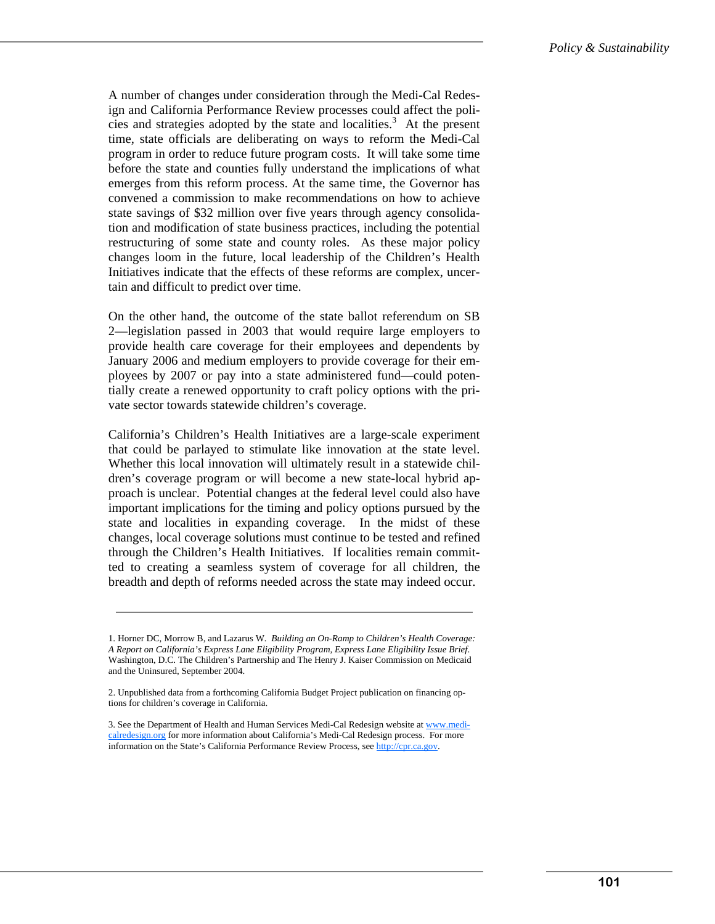A number of changes under consideration through the Medi-Cal Redesign and California Performance Review processes could affect the policies and strategies adopted by the state and localities.<sup>3</sup> At the present time, state officials are deliberating on ways to reform the Medi-Cal program in order to reduce future program costs. It will take some time before the state and counties fully understand the implications of what emerges from this reform process. At the same time, the Governor has convened a commission to make recommendations on how to achieve state savings of \$32 million over five years through agency consolidation and modification of state business practices, including the potential restructuring of some state and county roles. As these major policy changes loom in the future, local leadership of the Children's Health Initiatives indicate that the effects of these reforms are complex, uncertain and difficult to predict over time.

On the other hand, the outcome of the state ballot referendum on SB 2—legislation passed in 2003 that would require large employers to provide health care coverage for their employees and dependents by January 2006 and medium employers to provide coverage for their employees by 2007 or pay into a state administered fund—could potentially create a renewed opportunity to craft policy options with the private sector towards statewide children's coverage.

California's Children's Health Initiatives are a large-scale experiment that could be parlayed to stimulate like innovation at the state level. Whether this local innovation will ultimately result in a statewide children's coverage program or will become a new state-local hybrid approach is unclear. Potential changes at the federal level could also have important implications for the timing and policy options pursued by the state and localities in expanding coverage. In the midst of these changes, local coverage solutions must continue to be tested and refined through the Children's Health Initiatives. If localities remain committed to creating a seamless system of coverage for all children, the breadth and depth of reforms needed across the state may indeed occur.

<sup>1.</sup> Horner DC, Morrow B, and Lazarus W*. Building an On-Ramp to Children's Health Coverage: A Report on California's Express Lane Eligibility Program, Express Lane Eligibility Issue Brief*. Washington, D.C. The Children's Partnership and The Henry J. Kaiser Commission on Medicaid and the Uninsured, September 2004.

<sup>2.</sup> Unpublished data from a forthcoming California Budget Project publication on financing options for children's coverage in California.

<sup>3.</sup> See the Department of Health and Human Services Medi-Cal Redesign website at www.medicalredesign.org for more information about California's Medi-Cal Redesign process. For more information on the State's California Performance Review Process, see http://cpr.ca.gov.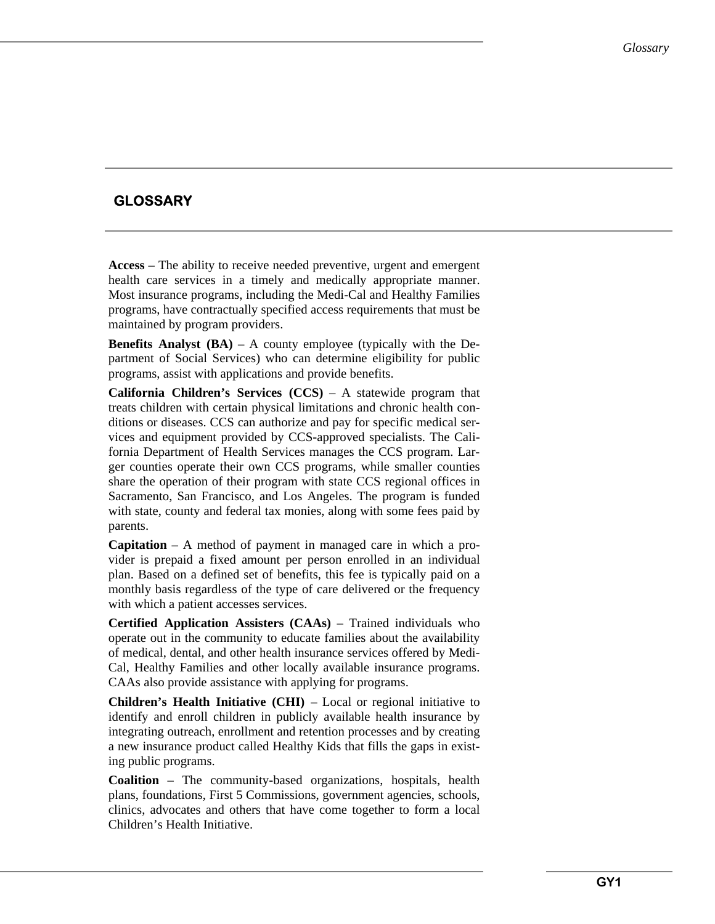# **GLOSSARY**

**Access** – The ability to receive needed preventive, urgent and emergent health care services in a timely and medically appropriate manner. Most insurance programs, including the Medi-Cal and Healthy Families programs, have contractually specified access requirements that must be maintained by program providers.

**Benefits Analyst (BA)** – A county employee (typically with the Department of Social Services) who can determine eligibility for public programs, assist with applications and provide benefits.

**California Children's Services (CCS)** – A statewide program that treats children with certain physical limitations and chronic health conditions or diseases. CCS can authorize and pay for specific medical services and equipment provided by CCS-approved specialists. The California Department of Health Services manages the CCS program. Larger counties operate their own CCS programs, while smaller counties share the operation of their program with state CCS regional offices in Sacramento, San Francisco, and Los Angeles. The program is funded with state, county and federal tax monies, along with some fees paid by parents.

**Capitation** – A method of payment in managed care in which a provider is prepaid a fixed amount per person enrolled in an individual plan. Based on a defined set of benefits, this fee is typically paid on a monthly basis regardless of the type of care delivered or the frequency with which a patient accesses services.

**Certified Application Assisters (CAAs)** – Trained individuals who operate out in the community to educate families about the availability of medical, dental, and other health insurance services offered by Medi-Cal, Healthy Families and other locally available insurance programs. CAAs also provide assistance with applying for programs.

**Children's Health Initiative (CHI)** – Local or regional initiative to identify and enroll children in publicly available health insurance by integrating outreach, enrollment and retention processes and by creating a new insurance product called Healthy Kids that fills the gaps in existing public programs.

**Coalition** – The community-based organizations, hospitals, health plans, foundations, First 5 Commissions, government agencies, schools, clinics, advocates and others that have come together to form a local Children's Health Initiative.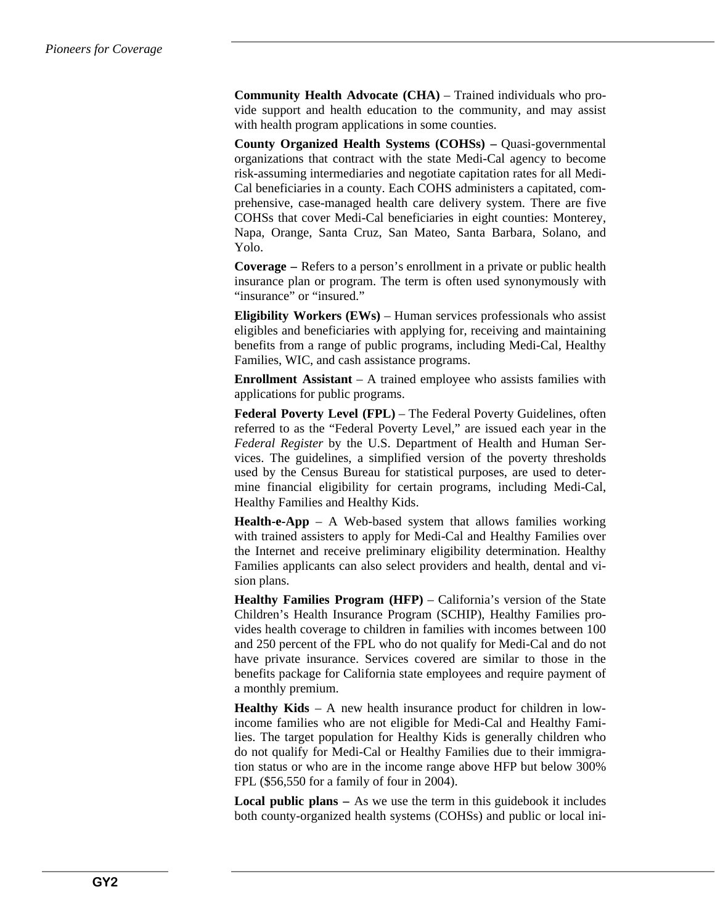**Community Health Advocate (CHA)** – Trained individuals who provide support and health education to the community, and may assist with health program applications in some counties.

**County Organized Health Systems (COHSs) –** Quasi-governmental organizations that contract with the state Medi-Cal agency to become risk-assuming intermediaries and negotiate capitation rates for all Medi-Cal beneficiaries in a county. Each COHS administers a capitated, comprehensive, case-managed health care delivery system. There are five COHSs that cover Medi-Cal beneficiaries in eight counties: Monterey, Napa, Orange, Santa Cruz, San Mateo, Santa Barbara, Solano, and Yolo.

**Coverage –** Refers to a person's enrollment in a private or public health insurance plan or program. The term is often used synonymously with "insurance" or "insured."

**Eligibility Workers (EWs)** – Human services professionals who assist eligibles and beneficiaries with applying for, receiving and maintaining benefits from a range of public programs, including Medi-Cal, Healthy Families, WIC, and cash assistance programs.

**Enrollment Assistant** – A trained employee who assists families with applications for public programs.

**Federal Poverty Level (FPL)** – The Federal Poverty Guidelines, often referred to as the "Federal Poverty Level," are issued each year in the *Federal Register* by the U.S. Department of Health and Human Services. The guidelines, a simplified version of the poverty thresholds used by the Census Bureau for statistical purposes, are used to determine financial eligibility for certain programs, including Medi-Cal, Healthy Families and Healthy Kids.

**Health-e-App** – A Web-based system that allows families working with trained assisters to apply for Medi-Cal and Healthy Families over the Internet and receive preliminary eligibility determination. Healthy Families applicants can also select providers and health, dental and vision plans.

**Healthy Families Program (HFP)** – California's version of the State Children's Health Insurance Program (SCHIP), Healthy Families provides health coverage to children in families with incomes between 100 and 250 percent of the FPL who do not qualify for Medi-Cal and do not have private insurance. Services covered are similar to those in the benefits package for California state employees and require payment of a monthly premium.

**Healthy Kids** – A new health insurance product for children in lowincome families who are not eligible for Medi-Cal and Healthy Families. The target population for Healthy Kids is generally children who do not qualify for Medi-Cal or Healthy Families due to their immigration status or who are in the income range above HFP but below 300% FPL (\$56,550 for a family of four in 2004).

**Local public plans –** As we use the term in this guidebook it includes both county-organized health systems (COHSs) and public or local ini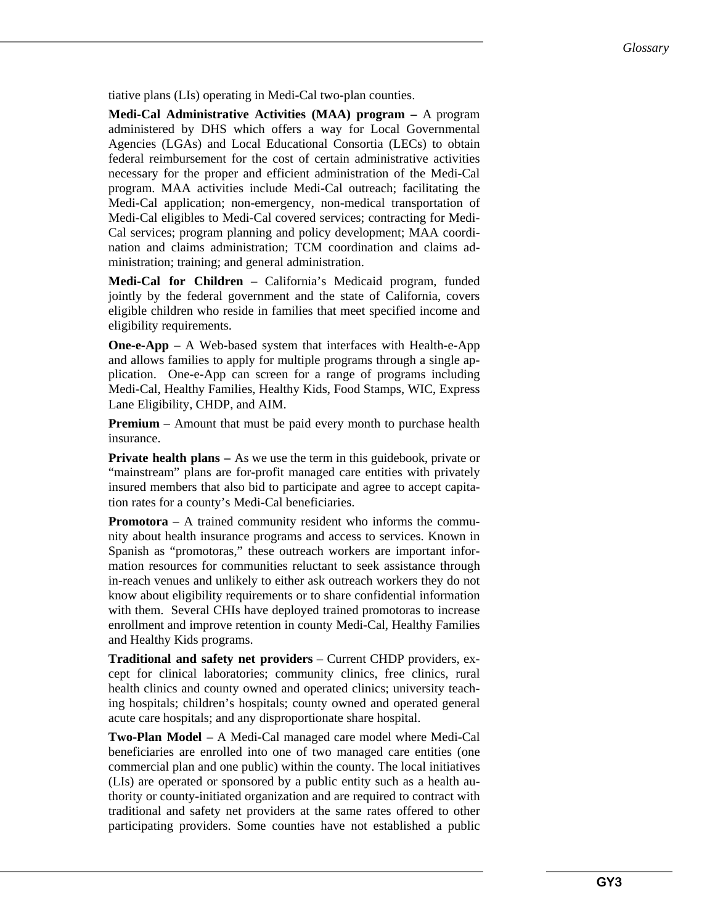tiative plans (LIs) operating in Medi-Cal two-plan counties.

**Medi-Cal Administrative Activities (MAA) program –** A program administered by DHS which offers a way for Local Governmental Agencies (LGAs) and Local Educational Consortia (LECs) to obtain federal reimbursement for the cost of certain administrative activities necessary for the proper and efficient administration of the Medi-Cal program. MAA activities include Medi-Cal outreach; facilitating the Medi-Cal application; non-emergency, non-medical transportation of Medi-Cal eligibles to Medi-Cal covered services; contracting for Medi-Cal services; program planning and policy development; MAA coordination and claims administration; TCM coordination and claims administration; training; and general administration.

**Medi-Cal for Children** – California's Medicaid program, funded jointly by the federal government and the state of California, covers eligible children who reside in families that meet specified income and eligibility requirements.

**One-e-App** – A Web-based system that interfaces with Health-e-App and allows families to apply for multiple programs through a single application. One-e-App can screen for a range of programs including Medi-Cal, Healthy Families, Healthy Kids, Food Stamps, WIC, Express Lane Eligibility, CHDP, and AIM.

**Premium** – Amount that must be paid every month to purchase health insurance.

**Private health plans –** As we use the term in this guidebook, private or "mainstream" plans are for-profit managed care entities with privately insured members that also bid to participate and agree to accept capitation rates for a county's Medi-Cal beneficiaries.

**Promotora** *–* A trained community resident who informs the community about health insurance programs and access to services. Known in Spanish as "promotoras," these outreach workers are important information resources for communities reluctant to seek assistance through in-reach venues and unlikely to either ask outreach workers they do not know about eligibility requirements or to share confidential information with them. Several CHIs have deployed trained promotoras to increase enrollment and improve retention in county Medi-Cal, Healthy Families and Healthy Kids programs.

**Traditional and safety net providers** – Current CHDP providers, except for clinical laboratories; community clinics, free clinics, rural health clinics and county owned and operated clinics; university teaching hospitals; children's hospitals; county owned and operated general acute care hospitals; and any disproportionate share hospital.

**Two-Plan Model** – A Medi-Cal managed care model where Medi-Cal beneficiaries are enrolled into one of two managed care entities (one commercial plan and one public) within the county. The local initiatives (LIs) are operated or sponsored by a public entity such as a health authority or county-initiated organization and are required to contract with traditional and safety net providers at the same rates offered to other participating providers. Some counties have not established a public